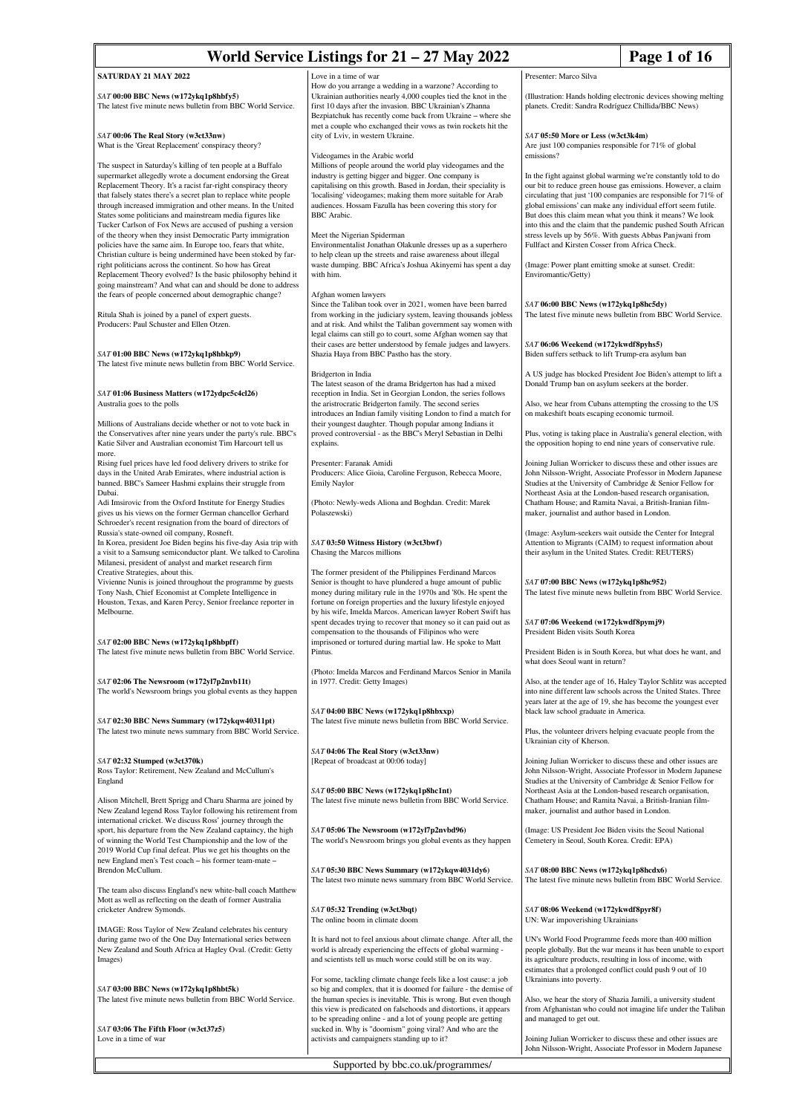# **World Service Listings for**  $21 - 27$  **May 2022** Page 1 of 16

## **SATURDAY 21 MAY 2022**

*SAT* **00:00 BBC News (w172ykq1p8hbfy5)** The latest five minute news bulletin from BBC World Service.

#### *SAT* **00:06 The Real Story (w3ct33nw)** What is the 'Great Replacement' conspiracy theory?

The suspect in Saturday's killing of ten people at a Buffalo supermarket allegedly wrote a document endorsing the Great Replacement Theory. It's a racist far-right conspiracy theory that falsely states there's a secret plan to replace white people through increased immigration and other means. In the United States some politicians and mainstream media figures like Tucker Carlson of Fox News are accused of pushing a version of the theory when they insist Democratic Party immigration policies have the same aim. In Europe too, fears that white, Christian culture is being undermined have been stoked by farright politicians across the continent. So how has Great Replacement Theory evolved? Is the basic philosophy behind it going mainstream? And what can and should be done to address the fears of people concerned about demographic change?

Ritula Shah is joined by a panel of expert guests. Producers: Paul Schuster and Ellen Otzen.

#### *SAT* **01:00 BBC News (w172ykq1p8hbkp9)**

The latest five minute news bulletin from BBC World Service.

*SAT* **01:06 Business Matters (w172ydpc5c4cl26)** Australia goes to the polls

Millions of Australians decide whether or not to vote back in the Conservatives after nine years under the party's rule. BBC's Katie Silver and Australian economist Tim Harcourt tell us more.

Rising fuel prices have led food delivery drivers to strike for days in the United Arab Emirates, where industrial action is banned. BBC's Sameer Hashmi explains their struggle from Dubai.

Adi Imsirovic from the Oxford Institute for Energy Studies gives us his views on the former German chancellor Gerhard Schroeder's recent resignation from the board of directors of Russia's state-owned oil company, Rosneft.

In Korea, president Joe Biden begins his five-day Asia trip with a visit to a Samsung semiconductor plant. We talked to Carolina Milanesi, president of analyst and market research firm Creative Strategies, about this.

Vivienne Nunis is joined throughout the programme by guests Tony Nash, Chief Economist at Complete Intelligence in Houston, Texas, and Karen Percy, Senior freelance reporter in Melbourne.

## *SAT* **02:00 BBC News (w172ykq1p8hbpff)**

The latest five minute news bulletin from BBC World Service.

*SAT* **02:06 The Newsroom (w172yl7p2nvb11t)** The world's Newsroom brings you global events as they happen

*SAT* **02:30 BBC News Summary (w172ykqw40311pt)** The latest two minute news summary from BBC World Service.

## *SAT* **02:32 Stumped (w3ct370k)**

Ross Taylor: Retirement, New Zealand and McCullum's England

Alison Mitchell, Brett Sprigg and Charu Sharma are joined by New Zealand legend Ross Taylor following his retirement from international cricket. We discuss Ross' journey through the sport, his departure from the New Zealand captaincy, the high of winning the World Test Championship and the low of the 2019 World Cup final defeat. Plus we get his thoughts on the new England men's Test coach – his former team-mate – Brendon McCullum.

The team also discuss England's new white-ball coach Matthew Mott as well as reflecting on the death of former Australia cricketer Andrew Symonds

IMAGE: Ross Taylor of New Zealand celebrates his century during game two of the One Day International series between New Zealand and South Africa at Hagley Oval. (Credit: Getty Images)

*SAT* **03:00 BBC News (w172ykq1p8hbt5k)** The latest five minute news bulletin from BBC World Service.

*SAT* **03:06 The Fifth Floor (w3ct37z5)** Love in a time of war

Love in a time of war

How do you arrange a wedding in a warzone? According to Ukrainian authorities nearly 4,000 couples tied the knot in the first 10 days after the invasion. BBC Ukrainian's Zhanna Bezpiatchuk has recently come back from Ukraine – where she met a couple who exchanged their vows as twin rockets hit the city of Lviv, in western Ukraine.

## Videogames in the Arabic world

Millions of people around the world play videogames and the industry is getting bigger and bigger. One company is capitalising on this growth. Based in Jordan, their speciality is 'localising' videogames; making them more suitable for Arab audiences. Hossam Fazulla has been covering this story for BBC Arabic.

## Meet the Nigerian Spiderman

Environmentalist Jonathan Olakunle dresses up as a superhero to help clean up the streets and raise awareness about illegal waste dumping. BBC Africa's Joshua Akinyemi has spent a day with him.

#### Afghan women lawyers

Since the Taliban took over in 2021, women have been barred from working in the judiciary system, leaving thousands jobless and at risk. And whilst the Taliban government say women with legal claims can still go to court, some Afghan women say that their cases are better understood by female judges and lawyers. Shazia Haya from BBC Pastho has the story.

#### Bridgerton in India

The latest season of the drama Bridgerton has had a mixed reception in India. Set in Georgian London, the series follow the aristrocratic Bridgerton family. The second series introduces an Indian family visiting London to find a match for their youngest daughter. Though popular among Indians it proved controversial - as the BBC's Meryl Sebastian in Delhi explains.

Presenter: Faranak Amidi Producers: Alice Gioia, Caroline Ferguson, Rebecca Moore, Emily Naylor

(Photo: Newly-weds Aliona and Boghdan. Credit: Marek Polaszewski)

### *SAT* **03:50 Witness History (w3ct3bwf)** Chasing the Marcos million

The former president of the Philippines Ferdinand Marcos Senior is thought to have plundered a huge amount of public money during military rule in the 1970s and '80s. He spent the fortune on foreign properties and the luxury lifestyle enjoyed by his wife, Imelda Marcos. American lawyer Robert Swift has spent decades trying to recover that money so it can paid out as  $c$  compensation to the thousands of Filipinos who were imprisoned or tortured during martial law. He spoke to Matt Pintus.

(Photo: Imelda Marcos and Ferdinand Marcos Senior in Manila in 1977. Credit: Getty Images)

*SAT* **04:00 BBC News (w172ykq1p8hbxxp)** The latest five minute news bulletin from BBC World Service.

*SAT* **04:06 The Real Story (w3ct33nw)** [Repeat of broadcast at 00:06 today]

*SAT* **05:00 BBC News (w172ykq1p8hc1nt)** The latest five minute news bulletin from BBC World Service.

*SAT* **05:06 The Newsroom (w172yl7p2nvbd96)** The world's Newsroom brings you global events as they happen

*SAT* **05:30 BBC News Summary (w172ykqw4031dy6)** The latest two minute news summary from BBC World Service.

*SAT* **05:32 Trending (w3ct3bqt)** The online boom in climate doom

It is hard not to feel anxious about climate change. After all, the world is already experiencing the effects of global warming and scientists tell us much worse could still be on its way.

For some, tackling climate change feels like a lost cause: a job so big and complex, that it is doomed for failure - the demise of the human species is inevitable. This is wrong. But even though this view is predicated on falsehoods and distortions, it appears to be spreading online - and a lot of young people are getting sucked in. Why is "doomism" going viral? And who are the activists and campaigners standing up to it?

Supported by bbc.co.uk/programmes/

## Presenter: Marco Silva

(Illustration: Hands holding electronic devices showing melting planets. Credit: Sandra Rodríguez Chillida/BBC News)

## *SAT* **05:50 More or Less (w3ct3k4m)**

Are just 100 companies responsible for 71% of global emissions?

In the fight against global warming we're constantly told to do our bit to reduce green house gas emissions. However, a claim circulating that just '100 companies are responsible for 71% of global emissions' can make any individual effort seem futile. But does this claim mean what you think it means? We look into this and the claim that the pandemic pushed South African stress levels up by 56%. With guests Abbas Panjwani from Fullfact and Kirsten Cosser from Africa Check.

(Image: Power plant emitting smoke at sunset. Credit: Enviromantic/Getty)

## *SAT* **06:00 BBC News (w172ykq1p8hc5dy)**

The latest five minute news bulletin from BBC World Service.

## *SAT* **06:06 Weekend (w172ykwdf8pyhs5)**

Biden suffers setback to lift Trump-era asylum ban

A US judge has blocked President Joe Biden's attempt to lift a Donald Trump ban on asylum seekers at the border.

Also, we hear from Cubans attempting the crossing to the US on makeshift boats escaping economic turmoil.

Plus, voting is taking place in Australia's general election, with the opposition hoping to end nine years of conservative rule.

Joining Julian Worricker to discuss these and other issues are John Nilsson-Wright, Associate Professor in Modern Japanese Studies at the University of Cambridge & Senior Fellow for Northeast Asia at the London-based research organisation, Chatham House; and Ramita Navai, a British-Iranian filmmaker, journalist and author based in London.

(Image: Asylum-seekers wait outside the Center for Integral Attention to Migrants (CAIM) to request information about their asylum in the United States. Credit: REUTERS)

*SAT* **07:00 BBC News (w172ykq1p8hc952)**

The latest five minute news bulletin from BBC World Service.

#### *SAT* **07:06 Weekend (w172ykwdf8pymj9)** President Biden visits South Korea

President Biden is in South Korea, but what does he want, and what does Seoul want in return?

Also, at the tender age of 16, Haley Taylor Schlitz was accepted into nine different law schools across the United States. Three years later at the age of 19, she has become the youngest ever black law school graduate in America.

Plus, the volunteer drivers helping evacuate people from the Ukrainian city of Kherson.

Joining Julian Worricker to discuss these and other issues are John Nilsson-Wright, Associate Professor in Modern Japanese Studies at the University of Cambridge & Senior Fellow for Northeast Asia at the London-based research organisation, Chatham House; and Ramita Navai, a British-Iranian filmmaker, journalist and author based in London.

(Image: US President Joe Biden visits the Seoul National Cemetery in Seoul, South Korea. Credit: EPA)

*SAT* **08:00 BBC News (w172ykq1p8hcdx6)** The latest five minute news bulletin from BBC World Service.

*SAT* **08:06 Weekend (w172ykwdf8pyr8f)** UN: War impoverishing Ukrainian

UN's World Food Programme feeds more than 400 million people globally. But the war means it has been unable to export its agriculture products, resulting in loss of income, with estimates that a prolonged conflict could push 9 out of 10 Ukrainians into poverty.

Also, we hear the story of Shazia Jamili, a university student from Afghanistan who could not imagine life under the Taliba and managed to get out.

Joining Julian Worricker to discuss these and other issues are John Nilsson-Wright, Associate Professor in Modern Japanese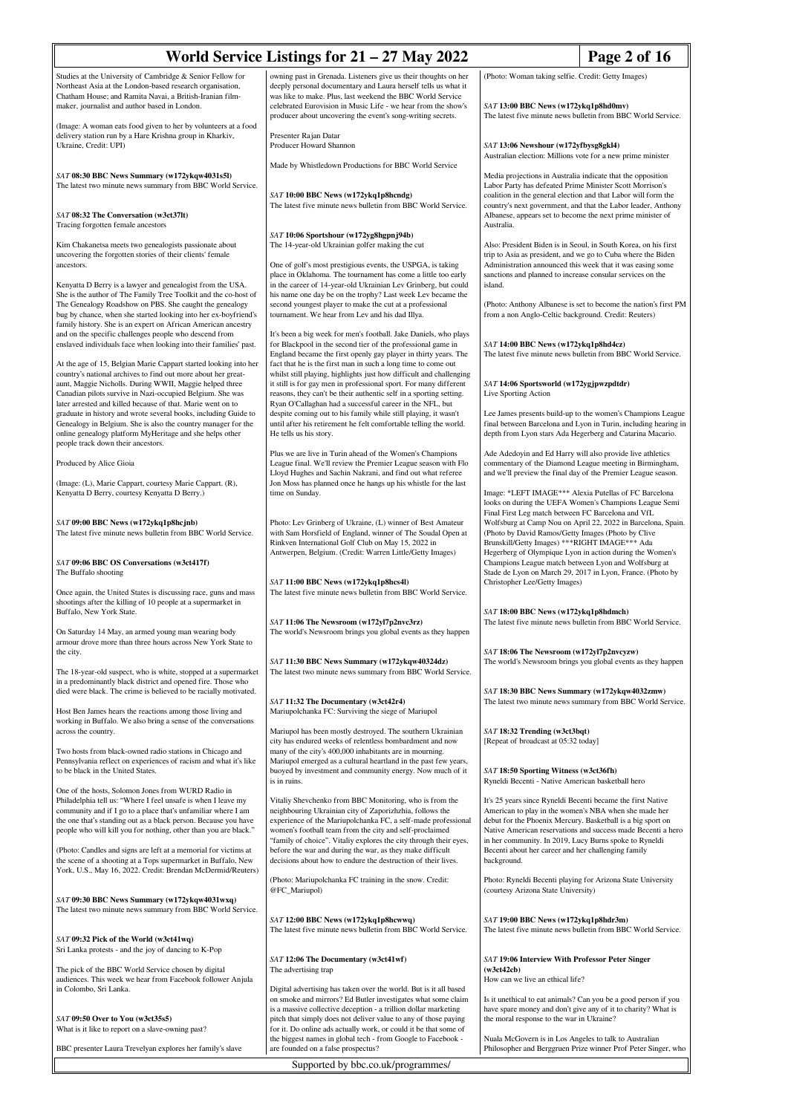|                                                                                                                                                                                                 | World Service Listings for $21 - 27$ May 2022                                                                                                                                                                                               | Page 2 of 16                                                                                                                                                                                                                                                                           |  |
|-------------------------------------------------------------------------------------------------------------------------------------------------------------------------------------------------|---------------------------------------------------------------------------------------------------------------------------------------------------------------------------------------------------------------------------------------------|----------------------------------------------------------------------------------------------------------------------------------------------------------------------------------------------------------------------------------------------------------------------------------------|--|
| Studies at the University of Cambridge & Senior Fellow for<br>Northeast Asia at the London-based research organisation,                                                                         | owning past in Grenada. Listeners give us their thoughts on her<br>deeply personal documentary and Laura herself tells us what it                                                                                                           | (Photo: Woman taking selfie. Credit: Getty Images)                                                                                                                                                                                                                                     |  |
| Chatham House; and Ramita Navai, a British-Iranian film-<br>maker, journalist and author based in London.<br>(Image: A woman eats food given to her by volunteers at a food                     | was like to make. Plus, last weekend the BBC World Service<br>celebrated Eurovision in Music Life - we hear from the show's<br>producer about uncovering the event's song-writing secrets.                                                  | SAT 13:00 BBC News (w172ykq1p8hd0mv)<br>The latest five minute news bulletin from BBC World Service.<br>SAT 13:06 Newshour (w172yfbysg8gkl4)<br>Australian election: Millions vote for a new prime minister                                                                            |  |
| delivery station run by a Hare Krishna group in Kharkiv,<br>Ukraine, Credit: UPI)                                                                                                               | Presenter Rajan Datar<br>Producer Howard Shannon                                                                                                                                                                                            |                                                                                                                                                                                                                                                                                        |  |
| SAT 08:30 BBC News Summary (w172ykqw4031s5l)                                                                                                                                                    | Made by Whistledown Productions for BBC World Service                                                                                                                                                                                       | Media projections in Australia indicate that the opposition                                                                                                                                                                                                                            |  |
| The latest two minute news summary from BBC World Service.                                                                                                                                      | SAT 10:00 BBC News (w172ykq1p8hcndg)<br>The latest five minute news bulletin from BBC World Service.                                                                                                                                        | Labor Party has defeated Prime Minister Scott Morrison's<br>coalition in the general election and that Labor will form the<br>country's next government, and that the Labor leader, Anthony                                                                                            |  |
| SAT 08:32 The Conversation (w3ct37lt)<br>Tracing forgotten female ancestors                                                                                                                     | SAT 10:06 Sportshour (w172yg8hgpnj94b)                                                                                                                                                                                                      | Albanese, appears set to become the next prime minister of<br>Australia.                                                                                                                                                                                                               |  |
| Kim Chakanetsa meets two genealogists passionate about<br>uncovering the forgotten stories of their clients' female                                                                             | The 14-year-old Ukrainian golfer making the cut                                                                                                                                                                                             | Also: President Biden is in Seoul, in South Korea, on his first<br>trip to Asia as president, and we go to Cuba where the Biden                                                                                                                                                        |  |
| ancestors.<br>Kenyatta D Berry is a lawyer and genealogist from the USA.                                                                                                                        | One of golf's most prestigious events, the USPGA, is taking<br>place in Oklahoma. The tournament has come a little too early<br>in the career of 14-year-old Ukrainian Lev Grinberg, but could                                              | Administration announced this week that it was easing some<br>sanctions and planned to increase consular services on the<br>island.                                                                                                                                                    |  |
| She is the author of The Family Tree Toolkit and the co-host of<br>The Genealogy Roadshow on PBS. She caught the genealogy<br>bug by chance, when she started looking into her ex-boyfriend's   | his name one day be on the trophy? Last week Lev became the<br>second youngest player to make the cut at a professional<br>tournament. We hear from Lev and his dad Illya.                                                                  | (Photo: Anthony Albanese is set to become the nation's first PM<br>from a non Anglo-Celtic background. Credit: Reuters)                                                                                                                                                                |  |
| family history. She is an expert on African American ancestry<br>and on the specific challenges people who descend from                                                                         | It's been a big week for men's football. Jake Daniels, who plays                                                                                                                                                                            |                                                                                                                                                                                                                                                                                        |  |
| enslaved individuals face when looking into their families' past.<br>At the age of 15, Belgian Marie Cappart started looking into her                                                           | for Blackpool in the second tier of the professional game in<br>England became the first openly gay player in thirty years. The<br>fact that he is the first man in such a long time to come out                                            | SAT 14:00 BBC News (w172ykq1p8hd4cz)<br>The latest five minute news bulletin from BBC World Service.                                                                                                                                                                                   |  |
| country's national archives to find out more about her great-<br>aunt, Maggie Nicholls. During WWII, Maggie helped three                                                                        | whilst still playing, highlights just how difficult and challenging<br>it still is for gay men in professional sport. For many different<br>reasons, they can't be their authentic self in a sporting setting.                              | SAT 14:06 Sportsworld (w172ygjpwzpdtdr)                                                                                                                                                                                                                                                |  |
| Canadian pilots survive in Nazi-occupied Belgium. She was<br>later arrested and killed because of that. Marie went on to<br>graduate in history and wrote several books, including Guide to     | Ryan O'Callaghan had a successful career in the NFL, but<br>despite coming out to his family while still playing, it wasn't                                                                                                                 | Live Sporting Action<br>Lee James presents build-up to the women's Champions League                                                                                                                                                                                                    |  |
| Genealogy in Belgium. She is also the country manager for the<br>online genealogy platform MyHeritage and she helps other<br>people track down their ancestors.                                 | until after his retirement he felt comfortable telling the world.<br>He tells us his story.                                                                                                                                                 | final between Barcelona and Lyon in Turin, including hearing in<br>depth from Lyon stars Ada Hegerberg and Catarina Macario.                                                                                                                                                           |  |
| Produced by Alice Gioia                                                                                                                                                                         | Plus we are live in Turin ahead of the Women's Champions<br>League final. We'll review the Premier League season with Flo<br>Lloyd Hughes and Sachin Nakrani, and find out what referee                                                     | Ade Adedoyin and Ed Harry will also provide live athletics<br>commentary of the Diamond League meeting in Birmingham,<br>and we'll preview the final day of the Premier League season.                                                                                                 |  |
| (Image: (L), Marie Cappart, courtesy Marie Cappart. (R),<br>Kenyatta D Berry, courtesy Kenyatta D Berry.)                                                                                       | Jon Moss has planned once he hangs up his whistle for the last<br>time on Sunday.                                                                                                                                                           | Image: *LEFT IMAGE*** Alexia Putellas of FC Barcelona<br>looks on during the UEFA Women's Champions League Semi                                                                                                                                                                        |  |
| SAT 09:00 BBC News (w172ykq1p8hcjnb)<br>The latest five minute news bulletin from BBC World Service.                                                                                            | Photo: Lev Grinberg of Ukraine, (L) winner of Best Amateur<br>with Sam Horsfield of England, winner of The Soudal Open at<br>Rinkven International Golf Club on May 15, 2022 in<br>Antwerpen, Belgium. (Credit: Warren Little/Getty Images) | Final First Leg match between FC Barcelona and VfL<br>Wolfsburg at Camp Nou on April 22, 2022 in Barcelona, Spain.<br>(Photo by David Ramos/Getty Images (Photo by Clive<br>Brunskill/Getty Images) *** RIGHT IMAGE*** Ada<br>Hegerberg of Olympique Lyon in action during the Women's |  |
| SAT 09:06 BBC OS Conversations (w3ct417f)<br>The Buffalo shooting                                                                                                                               |                                                                                                                                                                                                                                             | Champions League match between Lyon and Wolfsburg at<br>Stade de Lyon on March 29, 2017 in Lyon, France. (Photo by                                                                                                                                                                     |  |
| Once again, the United States is discussing race, guns and mass<br>shootings after the killing of 10 people at a supermarket in<br>Buffalo, New York State.                                     | SAT 11:00 BBC News (w172ykq1p8hcs4l)<br>The latest five minute news bulletin from BBC World Service.                                                                                                                                        | Christopher Lee/Getty Images)<br>SAT 18:00 BBC News (w172ykq1p8hdmch)                                                                                                                                                                                                                  |  |
| On Saturday 14 May, an armed young man wearing body<br>armour drove more than three hours across New York State to                                                                              | SAT 11:06 The Newsroom (w172yl7p2nvc3rz)<br>The world's Newsroom brings you global events as they happen                                                                                                                                    | The latest five minute news bulletin from BBC World Service.                                                                                                                                                                                                                           |  |
| the city.<br>The 18-year-old suspect, who is white, stopped at a supermarket                                                                                                                    | SAT 11:30 BBC News Summary (w172ykqw40324dz)<br>The latest two minute news summary from BBC World Service.                                                                                                                                  | SAT 18:06 The Newsroom (w172yl7p2nvcyzw)<br>The world's Newsroom brings you global events as they happen                                                                                                                                                                               |  |
| in a predominantly black district and opened fire. Those who<br>died were black. The crime is believed to be racially motivated.                                                                | SAT 11:32 The Documentary (w3ct42r4)                                                                                                                                                                                                        | SAT 18:30 BBC News Summary (w172ykqw4032zmw)<br>The latest two minute news summary from BBC World Service.                                                                                                                                                                             |  |
| Host Ben James hears the reactions among those living and<br>working in Buffalo. We also bring a sense of the conversations<br>across the country.                                              | Mariupolchanka FC: Surviving the siege of Mariupol<br>Mariupol has been mostly destroyed. The southern Ukrainian                                                                                                                            | SAT 18:32 Trending (w3ct3bqt)                                                                                                                                                                                                                                                          |  |
| Two hosts from black-owned radio stations in Chicago and<br>Pennsylvania reflect on experiences of racism and what it's like                                                                    | city has endured weeks of relentless bombardment and now<br>many of the city's 400,000 inhabitants are in mourning.<br>Mariupol emerged as a cultural heartland in the past few years,                                                      | [Repeat of broadcast at 05:32 today]                                                                                                                                                                                                                                                   |  |
| to be black in the United States.<br>One of the hosts, Solomon Jones from WURD Radio in                                                                                                         | buoyed by investment and community energy. Now much of it<br>is in ruins.                                                                                                                                                                   | SAT 18:50 Sporting Witness (w3ct36fh)<br>Ryneldi Becenti - Native American basketball hero                                                                                                                                                                                             |  |
| Philadelphia tell us: "Where I feel unsafe is when I leave my<br>community and if I go to a place that's unfamiliar where I am                                                                  | Vitaliy Shevchenko from BBC Monitoring, who is from the<br>neighbouring Ukrainian city of Zaporizhzhia, follows the<br>experience of the Mariupolchanka FC, a self-made professional                                                        | It's 25 years since Ryneldi Becenti became the first Native<br>American to play in the women's NBA when she made her                                                                                                                                                                   |  |
| the one that's standing out as a black person. Because you have<br>people who will kill you for nothing, other than you are black."                                                             | women's football team from the city and self-proclaimed<br>"family of choice". Vitaliy explores the city through their eyes,                                                                                                                | debut for the Phoenix Mercury. Basketball is a big sport on<br>Native American reservations and success made Becenti a hero<br>in her community. In 2019, Lucy Burns spoke to Ryneldi                                                                                                  |  |
| (Photo: Candles and signs are left at a memorial for victims at<br>the scene of a shooting at a Tops supermarket in Buffalo, New<br>York, U.S., May 16, 2022. Credit: Brendan McDermid/Reuters) | before the war and during the war, as they make difficult<br>decisions about how to endure the destruction of their lives.                                                                                                                  | Becenti about her career and her challenging family<br>background.                                                                                                                                                                                                                     |  |
| SAT 09:30 BBC News Summary (w172ykqw4031wxq)                                                                                                                                                    | (Photo: Mariupolchanka FC training in the snow. Credit:<br>@FC_Mariupol)                                                                                                                                                                    | Photo: Ryneldi Becenti playing for Arizona State University<br>(courtesy Arizona State University)                                                                                                                                                                                     |  |
| The latest two minute news summary from BBC World Service.                                                                                                                                      | SAT 12:00 BBC News (w172ykq1p8hcwwq)<br>The latest five minute news bulletin from BBC World Service.                                                                                                                                        | SAT 19:00 BBC News (w172ykq1p8hdr3m)<br>The latest five minute news bulletin from BBC World Service.                                                                                                                                                                                   |  |
| $SAT$ 09:32 Pick of the World (w3ct41wq)<br>Sri Lanka protests - and the joy of dancing to K-Pop                                                                                                |                                                                                                                                                                                                                                             |                                                                                                                                                                                                                                                                                        |  |
| The pick of the BBC World Service chosen by digital                                                                                                                                             | SAT 12:06 The Documentary (w3ct41wf)<br>The advertising trap                                                                                                                                                                                | SAT 19:06 Interview With Professor Peter Singer<br>(w3ct42cb)                                                                                                                                                                                                                          |  |
| audiences. This week we hear from Facebook follower Anjula<br>in Colombo, Sri Lanka.                                                                                                            | Digital advertising has taken over the world. But is it all based                                                                                                                                                                           | How can we live an ethical life?                                                                                                                                                                                                                                                       |  |
| SAT 09:50 Over to You (w3ct35s5)                                                                                                                                                                | on smoke and mirrors? Ed Butler investigates what some claim<br>is a massive collective deception - a trillion dollar marketing<br>pitch that simply does not deliver value to any of those paying                                          | Is it unethical to eat animals? Can you be a good person if you<br>have spare money and don't give any of it to charity? What is<br>the moral response to the war in Ukraine?                                                                                                          |  |
| What is it like to report on a slave-owning past?                                                                                                                                               | for it. Do online ads actually work, or could it be that some of<br>the biggest names in global tech - from Google to Facebook -                                                                                                            | Nuala McGovern is in Los Angeles to talk to Australian                                                                                                                                                                                                                                 |  |
| BBC presenter Laura Trevelyan explores her family's slave                                                                                                                                       | are founded on a false prospectus?<br>Supported by bbc.co.uk/programmes/                                                                                                                                                                    | Philosopher and Berggruen Prize winner Prof Peter Singer, who                                                                                                                                                                                                                          |  |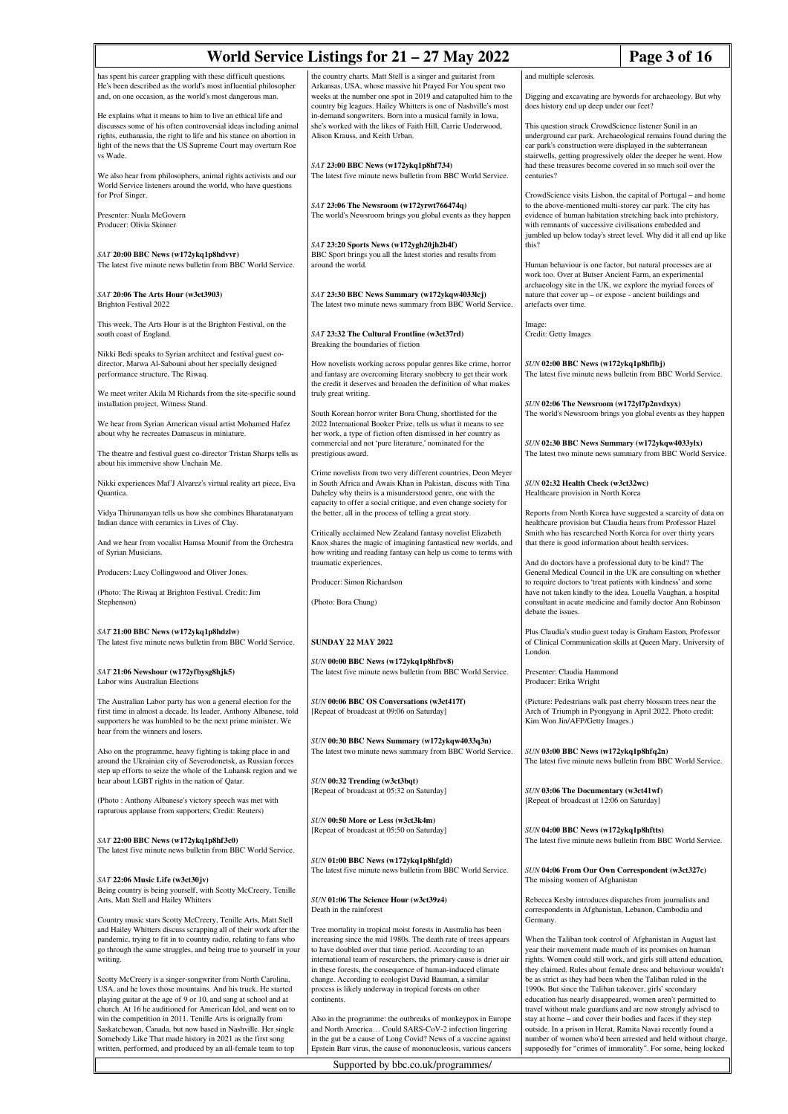| Page 3 of 16<br>World Service Listings for $21 - 27$ May 2022                                                                                                                                                                                                                                                              |                                                                                                                                                                                                                                                                                                                                |                                                                                                                                                                                                                                                                                                                                |  |
|----------------------------------------------------------------------------------------------------------------------------------------------------------------------------------------------------------------------------------------------------------------------------------------------------------------------------|--------------------------------------------------------------------------------------------------------------------------------------------------------------------------------------------------------------------------------------------------------------------------------------------------------------------------------|--------------------------------------------------------------------------------------------------------------------------------------------------------------------------------------------------------------------------------------------------------------------------------------------------------------------------------|--|
| has spent his career grappling with these difficult questions.<br>He's been described as the world's most influential philosopher<br>and, on one occasion, as the world's most dangerous man.                                                                                                                              | the country charts. Matt Stell is a singer and guitarist from<br>Arkansas, USA, whose massive hit Prayed For You spent two<br>weeks at the number one spot in 2019 and catapulted him to the<br>country big leagues. Hailey Whitters is one of Nashville's most                                                                | and multiple sclerosis.<br>Digging and excavating are bywords for archaeology. But why<br>does history end up deep under our feet?                                                                                                                                                                                             |  |
| He explains what it means to him to live an ethical life and<br>discusses some of his often controversial ideas including animal<br>rights, euthanasia, the right to life and his stance on abortion in<br>light of the news that the US Supreme Court may overturn Roe<br>vs Wade.                                        | in-demand songwriters. Born into a musical family in Iowa,<br>she's worked with the likes of Faith Hill, Carrie Underwood,<br>Alison Krauss, and Keith Urban.                                                                                                                                                                  | This question struck CrowdScience listener Sunil in an<br>underground car park. Archaeological remains found during the<br>car park's construction were displayed in the subterranean<br>stairwells, getting progressively older the deeper he went. How<br>had these treasures become covered in so much soil over the        |  |
| We also hear from philosophers, animal rights activists and our<br>World Service listeners around the world, who have questions<br>for Prof Singer.                                                                                                                                                                        | SAT 23:00 BBC News (w172ykq1p8hf734)<br>The latest five minute news bulletin from BBC World Service.                                                                                                                                                                                                                           | centuries?<br>CrowdScience visits Lisbon, the capital of Portugal – and home                                                                                                                                                                                                                                                   |  |
| Presenter: Nuala McGovern<br>Producer: Olivia Skinner                                                                                                                                                                                                                                                                      | SAT 23:06 The Newsroom (w172yrwt766474q)<br>The world's Newsroom brings you global events as they happen                                                                                                                                                                                                                       | to the above-mentioned multi-storey car park. The city has<br>evidence of human habitation stretching back into prehistory,<br>with remnants of successive civilisations embedded and<br>jumbled up below today's street level. Why did it all end up like                                                                     |  |
| SAT 20:00 BBC News (w172ykq1p8hdvvr)<br>The latest five minute news bulletin from BBC World Service.                                                                                                                                                                                                                       | SAT 23:20 Sports News (w172ygh20jh2b4f)<br>BBC Sport brings you all the latest stories and results from<br>around the world.                                                                                                                                                                                                   | this?<br>Human behaviour is one factor, but natural processes are at<br>work too. Over at Butser Ancient Farm, an experimental                                                                                                                                                                                                 |  |
| SAT 20:06 The Arts Hour (w3ct3903)<br>Brighton Festival 2022                                                                                                                                                                                                                                                               | SAT 23:30 BBC News Summary (w172ykqw4033lcj)<br>The latest two minute news summary from BBC World Service.                                                                                                                                                                                                                     | archaeology site in the UK, we explore the myriad forces of<br>nature that cover up - or expose - ancient buildings and<br>artefacts over time.                                                                                                                                                                                |  |
| This week, The Arts Hour is at the Brighton Festival, on the<br>south coast of England.                                                                                                                                                                                                                                    | SAT 23:32 The Cultural Frontline (w3ct37rd)<br>Breaking the boundaries of fiction                                                                                                                                                                                                                                              | Image:<br>Credit: Getty Images                                                                                                                                                                                                                                                                                                 |  |
| Nikki Bedi speaks to Syrian architect and festival guest co-<br>director, Marwa Al-Sabouni about her specially designed<br>performance structure, The Riwaq.                                                                                                                                                               | How novelists working across popular genres like crime, horror<br>and fantasy are overcoming literary snobbery to get their work<br>the credit it deserves and broaden the definition of what makes                                                                                                                            | SUN 02:00 BBC News (w172ykq1p8hflbj)<br>The latest five minute news bulletin from BBC World Service.                                                                                                                                                                                                                           |  |
| We meet writer Akila M Richards from the site-specific sound<br>installation project, Witness Stand.                                                                                                                                                                                                                       | truly great writing.<br>South Korean horror writer Bora Chung, shortlisted for the                                                                                                                                                                                                                                             | SUN 02:06 The Newsroom (w172yl7p2nvdxyx)<br>The world's Newsroom brings you global events as they happen                                                                                                                                                                                                                       |  |
| We hear from Syrian American visual artist Mohamed Hafez<br>about why he recreates Damascus in miniature.                                                                                                                                                                                                                  | 2022 International Booker Prize, tells us what it means to see<br>her work, a type of fiction often dismissed in her country as<br>commercial and not 'pure literature,' nominated for the                                                                                                                                     | SUN 02:30 BBC News Summary (w172ykqw4033ylx)                                                                                                                                                                                                                                                                                   |  |
| The theatre and festival guest co-director Tristan Sharps tells us<br>about his immersive show Unchain Me.                                                                                                                                                                                                                 | prestigious award.<br>Crime novelists from two very different countries, Deon Meyer                                                                                                                                                                                                                                            | The latest two minute news summary from BBC World Service.                                                                                                                                                                                                                                                                     |  |
| Nikki experiences Maf'J Alvarez's virtual reality art piece, Eva<br>Quantica.                                                                                                                                                                                                                                              | in South Africa and Awais Khan in Pakistan, discuss with Tina<br>Daheley why theirs is a misunderstood genre, one with the<br>capacity to offer a social critique, and even change society for                                                                                                                                 | SUN 02:32 Health Check (w3ct32wc)<br>Healthcare provision in North Korea                                                                                                                                                                                                                                                       |  |
| Vidya Thirunarayan tells us how she combines Bharatanatyam<br>Indian dance with ceramics in Lives of Clay.                                                                                                                                                                                                                 | the better, all in the process of telling a great story.<br>Critically acclaimed New Zealand fantasy novelist Elizabeth                                                                                                                                                                                                        | Reports from North Korea have suggested a scarcity of data on<br>healthcare provision but Claudia hears from Professor Hazel<br>Smith who has researched North Korea for over thirty years                                                                                                                                     |  |
| And we hear from vocalist Hamsa Mounif from the Orchestra<br>of Syrian Musicians.                                                                                                                                                                                                                                          | Knox shares the magic of imagining fantastical new worlds, and<br>how writing and reading fantasy can help us come to terms with<br>traumatic experiences.                                                                                                                                                                     | that there is good information about health services.<br>And do doctors have a professional duty to be kind? The                                                                                                                                                                                                               |  |
| Producers: Lucy Collingwood and Oliver Jones.                                                                                                                                                                                                                                                                              | Producer: Simon Richardson                                                                                                                                                                                                                                                                                                     | General Medical Council in the UK are consulting on whether<br>to require doctors to 'treat patients with kindness' and some                                                                                                                                                                                                   |  |
| (Photo: The Riwaq at Brighton Festival. Credit: Jim<br>Stephenson)                                                                                                                                                                                                                                                         | (Photo: Bora Chung)                                                                                                                                                                                                                                                                                                            | have not taken kindly to the idea. Louella Vaughan, a hospital<br>consultant in acute medicine and family doctor Ann Robinson<br>debate the issues.                                                                                                                                                                            |  |
| SAT 21:00 BBC News (w172ykq1p8hdzlw)<br>The latest five minute news bulletin from BBC World Service.                                                                                                                                                                                                                       | <b>SUNDAY 22 MAY 2022</b>                                                                                                                                                                                                                                                                                                      | Plus Claudia's studio guest today is Graham Easton, Professor<br>of Clinical Communication skills at Queen Mary, University of<br>London.                                                                                                                                                                                      |  |
| SAT 21:06 Newshour (w172yfbysg8hjk5)<br>Labor wins Australian Elections                                                                                                                                                                                                                                                    | SUN 00:00 BBC News (w172ykq1p8hfbv8)<br>The latest five minute news bulletin from BBC World Service.                                                                                                                                                                                                                           | Presenter: Claudia Hammond<br>Producer: Erika Wright                                                                                                                                                                                                                                                                           |  |
| The Australian Labor party has won a general election for the<br>first time in almost a decade. Its leader, Anthony Albanese, told<br>supporters he was humbled to be the next prime minister. We<br>hear from the winners and losers.                                                                                     | SUN 00:06 BBC OS Conversations (w3ct417f)<br>[Repeat of broadcast at 09:06 on Saturday]                                                                                                                                                                                                                                        | (Picture: Pedestrians walk past cherry blossom trees near the<br>Arch of Triumph in Pyongyang in April 2022. Photo credit:<br>Kim Won Jin/AFP/Getty Images.)                                                                                                                                                                   |  |
| Also on the programme, heavy fighting is taking place in and<br>around the Ukrainian city of Severodonetsk, as Russian forces<br>step up efforts to seize the whole of the Luhansk region and we                                                                                                                           | SUN 00:30 BBC News Summary (w172ykqw4033q3n)<br>The latest two minute news summary from BBC World Service.                                                                                                                                                                                                                     | SUN 03:00 BBC News (w172ykq1p8hfq2n)<br>The latest five minute news bulletin from BBC World Service.                                                                                                                                                                                                                           |  |
| hear about LGBT rights in the nation of Qatar.<br>(Photo: Anthony Albanese's victory speech was met with                                                                                                                                                                                                                   | SUN 00:32 Trending (w3ct3bqt)<br>[Repeat of broadcast at 05:32 on Saturday]                                                                                                                                                                                                                                                    | SUN 03:06 The Documentary (w3ct41wf)<br>[Repeat of broadcast at 12:06 on Saturday]                                                                                                                                                                                                                                             |  |
| rapturous applause from supporters; Credit: Reuters)<br>SAT 22:00 BBC News (w172ykq1p8hf3c0)                                                                                                                                                                                                                               | SUN 00:50 More or Less (w3ct3k4m)<br>[Repeat of broadcast at 05:50 on Saturday]                                                                                                                                                                                                                                                | SUN 04:00 BBC News (w172ykq1p8hftts)<br>The latest five minute news bulletin from BBC World Service.                                                                                                                                                                                                                           |  |
| The latest five minute news bulletin from BBC World Service.                                                                                                                                                                                                                                                               | SUN 01:00 BBC News (w172ykq1p8hfgld)<br>The latest five minute news bulletin from BBC World Service.                                                                                                                                                                                                                           | SUN 04:06 From Our Own Correspondent (w3ct327c)                                                                                                                                                                                                                                                                                |  |
| $SAT$ 22:06 Music Life (w3ct30jv)<br>Being country is being yourself, with Scotty McCreery, Tenille<br>Arts, Matt Stell and Hailey Whitters                                                                                                                                                                                | SUN 01:06 The Science Hour (w3ct39z4)<br>Death in the rainforest                                                                                                                                                                                                                                                               | The missing women of Afghanistan<br>Rebecca Kesby introduces dispatches from journalists and<br>correspondents in Afghanistan, Lebanon, Cambodia and                                                                                                                                                                           |  |
| Country music stars Scotty McCreery, Tenille Arts, Matt Stell<br>and Hailey Whitters discuss scrapping all of their work after the<br>pandemic, trying to fit in to country radio, relating to fans who<br>go through the same struggles, and being true to yourself in your<br>writing.                                   | Tree mortality in tropical moist forests in Australia has been<br>increasing since the mid 1980s. The death rate of trees appears<br>to have doubled over that time period. According to an<br>international team of researchers, the primary cause is drier air<br>in these forests, the consequence of human-induced climate | Germany.<br>When the Taliban took control of Afghanistan in August last<br>year their movement made much of its promises on human<br>rights. Women could still work, and girls still attend education,<br>they claimed. Rules about female dress and behaviour wouldn't                                                        |  |
| Scotty McCreery is a singer-songwriter from North Carolina,<br>USA, and he loves those mountains. And his truck. He started<br>playing guitar at the age of 9 or 10, and sang at school and at                                                                                                                             | change. According to ecologist David Bauman, a similar<br>process is likely underway in tropical forests on other<br>continents.                                                                                                                                                                                               | be as strict as they had been when the Taliban ruled in the<br>1990s. But since the Taliban takeover, girls' secondary<br>education has nearly disappeared, women aren't permitted to                                                                                                                                          |  |
| church. At 16 he auditioned for American Idol, and went on to<br>win the competition in 2011. Tenille Arts is orignally from<br>Saskatchewan, Canada, but now based in Nashville. Her single<br>Somebody Like That made history in 2021 as the first song<br>written, performed, and produced by an all-female team to top | Also in the programme: the outbreaks of monkeypox in Europe<br>and North America Could SARS-CoV-2 infection lingering<br>in the gut be a cause of Long Covid? News of a vaccine against<br>Epstein Barr virus, the cause of mononucleosis, various cancers                                                                     | travel without male guardians and are now strongly advised to<br>stay at home – and cover their bodies and faces if they step<br>outside. In a prison in Herat, Ramita Navai recently found a<br>number of women who'd been arrested and held without charge,<br>supposedly for "crimes of immorality". For some, being locked |  |
| Supported by bbc.co.uk/programmes/                                                                                                                                                                                                                                                                                         |                                                                                                                                                                                                                                                                                                                                |                                                                                                                                                                                                                                                                                                                                |  |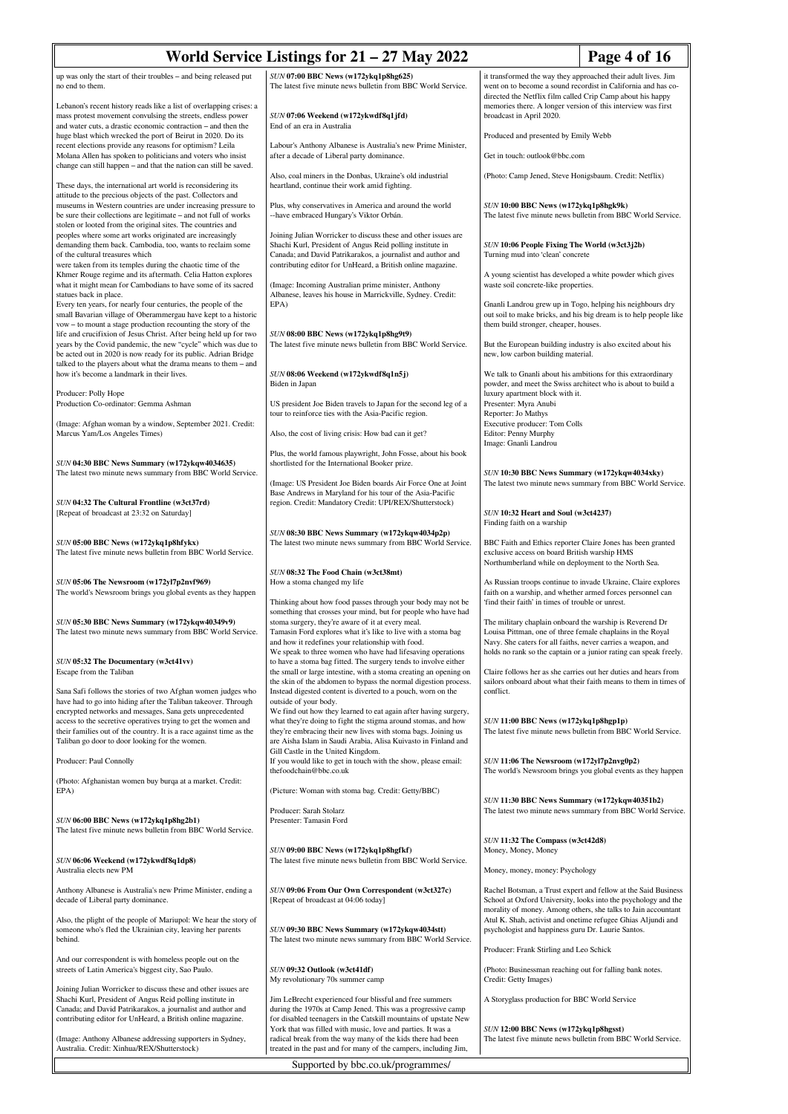| World Service Listings for $21 - 27$ May 2022<br>Page 4 of 16                                                                                                                                                                                                          |                                                                                                                                                                                                                                        |                                                                                                                                                                                                    |                                                                                                                                                                                                   |
|------------------------------------------------------------------------------------------------------------------------------------------------------------------------------------------------------------------------------------------------------------------------|----------------------------------------------------------------------------------------------------------------------------------------------------------------------------------------------------------------------------------------|----------------------------------------------------------------------------------------------------------------------------------------------------------------------------------------------------|---------------------------------------------------------------------------------------------------------------------------------------------------------------------------------------------------|
| up was only the start of their troubles - and being released put<br>no end to them.                                                                                                                                                                                    | SUN 07:00 BBC News (w172ykq1p8hg625)<br>The latest five minute news bulletin from BBC World Service.                                                                                                                                   | it transformed the way they approached their adult lives. Jim<br>went on to become a sound recordist in California and has co-<br>directed the Netflix film called Crip Camp about his happy       |                                                                                                                                                                                                   |
| Lebanon's recent history reads like a list of overlapping crises: a<br>mass protest movement convulsing the streets, endless power<br>and water cuts, a drastic economic contraction - and then the<br>huge blast which wrecked the port of Beirut in 2020. Do its     | SUN 07:06 Weekend (w172ykwdf8q1jfd)<br>End of an era in Australia                                                                                                                                                                      | memories there. A longer version of this interview was first<br>broadcast in April 2020.<br>Produced and presented by Emily Webb                                                                   |                                                                                                                                                                                                   |
| recent elections provide any reasons for optimism? Leila<br>Molana Allen has spoken to politicians and voters who insist                                                                                                                                               | Labour's Anthony Albanese is Australia's new Prime Minister,<br>after a decade of Liberal party dominance.                                                                                                                             | Get in touch: outlook@bbc.com                                                                                                                                                                      |                                                                                                                                                                                                   |
| change can still happen - and that the nation can still be saved.<br>These days, the international art world is reconsidering its                                                                                                                                      | Also, coal miners in the Donbas, Ukraine's old industrial<br>heartland, continue their work amid fighting.                                                                                                                             | (Photo: Camp Jened, Steve Honigsbaum. Credit: Netflix)                                                                                                                                             |                                                                                                                                                                                                   |
| attitude to the precious objects of the past. Collectors and<br>museums in Western countries are under increasing pressure to<br>be sure their collections are legitimate – and not full of works<br>stolen or looted from the original sites. The countries and       | Plus, why conservatives in America and around the world<br>-- have embraced Hungary's Viktor Orbán.                                                                                                                                    | SUN 10:00 BBC News (w172ykq1p8hgk9k)                                                                                                                                                               | The latest five minute news bulletin from BBC World Service.                                                                                                                                      |
| peoples where some art works originated are increasingly<br>demanding them back. Cambodia, too, wants to reclaim some<br>of the cultural treasures which                                                                                                               | Joining Julian Worricker to discuss these and other issues are<br>Shachi Kurl, President of Angus Reid polling institute in<br>Canada; and David Patrikarakos, a journalist and author and                                             | SUN 10:06 People Fixing The World (w3ct3j2b)<br>Turning mud into 'clean' concrete                                                                                                                  |                                                                                                                                                                                                   |
| were taken from its temples during the chaotic time of the<br>Khmer Rouge regime and its aftermath. Celia Hatton explores<br>what it might mean for Cambodians to have some of its sacred                                                                              | contributing editor for UnHeard, a British online magazine.<br>(Image: Incoming Australian prime minister, Anthony                                                                                                                     | A young scientist has developed a white powder which gives<br>waste soil concrete-like properties.                                                                                                 |                                                                                                                                                                                                   |
| statues back in place.<br>Every ten years, for nearly four centuries, the people of the<br>small Bavarian village of Oberammergau have kept to a historic                                                                                                              | Albanese, leaves his house in Marrickville, Sydney. Credit:<br>EPA)                                                                                                                                                                    | Gnanli Landrou grew up in Togo, helping his neighbours dry                                                                                                                                         | out soil to make bricks, and his big dream is to help people like                                                                                                                                 |
| vow – to mount a stage production recounting the story of the<br>life and crucifixion of Jesus Christ. After being held up for two<br>years by the Covid pandemic, the new "cycle" which was due to<br>be acted out in 2020 is now ready for its public. Adrian Bridge | SUN 08:00 BBC News (w172ykq1p8hg9t9)<br>The latest five minute news bulletin from BBC World Service.                                                                                                                                   | them build stronger, cheaper, houses.<br>But the European building industry is also excited about his<br>new, low carbon building material.                                                        |                                                                                                                                                                                                   |
| talked to the players about what the drama means to them - and<br>how it's become a landmark in their lives.                                                                                                                                                           | SUN 08:06 Weekend (w172ykwdf8q1n5j)<br>Biden in Japan                                                                                                                                                                                  | We talk to Gnanli about his ambitions for this extraordinary<br>powder, and meet the Swiss architect who is about to build a                                                                       |                                                                                                                                                                                                   |
| Producer: Polly Hope<br>Production Co-ordinator: Gemma Ashman                                                                                                                                                                                                          | US president Joe Biden travels to Japan for the second leg of a<br>tour to reinforce ties with the Asia-Pacific region.                                                                                                                | luxury apartment block with it.<br>Presenter: Myra Anubi<br>Reporter: Jo Mathys                                                                                                                    |                                                                                                                                                                                                   |
| (Image: Afghan woman by a window, September 2021. Credit:<br>Marcus Yam/Los Angeles Times)                                                                                                                                                                             | Also, the cost of living crisis: How bad can it get?                                                                                                                                                                                   | Executive producer: Tom Colls<br>Editor: Penny Murphy<br>Image: Gnanli Landrou                                                                                                                     |                                                                                                                                                                                                   |
| SUN 04:30 BBC News Summary (w172ykqw4034635)<br>The latest two minute news summary from BBC World Service.                                                                                                                                                             | Plus, the world famous playwright, John Fosse, about his book<br>shortlisted for the International Booker prize.                                                                                                                       | SUN 10:30 BBC News Summary (w172ykqw4034xky)                                                                                                                                                       |                                                                                                                                                                                                   |
| SUN 04:32 The Cultural Frontline (w3ct37rd)<br>[Repeat of broadcast at 23:32 on Saturday]                                                                                                                                                                              | (Image: US President Joe Biden boards Air Force One at Joint<br>Base Andrews in Maryland for his tour of the Asia-Pacific<br>region. Credit: Mandatory Credit: UPI/REX/Shutterstock)                                                   | SUN 10:32 Heart and Soul (w3ct4237)                                                                                                                                                                | The latest two minute news summary from BBC World Service.                                                                                                                                        |
| SUN 05:00 BBC News (w172ykq1p8hfykx)<br>The latest five minute news bulletin from BBC World Service.                                                                                                                                                                   | SUN 08:30 BBC News Summary (w172ykqw4034p2p)<br>The latest two minute news summary from BBC World Service.                                                                                                                             | Finding faith on a warship<br>BBC Faith and Ethics reporter Claire Jones has been granted<br>exclusive access on board British warship HMS<br>Northumberland while on deployment to the North Sea. |                                                                                                                                                                                                   |
| SUN 05:06 The Newsroom (w172yl7p2nvf969)                                                                                                                                                                                                                               | SUN 08:32 The Food Chain (w3ct38mt)<br>How a stoma changed my life                                                                                                                                                                     | As Russian troops continue to invade Ukraine, Claire explores                                                                                                                                      |                                                                                                                                                                                                   |
| The world's Newsroom brings you global events as they happen                                                                                                                                                                                                           | Thinking about how food passes through your body may not be<br>something that crosses your mind, but for people who have had                                                                                                           | faith on a warship, and whether armed forces personnel can<br>'find their faith' in times of trouble or unrest.                                                                                    |                                                                                                                                                                                                   |
| SUN 05:30 BBC News Summary (w172ykqw40349y9)<br>The latest two minute news summary from BBC World Service.                                                                                                                                                             | stoma surgery, they're aware of it at every meal.<br>Tamasin Ford explores what it's like to live with a stoma bag<br>and how it redefines your relationship with food.<br>We speak to three women who have had lifesaving operations  | The military chaplain onboard the warship is Reverend Dr<br>Louisa Pittman, one of three female chaplains in the Royal<br>Navy. She caters for all faiths, never carries a weapon, and             | holds no rank so the captain or a junior rating can speak freely.                                                                                                                                 |
| SUN 05:32 The Documentary (w3ct41vv)<br>Escape from the Taliban                                                                                                                                                                                                        | to have a stoma bag fitted. The surgery tends to involve either<br>the small or large intestine, with a stoma creating an opening on<br>the skin of the abdomen to bypass the normal digestion process.                                |                                                                                                                                                                                                    | Claire follows her as she carries out her duties and hears from<br>sailors onboard about what their faith means to them in times of                                                               |
| Sana Safi follows the stories of two Afghan women judges who<br>have had to go into hiding after the Taliban takeover. Through<br>encrypted networks and messages, Sana gets unprecedented                                                                             | Instead digested content is diverted to a pouch, worn on the<br>outside of your body.<br>We find out how they learned to eat again after having surgery,                                                                               | conflict.                                                                                                                                                                                          |                                                                                                                                                                                                   |
| access to the secretive operatives trying to get the women and<br>their families out of the country. It is a race against time as the<br>Taliban go door to door looking for the women.                                                                                | what they're doing to fight the stigma around stomas, and how<br>they're embracing their new lives with stoma bags. Joining us<br>are Aisha Islam in Saudi Arabia, Alisa Kuivasto in Finland and<br>Gill Castle in the United Kingdom. | SUN 11:00 BBC News (w172ykq1p8hgp1p)                                                                                                                                                               | The latest five minute news bulletin from BBC World Service.                                                                                                                                      |
| Producer: Paul Connolly                                                                                                                                                                                                                                                | If you would like to get in touch with the show, please email:<br>thefoodchain@bbc.co.uk                                                                                                                                               | SUN 11:06 The Newsroom (w172yl7p2nvg0p2)                                                                                                                                                           | The world's Newsroom brings you global events as they happen                                                                                                                                      |
| (Photo: Afghanistan women buy burqa at a market. Credit:<br>EPA)                                                                                                                                                                                                       | (Picture: Woman with stoma bag. Credit: Getty/BBC)                                                                                                                                                                                     | SUN 11:30 BBC News Summary (w172ykqw40351b2)                                                                                                                                                       |                                                                                                                                                                                                   |
| SUN 06:00 BBC News (w172ykq1p8hg2b1)<br>The latest five minute news bulletin from BBC World Service.                                                                                                                                                                   | Producer: Sarah Stolarz<br>Presenter: Tamasin Ford                                                                                                                                                                                     |                                                                                                                                                                                                    | The latest two minute news summary from BBC World Service.                                                                                                                                        |
| SUN 06:06 Weekend (w172ykwdf8q1dp8)<br>Australia elects new PM                                                                                                                                                                                                         | SUN 09:00 BBC News (w172ykq1p8hgfkf)<br>The latest five minute news bulletin from BBC World Service.                                                                                                                                   | SUN 11:32 The Compass (w3ct42d8)<br>Money, Money, Money<br>Money, money, money: Psychology                                                                                                         |                                                                                                                                                                                                   |
| Anthony Albanese is Australia's new Prime Minister, ending a<br>decade of Liberal party dominance.                                                                                                                                                                     | SUN 09:06 From Our Own Correspondent (w3ct327c)<br>[Repeat of broadcast at 04:06 today]                                                                                                                                                |                                                                                                                                                                                                    | Rachel Botsman, a Trust expert and fellow at the Said Business<br>School at Oxford University, looks into the psychology and the<br>morality of money. Among others, she talks to Jain accountant |
| Also, the plight of the people of Mariupol: We hear the story of<br>someone who's fled the Ukrainian city, leaving her parents<br>behind.                                                                                                                              | SUN 09:30 BBC News Summary (w172ykqw4034stt)<br>The latest two minute news summary from BBC World Service.                                                                                                                             | psychologist and happiness guru Dr. Laurie Santos.                                                                                                                                                 | Atul K. Shah, activist and onetime refugee Ghias Aljundi and                                                                                                                                      |
| And our correspondent is with homeless people out on the<br>streets of Latin America's biggest city, Sao Paulo.                                                                                                                                                        | SUN 09:32 Outlook (w3ct41df)                                                                                                                                                                                                           | Producer: Frank Stirling and Leo Schick<br>(Photo: Businessman reaching out for falling bank notes.                                                                                                |                                                                                                                                                                                                   |
| Joining Julian Worricker to discuss these and other issues are<br>Shachi Kurl, President of Angus Reid polling institute in                                                                                                                                            | My revolutionary 70s summer camp<br>Jim LeBrecht experienced four blissful and free summers                                                                                                                                            | Credit: Getty Images)<br>A Storyglass production for BBC World Service                                                                                                                             |                                                                                                                                                                                                   |
| Canada; and David Patrikarakos, a journalist and author and<br>contributing editor for UnHeard, a British online magazine.                                                                                                                                             | during the 1970s at Camp Jened. This was a progressive camp<br>for disabled teenagers in the Catskill mountains of upstate New<br>York that was filled with music, love and parties. It was a                                          | SUN 12:00 BBC News (w172ykq1p8hgsst)                                                                                                                                                               |                                                                                                                                                                                                   |
| (Image: Anthony Albanese addressing supporters in Sydney,<br>Australia. Credit: Xinhua/REX/Shutterstock)                                                                                                                                                               | radical break from the way many of the kids there had been<br>treated in the past and for many of the campers, including Jim,                                                                                                          |                                                                                                                                                                                                    | The latest five minute news bulletin from BBC World Service.                                                                                                                                      |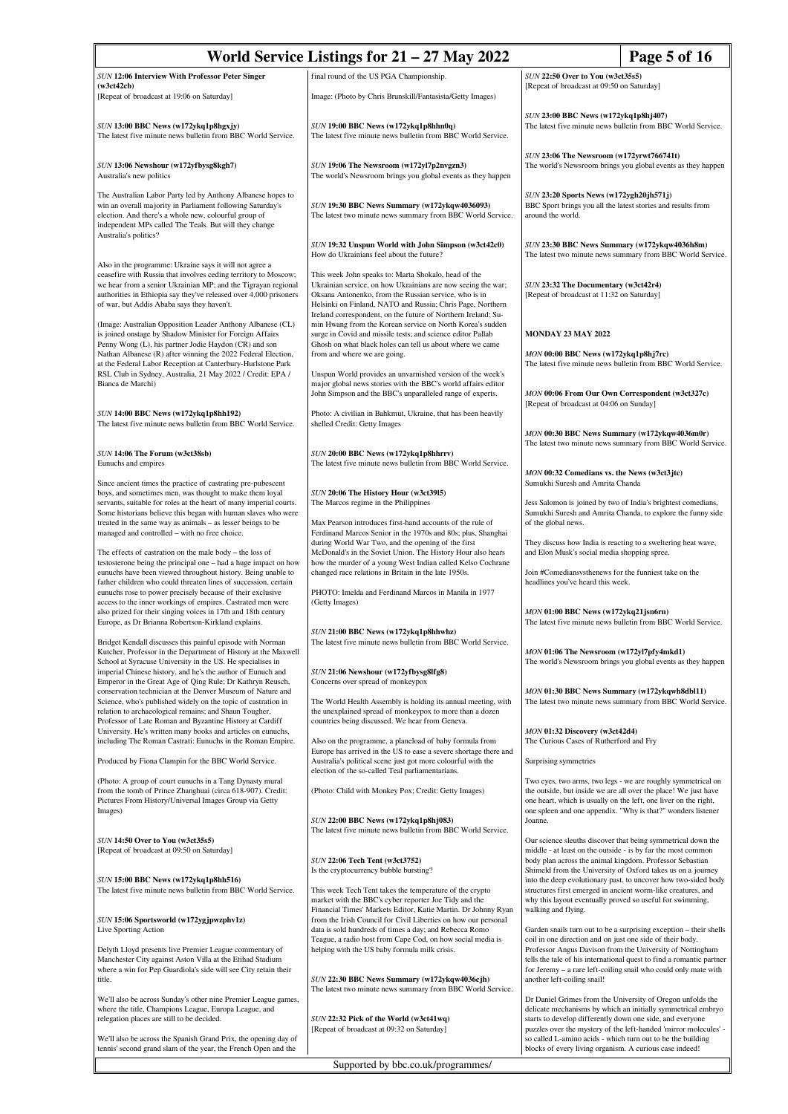| World Service Listings for $21 - 27$ May 2022<br>Page 5 of 16                                                                                                                                                                                                                                                  |                                                                                                                                                                                                                                                                                                              |                                                                                                                                                                                                                                                           |  |
|----------------------------------------------------------------------------------------------------------------------------------------------------------------------------------------------------------------------------------------------------------------------------------------------------------------|--------------------------------------------------------------------------------------------------------------------------------------------------------------------------------------------------------------------------------------------------------------------------------------------------------------|-----------------------------------------------------------------------------------------------------------------------------------------------------------------------------------------------------------------------------------------------------------|--|
| SUN 12:06 Interview With Professor Peter Singer                                                                                                                                                                                                                                                                | final round of the US PGA Championship.                                                                                                                                                                                                                                                                      | SUN 22:50 Over to You (w3ct35s5)                                                                                                                                                                                                                          |  |
| (w3ct42cb)<br>[Repeat of broadcast at 19:06 on Saturday]                                                                                                                                                                                                                                                       | Image: (Photo by Chris Brunskill/Fantasista/Getty Images)                                                                                                                                                                                                                                                    | [Repeat of broadcast at 09:50 on Saturday]                                                                                                                                                                                                                |  |
|                                                                                                                                                                                                                                                                                                                |                                                                                                                                                                                                                                                                                                              |                                                                                                                                                                                                                                                           |  |
| SUN 13:00 BBC News (w172ykq1p8hgxjy)<br>The latest five minute news bulletin from BBC World Service.                                                                                                                                                                                                           | SUN 19:00 BBC News (w172ykq1p8hhn0q)<br>The latest five minute news bulletin from BBC World Service.                                                                                                                                                                                                         | SUN 23:00 BBC News (w172ykq1p8hj407)<br>The latest five minute news bulletin from BBC World Service.                                                                                                                                                      |  |
| SUN 13:06 Newshour (w172yfbysg8kgh7)<br>Australia's new politics                                                                                                                                                                                                                                               | SUN 19:06 The Newsroom (w172yl7p2nvgzn3)<br>The world's Newsroom brings you global events as they happen                                                                                                                                                                                                     | SUN 23:06 The Newsroom (w172yrwt766741t)<br>The world's Newsroom brings you global events as they happen                                                                                                                                                  |  |
| The Australian Labor Party led by Anthony Albanese hopes to<br>win an overall majority in Parliament following Saturday's<br>election. And there's a whole new, colourful group of<br>independent MPs called The Teals. But will they change                                                                   | SUN 19:30 BBC News Summary (w172ykqw4036093)<br>The latest two minute news summary from BBC World Service.                                                                                                                                                                                                   | SUN 23:20 Sports News (w172ygh20jh571j)<br>BBC Sport brings you all the latest stories and results from<br>around the world.                                                                                                                              |  |
| Australia's politics?                                                                                                                                                                                                                                                                                          | SUN 19:32 Unspun World with John Simpson (w3ct42c0)<br>How do Ukrainians feel about the future?                                                                                                                                                                                                              | SUN 23:30 BBC News Summary (w172ykqw4036h8m)<br>The latest two minute news summary from BBC World Service.                                                                                                                                                |  |
| Also in the programme: Ukraine says it will not agree a<br>ceasefire with Russia that involves ceding territory to Moscow;<br>we hear from a senior Ukrainian MP; and the Tigrayan regional<br>authorities in Ethiopia say they've released over 4,000 prisoners<br>of war, but Addis Ababa says they haven't. | This week John speaks to: Marta Shokalo, head of the<br>Ukrainian service, on how Ukrainians are now seeing the war;<br>Oksana Antonenko, from the Russian service, who is in<br>Helsinki on Finland, NATO and Russia; Chris Page, Northern<br>Ireland correspondent, on the future of Northern Ireland; Su- | SUN 23:32 The Documentary (w3ct42r4)<br>[Repeat of broadcast at 11:32 on Saturday]                                                                                                                                                                        |  |
| (Image: Australian Opposition Leader Anthony Albanese (CL)<br>is joined onstage by Shadow Minister for Foreign Affairs<br>Penny Wong (L), his partner Jodie Haydon (CR) and son                                                                                                                                | min Hwang from the Korean service on North Korea's sudden<br>surge in Covid and missile tests; and science editor Pallab<br>Ghosh on what black holes can tell us about where we came                                                                                                                        | <b>MONDAY 23 MAY 2022</b>                                                                                                                                                                                                                                 |  |
| Nathan Albanese (R) after winning the 2022 Federal Election,<br>at the Federal Labor Reception at Canterbury-Hurlstone Park<br>RSL Club in Sydney, Australia, 21 May 2022 / Credit: EPA /                                                                                                                      | from and where we are going.<br>Unspun World provides an unvarnished version of the week's                                                                                                                                                                                                                   | MON 00:00 BBC News (w172ykq1p8hj7rc)<br>The latest five minute news bulletin from BBC World Service.                                                                                                                                                      |  |
| Bianca de Marchi)                                                                                                                                                                                                                                                                                              | major global news stories with the BBC's world affairs editor<br>John Simpson and the BBC's unparalleled range of experts.                                                                                                                                                                                   | MON 00:06 From Our Own Correspondent (w3ct327c)<br>[Repeat of broadcast at 04:06 on Sunday]                                                                                                                                                               |  |
| SUN 14:00 BBC News (w172ykq1p8hh192)<br>The latest five minute news bulletin from BBC World Service.                                                                                                                                                                                                           | Photo: A civilian in Bahkmut, Ukraine, that has been heavily<br>shelled Credit: Getty Images                                                                                                                                                                                                                 | MON 00:30 BBC News Summary (w172ykqw4036m0r)                                                                                                                                                                                                              |  |
| SUN 14:06 The Forum (w3ct38sb)<br>Eunuchs and empires                                                                                                                                                                                                                                                          | SUN 20:00 BBC News (w172ykq1p8hhrrv)<br>The latest five minute news bulletin from BBC World Service.                                                                                                                                                                                                         | The latest two minute news summary from BBC World Service.                                                                                                                                                                                                |  |
| Since ancient times the practice of castrating pre-pubescent                                                                                                                                                                                                                                                   |                                                                                                                                                                                                                                                                                                              | MON 00:32 Comedians vs. the News (w3ct3jtc)<br>Sumukhi Suresh and Amrita Chanda                                                                                                                                                                           |  |
| boys, and sometimes men, was thought to make them loyal<br>servants, suitable for roles at the heart of many imperial courts.<br>Some historians believe this began with human slaves who were<br>treated in the same way as animals - as lesser beings to be                                                  | SUN 20:06 The History Hour (w3ct3915)<br>The Marcos regime in the Philippines<br>Max Pearson introduces first-hand accounts of the rule of<br>Ferdinand Marcos Senior in the 1970s and 80s; plus, Shanghai                                                                                                   | Jess Salomon is joined by two of India's brightest comedians,<br>Sumukhi Suresh and Amrita Chanda, to explore the funny side<br>of the global news.                                                                                                       |  |
| managed and controlled - with no free choice.<br>The effects of castration on the male body – the loss of<br>testosterone being the principal one - had a huge impact on how                                                                                                                                   | during World War Two, and the opening of the first<br>McDonald's in the Soviet Union. The History Hour also hears<br>how the murder of a young West Indian called Kelso Cochrane                                                                                                                             | They discuss how India is reacting to a sweltering heat wave,<br>and Elon Musk's social media shopping spree.                                                                                                                                             |  |
| eunuchs have been viewed throughout history. Being unable to<br>father children who could threaten lines of succession, certain<br>eunuchs rose to power precisely because of their exclusive<br>access to the inner workings of empires. Castrated men were                                                   | changed race relations in Britain in the late 1950s.<br>PHOTO: Imelda and Ferdinand Marcos in Manila in 1977<br>(Getty Images)                                                                                                                                                                               | Join #Comediansysthenews for the funniest take on the<br>headlines you've heard this week.                                                                                                                                                                |  |
| also prized for their singing voices in 17th and 18th century<br>Europe, as Dr Brianna Robertson-Kirkland explains.                                                                                                                                                                                            | SUN 21:00 BBC News (w172ykq1p8hhwhz)                                                                                                                                                                                                                                                                         | MON 01:00 BBC News (w172ykq21jsn6rn)<br>The latest five minute news bulletin from BBC World Service.                                                                                                                                                      |  |
| Bridget Kendall discusses this painful episode with Norman<br>Kutcher, Professor in the Department of History at the Maxwell<br>School at Syracuse University in the US. He specialises in<br>imperial Chinese history, and he's the author of Eunuch and                                                      | The latest five minute news bulletin from BBC World Service.<br>SUN 21:06 Newshour (w172yfbysg8lfg8)                                                                                                                                                                                                         | MON 01:06 The Newsroom (w172yl7pfy4mkd1)<br>The world's Newsroom brings you global events as they happen                                                                                                                                                  |  |
| Emperor in the Great Age of Qing Rule; Dr Kathryn Reusch,<br>conservation technician at the Denver Museum of Nature and<br>Science, who's published widely on the topic of castration in                                                                                                                       | Concerns over spread of monkeypox<br>The World Health Assembly is holding its annual meeting, with                                                                                                                                                                                                           | MON 01:30 BBC News Summary (w172ykqwh8dbl11)<br>The latest two minute news summary from BBC World Service.                                                                                                                                                |  |
| relation to archaeological remains; and Shaun Tougher,<br>Professor of Late Roman and Byzantine History at Cardiff<br>University. He's written many books and articles on eunuchs,                                                                                                                             | the unexplained spread of monkeypox to more than a dozen<br>countries being discussed. We hear from Geneva.                                                                                                                                                                                                  | MON 01:32 Discovery (w3ct42d4)                                                                                                                                                                                                                            |  |
| including The Roman Castrati: Eunuchs in the Roman Empire.<br>Produced by Fiona Clampin for the BBC World Service.                                                                                                                                                                                             | Also on the programme, a planeload of baby formula from<br>Europe has arrived in the US to ease a severe shortage there and<br>Australia's political scene just got more colourful with the                                                                                                                  | The Curious Cases of Rutherford and Fry<br>Surprising symmetries                                                                                                                                                                                          |  |
| (Photo: A group of court eunuchs in a Tang Dynasty mural<br>from the tomb of Prince Zhanghuai (circa 618-907). Credit:                                                                                                                                                                                         | election of the so-called Teal parliamentarians.<br>(Photo: Child with Monkey Pox; Credit: Getty Images)                                                                                                                                                                                                     | Two eyes, two arms, two legs - we are roughly symmetrical on<br>the outside, but inside we are all over the place! We just have                                                                                                                           |  |
| Pictures From History/Universal Images Group via Getty<br>Images)                                                                                                                                                                                                                                              | SUN 22:00 BBC News (w172ykq1p8hj083)                                                                                                                                                                                                                                                                         | one heart, which is usually on the left, one liver on the right,<br>one spleen and one appendix. "Why is that?" wonders listener<br>Joanne.                                                                                                               |  |
|                                                                                                                                                                                                                                                                                                                | The latest five minute news bulletin from BBC World Service.                                                                                                                                                                                                                                                 |                                                                                                                                                                                                                                                           |  |
| SUN 14:50 Over to You (w3ct35s5)<br>[Repeat of broadcast at 09:50 on Saturday]                                                                                                                                                                                                                                 |                                                                                                                                                                                                                                                                                                              | Our science sleuths discover that being symmetrical down the<br>middle - at least on the outside - is by far the most common                                                                                                                              |  |
| SUN 15:00 BBC News (w172ykq1p8hh516)<br>The latest five minute news bulletin from BBC World Service.                                                                                                                                                                                                           | SUN 22:06 Tech Tent (w3ct3752)<br>Is the cryptocurrency bubble bursting?<br>This week Tech Tent takes the temperature of the crypto                                                                                                                                                                          | body plan across the animal kingdom. Professor Sebastian<br>Shimeld from the University of Oxford takes us on a journey<br>into the deep evolutionary past, to uncover how two-sided body<br>structures first emerged in ancient worm-like creatures, and |  |
| SUN 15:06 Sportsworld (w172ygjpwzphv1z)                                                                                                                                                                                                                                                                        | market with the BBC's cyber reporter Joe Tidy and the<br>Financial Times' Markets Editor, Katie Martin. Dr Johnny Ryan<br>from the Irish Council for Civil Liberties on how our personal                                                                                                                     | why this layout eventually proved so useful for swimming,<br>walking and flying.                                                                                                                                                                          |  |
| Live Sporting Action                                                                                                                                                                                                                                                                                           | data is sold hundreds of times a day; and Rebecca Romo<br>Teague, a radio host from Cape Cod, on how social media is                                                                                                                                                                                         | Garden snails turn out to be a surprising exception - their shells<br>coil in one direction and on just one side of their body.                                                                                                                           |  |
| Delyth Lloyd presents live Premier League commentary of<br>Manchester City against Aston Villa at the Etihad Stadium<br>where a win for Pep Guardiola's side will see City retain their                                                                                                                        | helping with the US baby formula milk crisis.                                                                                                                                                                                                                                                                | Professor Angus Davison from the University of Nottingham<br>tells the tale of his international quest to find a romantic partner<br>for Jeremy - a rare left-coiling snail who could only mate with                                                      |  |
| title.                                                                                                                                                                                                                                                                                                         | SUN 22:30 BBC News Summary (w172ykqw4036cjh)<br>The latest two minute news summary from BBC World Service.                                                                                                                                                                                                   | another left-coiling snail!                                                                                                                                                                                                                               |  |
| We'll also be across Sunday's other nine Premier League games,<br>where the title, Champions League, Europa League, and<br>relegation places are still to be decided.                                                                                                                                          | SUN 22:32 Pick of the World (w3ct41wq)                                                                                                                                                                                                                                                                       | Dr Daniel Grimes from the University of Oregon unfolds the<br>delicate mechanisms by which an initially symmetrical embryo<br>starts to develop differently down one side, and everyone                                                                   |  |
| We'll also be across the Spanish Grand Prix, the opening day of<br>tennis' second grand slam of the year, the French Open and the                                                                                                                                                                              | [Repeat of broadcast at 09:32 on Saturday]                                                                                                                                                                                                                                                                   | puzzles over the mystery of the left-handed 'mirror molecules' -<br>so called L-amino acids - which turn out to be the building<br>blocks of every living organism. A curious case indeed!                                                                |  |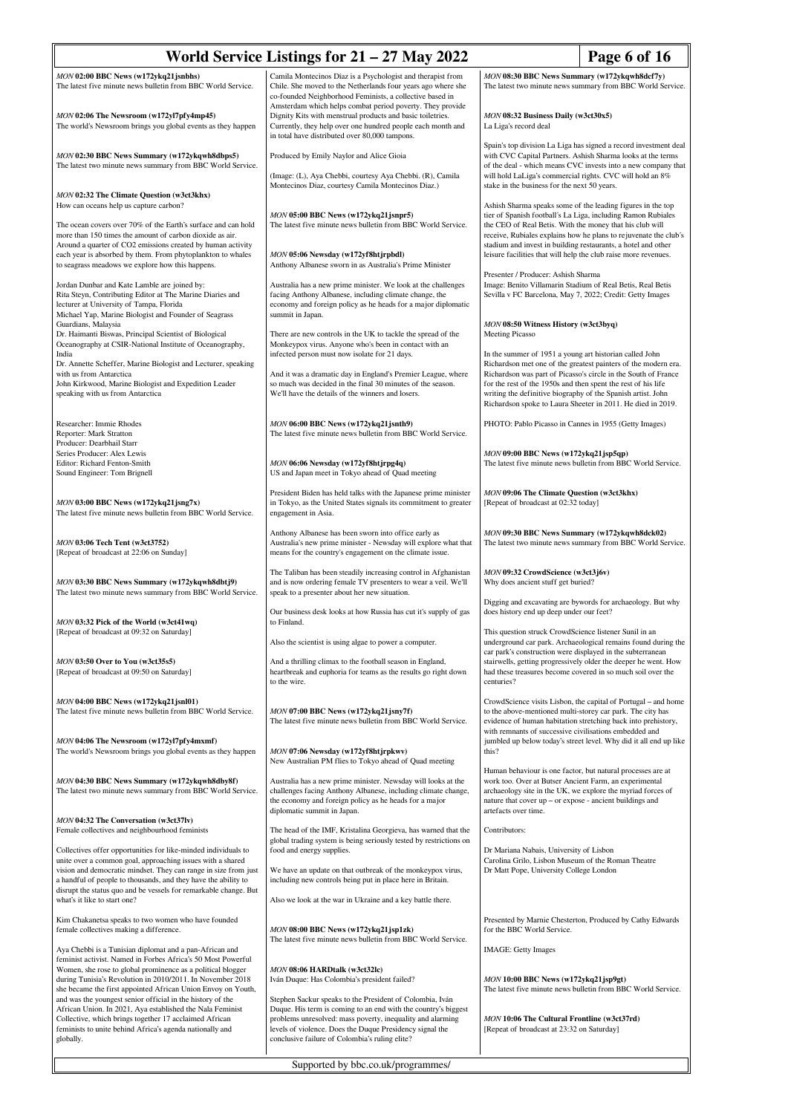| World Service Listings for $21 - 27$ May 2022                                                                                                                                                                                                                                                                                         | Page 6 of 16                                                                                                                                                                                                                                                                                           |                                                                                                                                                                                                                                                                                                                                  |                                                                                                                                                                                                 |
|---------------------------------------------------------------------------------------------------------------------------------------------------------------------------------------------------------------------------------------------------------------------------------------------------------------------------------------|--------------------------------------------------------------------------------------------------------------------------------------------------------------------------------------------------------------------------------------------------------------------------------------------------------|----------------------------------------------------------------------------------------------------------------------------------------------------------------------------------------------------------------------------------------------------------------------------------------------------------------------------------|-------------------------------------------------------------------------------------------------------------------------------------------------------------------------------------------------|
| MON 02:00 BBC News (w172ykq21jsnbhs)<br>The latest five minute news bulletin from BBC World Service.                                                                                                                                                                                                                                  | Camila Montecinos Díaz is a Psychologist and therapist from<br>Chile. She moved to the Netherlands four years ago where she<br>co-founded Neighborhood Feminists, a collective based in                                                                                                                | MON 08:30 BBC News Summary (w172ykqwh8dcf7y)<br>The latest two minute news summary from BBC World Service.                                                                                                                                                                                                                       |                                                                                                                                                                                                 |
| MON 02:06 The Newsroom (w172yl7pfy4mp45)<br>The world's Newsroom brings you global events as they happen                                                                                                                                                                                                                              | Amsterdam which helps combat period poverty. They provide<br>Dignity Kits with menstrual products and basic toiletries.<br>Currently, they help over one hundred people each month and<br>in total have distributed over 80,000 tampons.                                                               | MON 08:32 Business Daily (w3ct30x5)<br>La Liga's record deal                                                                                                                                                                                                                                                                     |                                                                                                                                                                                                 |
| MON 02:30 BBC News Summary (w172ykqwh8dbps5)<br>The latest two minute news summary from BBC World Service.                                                                                                                                                                                                                            | Produced by Emily Naylor and Alice Gioia<br>(Image: (L), Aya Chebbi, courtesy Aya Chebbi. (R), Camila                                                                                                                                                                                                  | Spain's top division La Liga has signed a record investment deal<br>with CVC Capital Partners. Ashish Sharma looks at the terms<br>of the deal - which means CVC invests into a new company that<br>will hold LaLiga's commercial rights. CVC will hold an 8%                                                                    |                                                                                                                                                                                                 |
| MON 02:32 The Climate Question (w3ct3khx)<br>How can oceans help us capture carbon?                                                                                                                                                                                                                                                   | Montecinos Diaz, courtesy Camila Montecinos Diaz.)<br>MON 05:00 BBC News (w172ykq21jsnpr5)                                                                                                                                                                                                             | stake in the business for the next 50 years.                                                                                                                                                                                                                                                                                     | Ashish Sharma speaks some of the leading figures in the top                                                                                                                                     |
| The ocean covers over 70% of the Earth's surface and can hold<br>more than 150 times the amount of carbon dioxide as air.<br>Around a quarter of CO2 emissions created by human activity<br>each year is absorbed by them. From phytoplankton to whales                                                                               | The latest five minute news bulletin from BBC World Service.<br>MON 05:06 Newsday (w172yf8htjrpbdl)                                                                                                                                                                                                    | tier of Spanish football's La Liga, including Ramon Rubiales<br>the CEO of Real Betis. With the money that his club will<br>receive, Rubiales explains how he plans to rejuvenate the club's<br>stadium and invest in building restaurants, a hotel and other<br>leisure facilities that will help the club raise more revenues. |                                                                                                                                                                                                 |
| to seagrass meadows we explore how this happens.                                                                                                                                                                                                                                                                                      | Anthony Albanese sworn in as Australia's Prime Minister                                                                                                                                                                                                                                                | Presenter / Producer: Ashish Sharma                                                                                                                                                                                                                                                                                              |                                                                                                                                                                                                 |
| Jordan Dunbar and Kate Lamble are joined by:<br>Rita Steyn, Contributing Editor at The Marine Diaries and<br>lecturer at University of Tampa, Florida<br>Michael Yap, Marine Biologist and Founder of Seagrass                                                                                                                        | Australia has a new prime minister. We look at the challenges<br>facing Anthony Albanese, including climate change, the<br>economy and foreign policy as he heads for a major diplomatic<br>summit in Japan.                                                                                           | Image: Benito Villamarin Stadium of Real Betis, Real Betis<br>Sevilla v FC Barcelona, May 7, 2022; Credit: Getty Images                                                                                                                                                                                                          |                                                                                                                                                                                                 |
| Guardians, Malaysia<br>Dr. Haimanti Biswas, Principal Scientist of Biological<br>Oceanography at CSIR-National Institute of Oceanography,<br>India                                                                                                                                                                                    | There are new controls in the UK to tackle the spread of the<br>Monkeypox virus. Anyone who's been in contact with an<br>infected person must now isolate for 21 days.                                                                                                                                 | MON 08:50 Witness History (w3ct3byq)<br>Meeting Picasso<br>In the summer of 1951 a young art historian called John                                                                                                                                                                                                               |                                                                                                                                                                                                 |
| Dr. Annette Scheffer, Marine Biologist and Lecturer, speaking<br>with us from Antarctica<br>John Kirkwood, Marine Biologist and Expedition Leader<br>speaking with us from Antarctica                                                                                                                                                 | And it was a dramatic day in England's Premier League, where<br>so much was decided in the final 30 minutes of the season.<br>We'll have the details of the winners and losers.                                                                                                                        | for the rest of the 1950s and then spent the rest of his life<br>writing the definitive biography of the Spanish artist. John                                                                                                                                                                                                    | Richardson met one of the greatest painters of the modern era.<br>Richardson was part of Picasso's circle in the South of France<br>Richardson spoke to Laura Sheeter in 2011. He died in 2019. |
| Researcher: Immie Rhodes<br>Reporter: Mark Stratton                                                                                                                                                                                                                                                                                   | MON 06:00 BBC News (w172ykq21jsnth9)<br>The latest five minute news bulletin from BBC World Service.                                                                                                                                                                                                   | PHOTO: Pablo Picasso in Cannes in 1955 (Getty Images)                                                                                                                                                                                                                                                                            |                                                                                                                                                                                                 |
| Producer: Dearbhail Starr<br>Series Producer: Alex Lewis<br>Editor: Richard Fenton-Smith<br>Sound Engineer: Tom Brignell                                                                                                                                                                                                              | MON 06:06 Newsday (w172yf8htjrpg4q)<br>US and Japan meet in Tokyo ahead of Quad meeting                                                                                                                                                                                                                | MON 09:00 BBC News (w172ykq21jsp5qp)                                                                                                                                                                                                                                                                                             | The latest five minute news bulletin from BBC World Service.                                                                                                                                    |
| MON 03:00 BBC News (w172ykq21jsng7x)<br>The latest five minute news bulletin from BBC World Service.                                                                                                                                                                                                                                  | President Biden has held talks with the Japanese prime minister<br>in Tokyo, as the United States signals its commitment to greater<br>engagement in Asia.                                                                                                                                             | <b>MON 09:06 The Climate Question (w3ct3khx)</b><br>[Repeat of broadcast at 02:32 today]                                                                                                                                                                                                                                         |                                                                                                                                                                                                 |
| MON 03:06 Tech Tent (w3ct3752)<br>[Repeat of broadcast at 22:06 on Sunday]                                                                                                                                                                                                                                                            | Anthony Albanese has been sworn into office early as<br>Australia's new prime minister - Newsday will explore what that<br>means for the country's engagement on the climate issue.                                                                                                                    | MON 09:30 BBC News Summary (w172ykqwh8dck02)                                                                                                                                                                                                                                                                                     | The latest two minute news summary from BBC World Service.                                                                                                                                      |
| MON 03:30 BBC News Summary (w172ykqwh8dbtj9)<br>The latest two minute news summary from BBC World Service.                                                                                                                                                                                                                            | The Taliban has been steadily increasing control in Afghanistan<br>and is now ordering female TV presenters to wear a veil. We'll<br>speak to a presenter about her new situation.                                                                                                                     | MON 09:32 CrowdScience (w3ct3j6v)<br>Why does ancient stuff get buried?                                                                                                                                                                                                                                                          |                                                                                                                                                                                                 |
| MON 03:32 Pick of the World (w3ct41wq)                                                                                                                                                                                                                                                                                                | Our business desk looks at how Russia has cut it's supply of gas<br>to Finland.                                                                                                                                                                                                                        | Digging and excavating are bywords for archaeology. But why<br>does history end up deep under our feet?                                                                                                                                                                                                                          |                                                                                                                                                                                                 |
| [Repeat of broadcast at 09:32 on Saturday]                                                                                                                                                                                                                                                                                            | Also the scientist is using algae to power a computer.                                                                                                                                                                                                                                                 | This question struck CrowdScience listener Sunil in an<br>car park's construction were displayed in the subterranean                                                                                                                                                                                                             | underground car park. Archaeological remains found during the                                                                                                                                   |
| MON 03:50 Over to You (w3ct35s5)<br>[Repeat of broadcast at 09:50 on Saturday]                                                                                                                                                                                                                                                        | And a thrilling climax to the football season in England,<br>heartbreak and euphoria for teams as the results go right down<br>to the wire.                                                                                                                                                            | centuries?                                                                                                                                                                                                                                                                                                                       | stairwells, getting progressively older the deeper he went. How<br>had these treasures become covered in so much soil over the                                                                  |
| MON 04:00 BBC News (w172ykq21jsnl01)<br>The latest five minute news bulletin from BBC World Service.                                                                                                                                                                                                                                  | $MON 07:00$ BBC News (w172ykq21jsny7f)<br>The latest five minute news bulletin from BBC World Service.                                                                                                                                                                                                 | to the above-mentioned multi-storey car park. The city has<br>with remnants of successive civilisations embedded and                                                                                                                                                                                                             | CrowdScience visits Lisbon, the capital of Portugal – and home<br>evidence of human habitation stretching back into prehistory,                                                                 |
| MON 04:06 The Newsroom (w172yl7pfy4mxmf)<br>The world's Newsroom brings you global events as they happen                                                                                                                                                                                                                              | MON 07:06 Newsday (w172yf8htjrpkwv)<br>New Australian PM flies to Tokyo ahead of Quad meeting                                                                                                                                                                                                          | this?<br>Human behaviour is one factor, but natural processes are at                                                                                                                                                                                                                                                             | jumbled up below today's street level. Why did it all end up like                                                                                                                               |
| MON 04:30 BBC News Summary (w172ykqwh8dby8f)<br>The latest two minute news summary from BBC World Service.                                                                                                                                                                                                                            | Australia has a new prime minister. Newsday will looks at the<br>challenges facing Anthony Albanese, including climate change,<br>the economy and foreign policy as he heads for a major<br>diplomatic summit in Japan.                                                                                | work too. Over at Butser Ancient Farm, an experimental<br>nature that cover up - or expose - ancient buildings and<br>artefacts over time.                                                                                                                                                                                       | archaeology site in the UK, we explore the myriad forces of                                                                                                                                     |
| MON 04:32 The Conversation (w3ct37lv)<br>Female collectives and neighbourhood feminists                                                                                                                                                                                                                                               | The head of the IMF, Kristalina Georgieva, has warned that the<br>global trading system is being seriously tested by restrictions on                                                                                                                                                                   | Contributors:                                                                                                                                                                                                                                                                                                                    |                                                                                                                                                                                                 |
| Collectives offer opportunities for like-minded individuals to<br>unite over a common goal, approaching issues with a shared<br>vision and democratic mindset. They can range in size from just<br>a handful of people to thousands, and they have the ability to<br>disrupt the status quo and be vessels for remarkable change. But | food and energy supplies.<br>We have an update on that outbreak of the monkeypox virus,<br>including new controls being put in place here in Britain.                                                                                                                                                  | Dr Mariana Nabais, University of Lisbon<br>Carolina Grilo, Lisbon Museum of the Roman Theatre<br>Dr Matt Pope, University College London                                                                                                                                                                                         |                                                                                                                                                                                                 |
| what's it like to start one?                                                                                                                                                                                                                                                                                                          | Also we look at the war in Ukraine and a key battle there.                                                                                                                                                                                                                                             |                                                                                                                                                                                                                                                                                                                                  |                                                                                                                                                                                                 |
| Kim Chakanetsa speaks to two women who have founded<br>female collectives making a difference.                                                                                                                                                                                                                                        | MON 08:00 BBC News (w172ykq21jsp1zk)<br>The latest five minute news bulletin from BBC World Service.                                                                                                                                                                                                   | for the BBC World Service.                                                                                                                                                                                                                                                                                                       | Presented by Marnie Chesterton, Produced by Cathy Edwards                                                                                                                                       |
| Aya Chebbi is a Tunisian diplomat and a pan-African and<br>feminist activist. Named in Forbes Africa's 50 Most Powerful<br>Women, she rose to global prominence as a political blogger<br>during Tunisia's Revolution in 2010/2011. In November 2018                                                                                  | MON 08:06 HARDtalk (w3ct32lc)<br>Iván Duque: Has Colombia's president failed?                                                                                                                                                                                                                          | <b>IMAGE:</b> Getty Images<br>MON 10:00 BBC News (w172ykq21jsp9gt)                                                                                                                                                                                                                                                               |                                                                                                                                                                                                 |
| she became the first appointed African Union Envoy on Youth,<br>and was the youngest senior official in the history of the<br>African Union. In 2021, Aya established the Nala Feminist<br>Collective, which brings together 17 acclaimed African<br>feminists to unite behind Africa's agenda nationally and<br>globally.            | Stephen Sackur speaks to the President of Colombia, Iván<br>Duque. His term is coming to an end with the country's biggest<br>problems unresolved: mass poverty, inequality and alarming<br>levels of violence. Does the Duque Presidency signal the<br>conclusive failure of Colombia's ruling elite? | MON 10:06 The Cultural Frontline (w3ct37rd)<br>[Repeat of broadcast at 23:32 on Saturday]                                                                                                                                                                                                                                        | The latest five minute news bulletin from BBC World Service.                                                                                                                                    |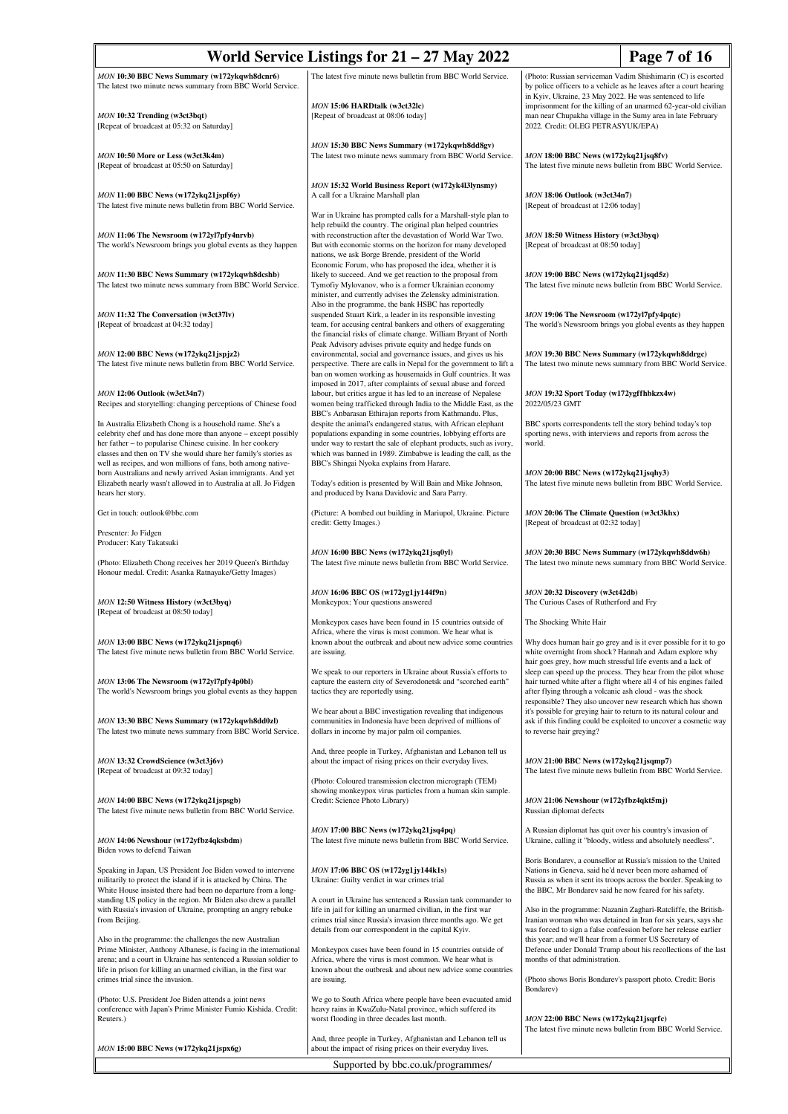| World Service Listings for $21 - 27$ May 2022<br>Page 7 of 16                                                                                                                                                                                                                                                                |                                                                                                                                                                                                                                                                                                                     |                                                                                                                                                                                                                                                                                                                                  |  |
|------------------------------------------------------------------------------------------------------------------------------------------------------------------------------------------------------------------------------------------------------------------------------------------------------------------------------|---------------------------------------------------------------------------------------------------------------------------------------------------------------------------------------------------------------------------------------------------------------------------------------------------------------------|----------------------------------------------------------------------------------------------------------------------------------------------------------------------------------------------------------------------------------------------------------------------------------------------------------------------------------|--|
| MON 10:30 BBC News Summary (w172ykqwh8dcnr6)<br>The latest two minute news summary from BBC World Service.                                                                                                                                                                                                                   | The latest five minute news bulletin from BBC World Service.                                                                                                                                                                                                                                                        | (Photo: Russian serviceman Vadim Shishimarin (C) is escorted<br>by police officers to a vehicle as he leaves after a court hearing                                                                                                                                                                                               |  |
| MON 10:32 Trending (w3ct3bqt)<br>[Repeat of broadcast at 05:32 on Saturday]                                                                                                                                                                                                                                                  | MON 15:06 HARDtalk (w3ct32lc)<br>[Repeat of broadcast at 08:06 today]                                                                                                                                                                                                                                               | in Kyiv, Ukraine, 23 May 2022. He was sentenced to life<br>imprisonment for the killing of an unarmed 62-year-old civilian<br>man near Chupakha village in the Sumy area in late February<br>2022. Credit: OLEG PETRASYUK/EPA)                                                                                                   |  |
| MON 10:50 More or Less (w3ct3k4m)<br>[Repeat of broadcast at 05:50 on Saturday]                                                                                                                                                                                                                                              | MON 15:30 BBC News Summary (w172ykqwh8dd8gv)<br>The latest two minute news summary from BBC World Service.                                                                                                                                                                                                          | MON 18:00 BBC News (w172ykq21jsq8fv)<br>The latest five minute news bulletin from BBC World Service.                                                                                                                                                                                                                             |  |
| MON 11:00 BBC News (w172ykq21jspf6y)<br>The latest five minute news bulletin from BBC World Service.                                                                                                                                                                                                                         | MON 15:32 World Business Report (w172yk4l3lynsmy)<br>A call for a Ukraine Marshall plan<br>War in Ukraine has prompted calls for a Marshall-style plan to                                                                                                                                                           | MON 18:06 Outlook (w3ct34n7)<br>[Repeat of broadcast at 12:06 today]                                                                                                                                                                                                                                                             |  |
| MON 11:06 The Newsroom (w172yl7pfy4nrvb)<br>The world's Newsroom brings you global events as they happen                                                                                                                                                                                                                     | help rebuild the country. The original plan helped countries<br>with reconstruction after the devastation of World War Two.<br>But with economic storms on the horizon for many developed<br>nations, we ask Borge Brende, president of the World                                                                   | MON 18:50 Witness History (w3ct3byq)<br>[Repeat of broadcast at 08:50 today]                                                                                                                                                                                                                                                     |  |
| MON 11:30 BBC News Summary (w172ykqwh8dcshb)<br>The latest two minute news summary from BBC World Service.                                                                                                                                                                                                                   | Economic Forum, who has proposed the idea, whether it is<br>likely to succeed. And we get reaction to the proposal from<br>Tymofiy Mylovanov, who is a former Ukrainian economy<br>minister, and currently advises the Zelensky administration.                                                                     | MON 19:00 BBC News (w172ykq21jsqd5z)<br>The latest five minute news bulletin from BBC World Service.                                                                                                                                                                                                                             |  |
| MON 11:32 The Conversation (w3ct37lv)<br>[Repeat of broadcast at 04:32 today]                                                                                                                                                                                                                                                | Also in the programme, the bank HSBC has reportedly<br>suspended Stuart Kirk, a leader in its responsible investing<br>team, for accusing central bankers and others of exaggerating<br>the financial risks of climate change. William Bryant of North                                                              | MON 19:06 The Newsroom (w172yl7pfy4pqtc)<br>The world's Newsroom brings you global events as they happen                                                                                                                                                                                                                         |  |
| MON 12:00 BBC News (w172ykq21jspjz2)<br>The latest five minute news bulletin from BBC World Service.                                                                                                                                                                                                                         | Peak Advisory advises private equity and hedge funds on<br>environmental, social and governance issues, and gives us his<br>perspective. There are calls in Nepal for the government to lift a<br>ban on women working as housemaids in Gulf countries. It was                                                      | MON 19:30 BBC News Summary (w172ykqwh8ddrgc)<br>The latest two minute news summary from BBC World Service.                                                                                                                                                                                                                       |  |
| MON 12:06 Outlook (w3ct34n7)<br>Recipes and storytelling: changing perceptions of Chinese food                                                                                                                                                                                                                               | imposed in 2017, after complaints of sexual abuse and forced<br>labour, but critics argue it has led to an increase of Nepalese<br>women being trafficked through India to the Middle East, as the<br>BBC's Anbarasan Ethirajan reports from Kathmandu. Plus,                                                       | MON 19:32 Sport Today (w172ygffhbkzx4w)<br>2022/05/23 GMT                                                                                                                                                                                                                                                                        |  |
| In Australia Elizabeth Chong is a household name. She's a<br>celebrity chef and has done more than anyone - except possibly<br>her father - to popularise Chinese cuisine. In her cookery<br>classes and then on TV she would share her family's stories as<br>well as recipes, and won millions of fans, both among native- | despite the animal's endangered status, with African elephant<br>populations expanding in some countries, lobbying efforts are<br>under way to restart the sale of elephant products, such as ivory,<br>which was banned in 1989. Zimbabwe is leading the call, as the<br>BBC's Shingai Nyoka explains from Harare. | BBC sports correspondents tell the story behind today's top<br>sporting news, with interviews and reports from across the<br>world.                                                                                                                                                                                              |  |
| born Australians and newly arrived Asian immigrants. And yet<br>Elizabeth nearly wasn't allowed in to Australia at all. Jo Fidgen<br>hears her story.                                                                                                                                                                        | Today's edition is presented by Will Bain and Mike Johnson,<br>and produced by Ivana Davidovic and Sara Parry.                                                                                                                                                                                                      | MON 20:00 BBC News (w172ykq21jsqhy3)<br>The latest five minute news bulletin from BBC World Service.                                                                                                                                                                                                                             |  |
| Get in touch: outlook@bbc.com<br>Presenter: Jo Fidgen                                                                                                                                                                                                                                                                        | (Picture: A bombed out building in Mariupol, Ukraine. Picture<br>credit: Getty Images.)                                                                                                                                                                                                                             | MON 20:06 The Climate Question (w3ct3khx)<br>[Repeat of broadcast at 02:32 today]                                                                                                                                                                                                                                                |  |
| Producer: Katy Takatsuki                                                                                                                                                                                                                                                                                                     | MON 16:00 BBC News (w172ykq21jsq0yl)                                                                                                                                                                                                                                                                                | MON 20:30 BBC News Summary (w172ykqwh8ddw6h)                                                                                                                                                                                                                                                                                     |  |
| (Photo: Elizabeth Chong receives her 2019 Queen's Birthday<br>Honour medal. Credit: Asanka Ratnayake/Getty Images)                                                                                                                                                                                                           | The latest five minute news bulletin from BBC World Service.                                                                                                                                                                                                                                                        | The latest two minute news summary from BBC World Service.                                                                                                                                                                                                                                                                       |  |
| MON 12:50 Witness History (w3ct3byq)<br>[Repeat of broadcast at 08:50 today]                                                                                                                                                                                                                                                 | MON 16:06 BBC OS (w172yg1jy144f9n)<br>Monkeypox: Your questions answered                                                                                                                                                                                                                                            | MON 20:32 Discovery (w3ct42db)<br>The Curious Cases of Rutherford and Fry                                                                                                                                                                                                                                                        |  |
|                                                                                                                                                                                                                                                                                                                              | Monkeypox cases have been found in 15 countries outside of<br>Africa, where the virus is most common. We hear what is                                                                                                                                                                                               | The Shocking White Hair                                                                                                                                                                                                                                                                                                          |  |
| MON 13:00 BBC News (w172ykq21jspnq6)<br>The latest five minute news bulletin from BBC World Service.                                                                                                                                                                                                                         | known about the outbreak and about new advice some countries<br>are issuing.                                                                                                                                                                                                                                        | Why does human hair go grey and is it ever possible for it to go<br>white overnight from shock? Hannah and Adam explore why                                                                                                                                                                                                      |  |
| MON 13:06 The Newsroom (w172yl7pfy4p0bl)<br>The world's Newsroom brings you global events as they happen                                                                                                                                                                                                                     | We speak to our reporters in Ukraine about Russia's efforts to<br>capture the eastern city of Severodonetsk and "scorched earth"<br>tactics they are reportedly using.                                                                                                                                              | hair goes grey, how much stressful life events and a lack of<br>sleep can speed up the process. They hear from the pilot whose<br>hair turned white after a flight where all 4 of his engines failed<br>after flying through a volcanic ash cloud - was the shock<br>responsible? They also uncover new research which has shown |  |
| MON 13:30 BBC News Summary (w172ykqwh8dd0zl)<br>The latest two minute news summary from BBC World Service.                                                                                                                                                                                                                   | We hear about a BBC investigation revealing that indigenous<br>communities in Indonesia have been deprived of millions of<br>dollars in income by major palm oil companies.                                                                                                                                         | it's possible for greying hair to return to its natural colour and<br>ask if this finding could be exploited to uncover a cosmetic way<br>to reverse hair greying?                                                                                                                                                               |  |
| MON 13:32 CrowdScience (w3ct3j6v)<br>[Repeat of broadcast at 09:32 today]                                                                                                                                                                                                                                                    | And, three people in Turkey, Afghanistan and Lebanon tell us<br>about the impact of rising prices on their everyday lives.                                                                                                                                                                                          | MON 21:00 BBC News (w172ykq21jsqmp7)<br>The latest five minute news bulletin from BBC World Service.                                                                                                                                                                                                                             |  |
| MON 14:00 BBC News (w172ykq21jspsgb)<br>The latest five minute news bulletin from BBC World Service.                                                                                                                                                                                                                         | (Photo: Coloured transmission electron micrograph (TEM)<br>showing monkeypox virus particles from a human skin sample.<br>Credit: Science Photo Library)                                                                                                                                                            | MON 21:06 Newshour (w172yfbz4qkt5mj)<br>Russian diplomat defects                                                                                                                                                                                                                                                                 |  |
| MON 14:06 Newshour (w172yfbz4qksbdm)<br>Biden vows to defend Taiwan                                                                                                                                                                                                                                                          | MON 17:00 BBC News (w172ykq21jsq4pq)<br>The latest five minute news bulletin from BBC World Service.                                                                                                                                                                                                                | A Russian diplomat has quit over his country's invasion of<br>Ukraine, calling it "bloody, witless and absolutely needless".                                                                                                                                                                                                     |  |
| Speaking in Japan, US President Joe Biden vowed to intervene<br>militarily to protect the island if it is attacked by China. The<br>White House insisted there had been no departure from a long-                                                                                                                            | MON 17:06 BBC OS (w172yg1jy144k1s)<br>Ukraine: Guilty verdict in war crimes trial                                                                                                                                                                                                                                   | Boris Bondarev, a counsellor at Russia's mission to the United<br>Nations in Geneva, said he'd never been more ashamed of<br>Russia as when it sent its troops across the border. Speaking to<br>the BBC, Mr Bondarev said he now feared for his safety.                                                                         |  |
| standing US policy in the region. Mr Biden also drew a parallel<br>with Russia's invasion of Ukraine, prompting an angry rebuke<br>from Beijing.                                                                                                                                                                             | A court in Ukraine has sentenced a Russian tank commander to<br>life in jail for killing an unarmed civilian, in the first war<br>crimes trial since Russia's invasion three months ago. We get<br>details from our correspondent in the capital Kyiv.                                                              | Also in the programme: Nazanin Zaghari-Ratcliffe, the British-<br>Iranian woman who was detained in Iran for six years, says she<br>was forced to sign a false confession before her release earlier                                                                                                                             |  |
| Also in the programme: the challenges the new Australian<br>Prime Minister, Anthony Albanese, is facing in the international<br>arena; and a court in Ukraine has sentenced a Russian soldier to<br>life in prison for killing an unarmed civilian, in the first war<br>crimes trial since the invasion.                     | Monkeypox cases have been found in 15 countries outside of<br>Africa, where the virus is most common. We hear what is<br>known about the outbreak and about new advice some countries<br>are issuing.                                                                                                               | this year; and we'll hear from a former US Secretary of<br>Defence under Donald Trump about his recollections of the last<br>months of that administration.<br>(Photo shows Boris Bondarev's passport photo. Credit: Boris                                                                                                       |  |
| (Photo: U.S. President Joe Biden attends a joint news<br>conference with Japan's Prime Minister Fumio Kishida. Credit:<br>Reuters.)                                                                                                                                                                                          | We go to South Africa where people have been evacuated amid<br>heavy rains in KwaZulu-Natal province, which suffered its<br>worst flooding in three decades last month.                                                                                                                                             | Bondarev)<br>MON 22:00 BBC News (w172ykq21jsqrfc)                                                                                                                                                                                                                                                                                |  |
| MON 15:00 BBC News (w172ykq21jspx6g)                                                                                                                                                                                                                                                                                         | And, three people in Turkey, Afghanistan and Lebanon tell us<br>about the impact of rising prices on their everyday lives.                                                                                                                                                                                          | The latest five minute news bulletin from BBC World Service.                                                                                                                                                                                                                                                                     |  |
| Supported by bbc.co.uk/programmes/                                                                                                                                                                                                                                                                                           |                                                                                                                                                                                                                                                                                                                     |                                                                                                                                                                                                                                                                                                                                  |  |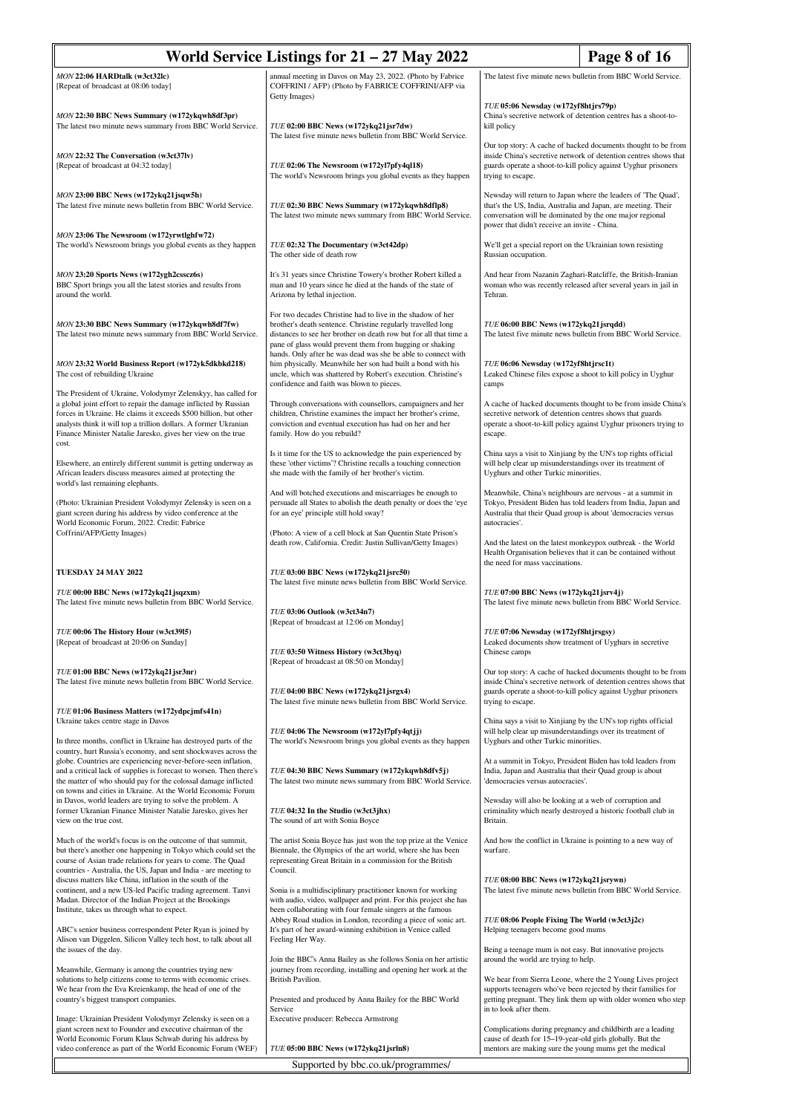| World Service Listings for $21 - 27$ May 2022<br>Page 8 of 16                                                                                                                                                                                                                                                                                     |                                                                                                                                                                                                                                                             |                                                                                                                                                                                                                                            |  |
|---------------------------------------------------------------------------------------------------------------------------------------------------------------------------------------------------------------------------------------------------------------------------------------------------------------------------------------------------|-------------------------------------------------------------------------------------------------------------------------------------------------------------------------------------------------------------------------------------------------------------|--------------------------------------------------------------------------------------------------------------------------------------------------------------------------------------------------------------------------------------------|--|
| MON 22:06 HARDtalk (w3ct32lc)<br>[Repeat of broadcast at 08:06 today]                                                                                                                                                                                                                                                                             | annual meeting in Davos on May 23, 2022. (Photo by Fabrice<br>COFFRINI / AFP) (Photo by FABRICE COFFRINI/AFP via<br>Getty Images)                                                                                                                           | The latest five minute news bulletin from BBC World Service.                                                                                                                                                                               |  |
| MON 22:30 BBC News Summary (w172ykqwh8df3pr)<br>The latest two minute news summary from BBC World Service.                                                                                                                                                                                                                                        | TUE 02:00 BBC News (w172ykq21jsr7dw)<br>The latest five minute news bulletin from BBC World Service.                                                                                                                                                        | TUE 05:06 Newsday (w172yf8htjrs79p)<br>China's secretive network of detention centres has a shoot-to-<br>kill policy                                                                                                                       |  |
| MON 22:32 The Conversation (w3ct37lv)<br>[Repeat of broadcast at 04:32 today]                                                                                                                                                                                                                                                                     | TUE 02:06 The Newsroom (w172yl7pfy4ql18)<br>The world's Newsroom brings you global events as they happen                                                                                                                                                    | Our top story: A cache of hacked documents thought to be from<br>inside China's secretive network of detention centres shows that<br>guards operate a shoot-to-kill policy against Uyghur prisoners<br>trying to escape.                   |  |
| MON 23:00 BBC News (w172ykq21jsqw5h)<br>The latest five minute news bulletin from BBC World Service.                                                                                                                                                                                                                                              | TUE 02:30 BBC News Summary (w172ykqwh8dflp8)<br>The latest two minute news summary from BBC World Service.                                                                                                                                                  | Newsday will return to Japan where the leaders of 'The Quad',<br>that's the US, India, Australia and Japan, are meeting. Their<br>conversation will be dominated by the one major regional<br>power that didn't receive an invite - China. |  |
| MON 23:06 The Newsroom (w172yrwtlghfw72)<br>The world's Newsroom brings you global events as they happen                                                                                                                                                                                                                                          | TUE 02:32 The Documentary (w3ct42dp)<br>The other side of death row                                                                                                                                                                                         | We'll get a special report on the Ukrainian town resisting<br>Russian occupation.                                                                                                                                                          |  |
| MON 23:20 Sports News (w172ygh2csscz6s)<br>BBC Sport brings you all the latest stories and results from<br>around the world.                                                                                                                                                                                                                      | It's 31 years since Christine Towery's brother Robert killed a<br>man and 10 years since he died at the hands of the state of<br>Arizona by lethal injection.                                                                                               | And hear from Nazanin Zaghari-Ratcliffe, the British-Iranian<br>woman who was recently released after several years in jail in<br>Tehran.                                                                                                  |  |
| MON 23:30 BBC News Summary (w172ykqwh8df7fw)<br>The latest two minute news summary from BBC World Service.                                                                                                                                                                                                                                        | For two decades Christine had to live in the shadow of her<br>brother's death sentence. Christine regularly travelled long<br>distances to see her brother on death row but for all that time a<br>pane of glass would prevent them from hugging or shaking | TUE 06:00 BBC News (w172ykq21jsrqdd)<br>The latest five minute news bulletin from BBC World Service.                                                                                                                                       |  |
| MON 23:32 World Business Report (w172yk5dkbkd218)<br>The cost of rebuilding Ukraine                                                                                                                                                                                                                                                               | hands. Only after he was dead was she be able to connect with<br>him physically. Meanwhile her son had built a bond with his<br>uncle, which was shattered by Robert's execution. Christine's<br>confidence and faith was blown to pieces.                  | TUE 06:06 Newsday (w172yf8htjrsc1t)<br>Leaked Chinese files expose a shoot to kill policy in Uyghur<br>camps                                                                                                                               |  |
| The President of Ukraine, Volodymyr Zelenskyy, has called for<br>a global joint effort to repair the damage inflicted by Russian<br>forces in Ukraine. He claims it exceeds \$500 billion, but other<br>analysts think it will top a trillion dollars. A former Ukranian<br>Finance Minister Natalie Jaresko, gives her view on the true<br>cost. | Through conversations with counsellors, campaigners and her<br>children, Christine examines the impact her brother's crime,<br>conviction and eventual execution has had on her and her<br>family. How do you rebuild?                                      | A cache of hacked documents thought to be from inside China's<br>secretive network of detention centres shows that guards<br>operate a shoot-to-kill policy against Uyghur prisoners trying to<br>escape.                                  |  |
| Elsewhere, an entirely different summit is getting underway as<br>African leaders discuss measures aimed at protecting the                                                                                                                                                                                                                        | Is it time for the US to acknowledge the pain experienced by<br>these 'other victims'? Christine recalls a touching connection<br>she made with the family of her brother's victim.                                                                         | China says a visit to Xinjiang by the UN's top rights official<br>will help clear up misunderstandings over its treatment of<br>Uyghurs and other Turkic minorities.                                                                       |  |
| world's last remaining elephants.<br>(Photo: Ukrainian President Volodymyr Zelensky is seen on a<br>giant screen during his address by video conference at the<br>World Economic Forum, 2022. Credit: Fabrice                                                                                                                                     | And will botched executions and miscarriages be enough to<br>persuade all States to abolish the death penalty or does the 'eye<br>for an eye' principle still hold sway?                                                                                    | Meanwhile, China's neighbours are nervous - at a summit in<br>Tokyo, President Biden has told leaders from India, Japan and<br>Australia that their Quad group is about 'democracies versus<br>autocracies'.                               |  |
| Coffrini/AFP/Getty Images)                                                                                                                                                                                                                                                                                                                        | (Photo: A view of a cell block at San Quentin State Prison's<br>death row, California. Credit: Justin Sullivan/Getty Images)                                                                                                                                | And the latest on the latest monkeypox outbreak - the World<br>Health Organisation believes that it can be contained without<br>the need for mass vaccinations.                                                                            |  |
| <b>TUESDAY 24 MAY 2022</b><br>TUE 00:00 BBC News (w172ykq21jsqzxm)                                                                                                                                                                                                                                                                                | TUE 03:00 BBC News (w172ykq21jsrc50)<br>The latest five minute news bulletin from BBC World Service.                                                                                                                                                        | TUE 07:00 BBC News (w172ykq21jsrv4j)                                                                                                                                                                                                       |  |
| The latest five minute news bulletin from BBC World Service.                                                                                                                                                                                                                                                                                      | TUE 03:06 Outlook (w3ct34n7)<br>[Repeat of broadcast at 12:06 on Monday]                                                                                                                                                                                    | The latest five minute news bulletin from BBC World Service.                                                                                                                                                                               |  |
| TUE 00:06 The History Hour (w3ct3915)<br>[Repeat of broadcast at 20:06 on Sunday]                                                                                                                                                                                                                                                                 | TUE 03:50 Witness History (w3ct3byq)<br>[Repeat of broadcast at 08:50 on Monday]                                                                                                                                                                            | TUE 07:06 Newsday (w172yf8htjrsgsy)<br>Leaked documents show treatment of Uyghurs in secretive<br>Chinese camps                                                                                                                            |  |
| TUE 01:00 BBC News (w172ykq21jsr3nr)<br>The latest five minute news bulletin from BBC World Service.                                                                                                                                                                                                                                              | TUE 04:00 BBC News (w172ykq21 jsrgx4)<br>The latest five minute news bulletin from BBC World Service.                                                                                                                                                       | Our top story: A cache of hacked documents thought to be from<br>inside China's secretive network of detention centres shows that<br>guards operate a shoot-to-kill policy against Uyghur prisoners<br>trying to escape.                   |  |
| TUE 01:06 Business Matters (w172ydpcjmfs41n)<br>Ukraine takes centre stage in Davos<br>In three months, conflict in Ukraine has destroyed parts of the                                                                                                                                                                                            | TUE 04:06 The Newsroom (w172yl7pfy4qtjj)<br>The world's Newsroom brings you global events as they happen                                                                                                                                                    | China says a visit to Xinjiang by the UN's top rights official<br>will help clear up misunderstandings over its treatment of<br>Uyghurs and other Turkic minorities.                                                                       |  |
| country, hurt Russia's economy, and sent shockwaves across the<br>globe. Countries are experiencing never-before-seen inflation,<br>and a critical lack of supplies is forecast to worsen. Then there's<br>the matter of who should pay for the colossal damage inflicted<br>on towns and cities in Ukraine. At the World Economic Forum          | TUE 04:30 BBC News Summary (w172ykqwh8dfv5j)<br>The latest two minute news summary from BBC World Service.                                                                                                                                                  | At a summit in Tokyo, President Biden has told leaders from<br>India, Japan and Australia that their Quad group is about<br>'democracies versus autocracies'.                                                                              |  |
| in Davos, world leaders are trying to solve the problem. A<br>former Ukranian Finance Minister Natalie Jaresko, gives her<br>view on the true cost.                                                                                                                                                                                               | TUE 04:32 In the Studio (w3ct3jhx)<br>The sound of art with Sonia Boyce                                                                                                                                                                                     | Newsday will also be looking at a web of corruption and<br>criminality which nearly destroyed a historic football club in<br>Britain.                                                                                                      |  |
| Much of the world's focus is on the outcome of that summit,<br>but there's another one happening in Tokyo which could set the<br>course of Asian trade relations for years to come. The Quad<br>countries - Australia, the US, Japan and India - are meeting to                                                                                   | The artist Sonia Boyce has just won the top prize at the Venice<br>Biennale, the Olympics of the art world, where she has been<br>representing Great Britain in a commission for the British<br>Council.                                                    | And how the conflict in Ukraine is pointing to a new way of<br>warfare.                                                                                                                                                                    |  |
| discuss matters like China, inflation in the south of the<br>continent, and a new US-led Pacific trading agreement. Tanvi<br>Madan. Director of the Indian Project at the Brookings<br>Institute, takes us through what to expect.                                                                                                                | Sonia is a multidisciplinary practitioner known for working<br>with audio, video, wallpaper and print. For this project she has<br>been collaborating with four female singers at the famous                                                                | TUE 08:00 BBC News (w172ykq21 jsrywn)<br>The latest five minute news bulletin from BBC World Service.                                                                                                                                      |  |
| ABC's senior business correspondent Peter Ryan is joined by<br>Alison van Diggelen, Silicon Valley tech host, to talk about all                                                                                                                                                                                                                   | Abbey Road studios in London, recording a piece of sonic art.<br>It's part of her award-winning exhibition in Venice called<br>Feeling Her Way.                                                                                                             | TUE 08:06 People Fixing The World (w3ct3j2c)<br>Helping teenagers become good mums                                                                                                                                                         |  |
| the issues of the day.<br>Meanwhile, Germany is among the countries trying new<br>solutions to help citizens come to terms with economic crises.                                                                                                                                                                                                  | Join the BBC's Anna Bailey as she follows Sonia on her artistic<br>journey from recording, installing and opening her work at the<br>British Pavilion.                                                                                                      | Being a teenage mum is not easy. But innovative projects<br>around the world are trying to help.<br>We hear from Sierra Leone, where the 2 Young Lives project                                                                             |  |
| We hear from the Eva Kreienkamp, the head of one of the<br>country's biggest transport companies.                                                                                                                                                                                                                                                 | Presented and produced by Anna Bailey for the BBC World<br>Service                                                                                                                                                                                          | supports teenagers who've been rejected by their families for<br>getting pregnant. They link them up with older women who step<br>in to look after them.                                                                                   |  |
| Image: Ukrainian President Volodymyr Zelensky is seen on a<br>giant screen next to Founder and executive chairman of the<br>World Economic Forum Klaus Schwab during his address by<br>video conference as part of the World Economic Forum (WEF)                                                                                                 | Executive producer: Rebecca Armstrong<br>TUE 05:00 BBC News (w172ykq21jsrln8)                                                                                                                                                                               | Complications during pregnancy and childbirth are a leading<br>cause of death for 15-19-year-old girls globally. But the<br>mentors are making sure the young mums get the medical                                                         |  |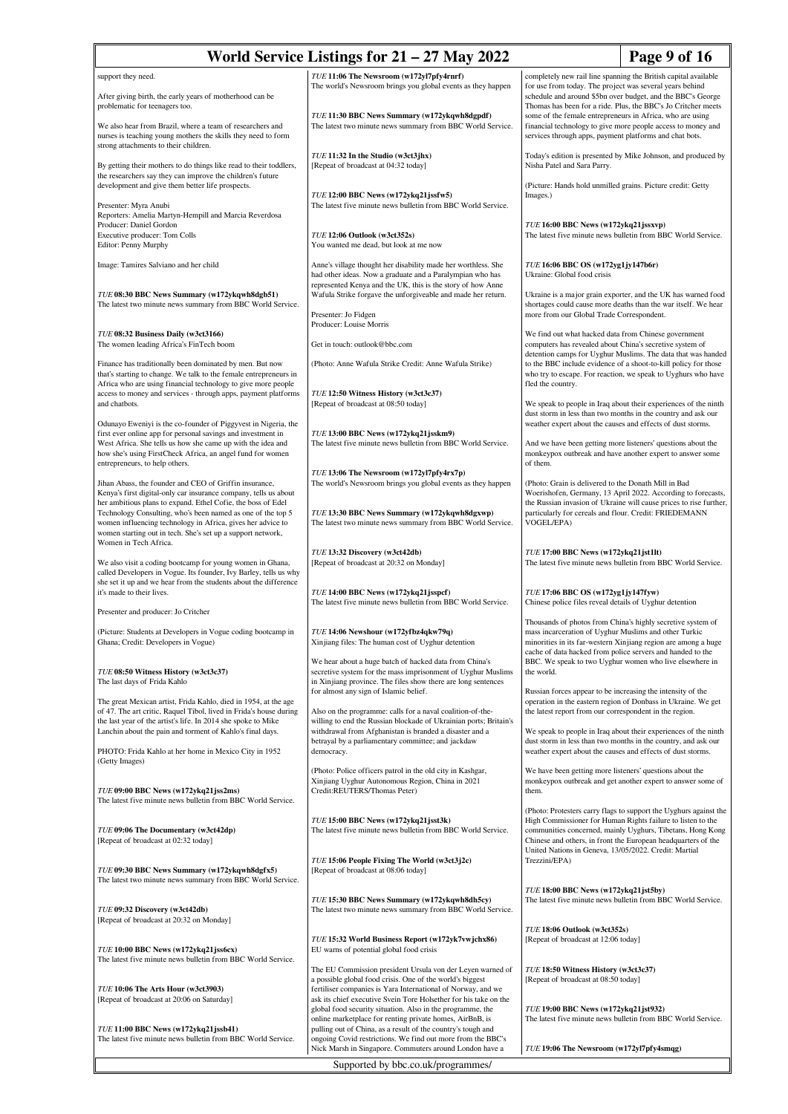| Page 9 of 16<br>World Service Listings for $21 - 27$ May 2022                                                                                                                                                                   |                                                                                                                                                                                                                                                             |                                                                                                                                                                                                                                                                                                                          |  |  |
|---------------------------------------------------------------------------------------------------------------------------------------------------------------------------------------------------------------------------------|-------------------------------------------------------------------------------------------------------------------------------------------------------------------------------------------------------------------------------------------------------------|--------------------------------------------------------------------------------------------------------------------------------------------------------------------------------------------------------------------------------------------------------------------------------------------------------------------------|--|--|
| support they need.                                                                                                                                                                                                              | TUE 11:06 The Newsroom (w172yl7pfy4rnrf)                                                                                                                                                                                                                    | completely new rail line spanning the British capital available                                                                                                                                                                                                                                                          |  |  |
| After giving birth, the early years of motherhood can be<br>problematic for teenagers too.                                                                                                                                      | The world's Newsroom brings you global events as they happen<br>TUE 11:30 BBC News Summary (w172ykqwh8dgpdf)                                                                                                                                                | for use from today. The project was several years behind<br>schedule and around \$5bn over budget, and the BBC's George<br>Thomas has been for a ride. Plus, the BBC's Jo Critcher meets<br>some of the female entrepreneurs in Africa, who are using                                                                    |  |  |
| We also hear from Brazil, where a team of researchers and<br>nurses is teaching young mothers the skills they need to form<br>strong attachments to their children.                                                             | The latest two minute news summary from BBC World Service.                                                                                                                                                                                                  | financial technology to give more people access to money and<br>services through apps, payment platforms and chat bots.                                                                                                                                                                                                  |  |  |
| By getting their mothers to do things like read to their toddlers,<br>the researchers say they can improve the children's future<br>development and give them better life prospects.                                            | TUE 11:32 In the Studio (w3ct3jhx)<br>[Repeat of broadcast at 04:32 today]                                                                                                                                                                                  | Today's edition is presented by Mike Johnson, and produced by<br>Nisha Patel and Sara Parry.<br>(Picture: Hands hold unmilled grains. Picture credit: Getty                                                                                                                                                              |  |  |
| Presenter: Myra Anubi<br>Reporters: Amelia Martyn-Hempill and Marcia Reverdosa                                                                                                                                                  | $TUE$ 12:00 BBC News (w172ykq21jssfw5)<br>The latest five minute news bulletin from BBC World Service.                                                                                                                                                      | Images.)                                                                                                                                                                                                                                                                                                                 |  |  |
| Producer: Daniel Gordon<br>Executive producer: Tom Colls<br>Editor: Penny Murphy                                                                                                                                                | TUE 12:06 Outlook (w3ct352s)<br>You wanted me dead, but look at me now                                                                                                                                                                                      | TUE 16:00 BBC News (w172ykq21jssxvp)<br>The latest five minute news bulletin from BBC World Service.                                                                                                                                                                                                                     |  |  |
| Image: Tamires Salviano and her child                                                                                                                                                                                           | Anne's village thought her disability made her worthless. She<br>had other ideas. Now a graduate and a Paralympian who has<br>represented Kenya and the UK, this is the story of how Anne                                                                   | TUE 16:06 BBC OS (w172yg1jy147b6r)<br>Ukraine: Global food crisis                                                                                                                                                                                                                                                        |  |  |
| TUE 08:30 BBC News Summary (w172ykqwh8dgb51)<br>The latest two minute news summary from BBC World Service.                                                                                                                      | Wafula Strike forgave the unforgiveable and made her return.<br>Presenter: Jo Fidgen                                                                                                                                                                        | Ukraine is a major grain exporter, and the UK has warned food<br>shortages could cause more deaths than the war itself. We hear<br>more from our Global Trade Correspondent.                                                                                                                                             |  |  |
| TUE 08:32 Business Daily (w3ct3166)                                                                                                                                                                                             | Producer: Louise Morris                                                                                                                                                                                                                                     | We find out what hacked data from Chinese government                                                                                                                                                                                                                                                                     |  |  |
| The women leading Africa's FinTech boom<br>Finance has traditionally been dominated by men. But now                                                                                                                             | Get in touch: outlook@bbc.com<br>(Photo: Anne Wafula Strike Credit: Anne Wafula Strike)                                                                                                                                                                     | computers has revealed about China's secretive system of<br>detention camps for Uyghur Muslims. The data that was handed<br>to the BBC include evidence of a shoot-to-kill policy for those                                                                                                                              |  |  |
| that's starting to change. We talk to the female entrepreneurs in<br>Africa who are using financial technology to give more people<br>access to money and services - through apps, payment platforms                            | TUE 12:50 Witness History (w3ct3c37)                                                                                                                                                                                                                        | who try to escape. For reaction, we speak to Uyghurs who have<br>fled the country.                                                                                                                                                                                                                                       |  |  |
| and chatbots.<br>Odunayo Eweniyi is the co-founder of Piggyvest in Nigeria, the                                                                                                                                                 | [Repeat of broadcast at 08:50 today]                                                                                                                                                                                                                        | We speak to people in Iraq about their experiences of the ninth<br>dust storm in less than two months in the country and ask our<br>weather expert about the causes and effects of dust storms.                                                                                                                          |  |  |
| first ever online app for personal savings and investment in<br>West Africa. She tells us how she came up with the idea and<br>how she's using FirstCheck Africa, an angel fund for women<br>entrepreneurs, to help others.     | TUE 13:00 BBC News (w172ykq21jsskm9)<br>The latest five minute news bulletin from BBC World Service.                                                                                                                                                        | And we have been getting more listeners' questions about the<br>monkeypox outbreak and have another expert to answer some<br>of them.                                                                                                                                                                                    |  |  |
| Jihan Abass, the founder and CEO of Griffin insurance,<br>Kenya's first digital-only car insurance company, tells us about<br>her ambitious plans to expand. Ethel Cofie, the boss of Edel                                      | TUE 13:06 The Newsroom (w172yl7pfy4rx7p)<br>The world's Newsroom brings you global events as they happen                                                                                                                                                    | (Photo: Grain is delivered to the Donath Mill in Bad<br>Woerishofen, Germany, 13 April 2022. According to forecasts,<br>the Russian invasion of Ukraine will cause prices to rise further,                                                                                                                               |  |  |
| Technology Consulting, who's been named as one of the top 5<br>women influencing technology in Africa, gives her advice to<br>women starting out in tech. She's set up a support network,<br>Women in Tech Africa.              | TUE 13:30 BBC News Summary (w172ykqwh8dgxwp)<br>The latest two minute news summary from BBC World Service.                                                                                                                                                  | particularly for cereals and flour. Credit: FRIEDEMANN<br>VOGEL/EPA)                                                                                                                                                                                                                                                     |  |  |
| We also visit a coding bootcamp for young women in Ghana,<br>called Developers in Vogue. Its founder, Ivy Barley, tells us why<br>she set it up and we hear from the students about the difference<br>it's made to their lives. | TUE 13:32 Discovery (w3ct42db)<br>[Repeat of broadcast at 20:32 on Monday]<br>TUE 14:00 BBC News (w172ykq21jsspcf)                                                                                                                                          | TUE 17:00 BBC News (w172ykq21jst1lt)<br>The latest five minute news bulletin from BBC World Service.<br>TUE 17:06 BBC OS (w172yg1jy147fyw)                                                                                                                                                                               |  |  |
| Presenter and producer: Jo Critcher                                                                                                                                                                                             | The latest five minute news bulletin from BBC World Service.                                                                                                                                                                                                | Chinese police files reveal details of Uyghur detention                                                                                                                                                                                                                                                                  |  |  |
| (Picture: Students at Developers in Vogue coding bootcamp in<br>Ghana; Credit: Developers in Vogue)                                                                                                                             | TUE 14:06 Newshour (w172yfbz4qkw79q)<br>Xinjiang files: The human cost of Uyghur detention                                                                                                                                                                  | Thousands of photos from China's highly secretive system of<br>mass incarceration of Uyghur Muslims and other Turkic<br>minorities in its far-western Xinjiang region are among a huge<br>cache of data hacked from police servers and handed to the                                                                     |  |  |
| TUE 08:50 Witness History (w3ct3c37)<br>The last days of Frida Kahlo                                                                                                                                                            | We hear about a huge batch of hacked data from China's<br>secretive system for the mass imprisonment of Uyghur Muslims<br>in Xinjiang province. The files show there are long sentences<br>for almost any sign of Islamic belief.                           | BBC. We speak to two Uyghur women who live elsewhere in<br>the world.<br>Russian forces appear to be increasing the intensity of the                                                                                                                                                                                     |  |  |
| The great Mexican artist, Frida Kahlo, died in 1954, at the age<br>of 47. The art critic, Raquel Tibol, lived in Frida's house during<br>the last year of the artist's life. In 2014 she spoke to Mike                          | Also on the programme: calls for a naval coalition-of-the-<br>willing to end the Russian blockade of Ukrainian ports; Britain's                                                                                                                             | operation in the eastern region of Donbass in Ukraine. We get<br>the latest report from our correspondent in the region.                                                                                                                                                                                                 |  |  |
| Lanchin about the pain and torment of Kahlo's final days.<br>PHOTO: Frida Kahlo at her home in Mexico City in 1952<br>(Getty Images)                                                                                            | withdrawal from Afghanistan is branded a disaster and a<br>betrayal by a parliamentary committee; and jackdaw<br>democracy.                                                                                                                                 | We speak to people in Iraq about their experiences of the ninth<br>dust storm in less than two months in the country, and ask our<br>weather expert about the causes and effects of dust storms.                                                                                                                         |  |  |
| TUE 09:00 BBC News (w172ykq21jss2ms)<br>The latest five minute news bulletin from BBC World Service.                                                                                                                            | (Photo: Police officers patrol in the old city in Kashgar,<br>Xinjiang Uyghur Autonomous Region, China in 2021<br>Credit:REUTERS/Thomas Peter)                                                                                                              | We have been getting more listeners' questions about the<br>monkeypox outbreak and get another expert to answer some of<br>them.                                                                                                                                                                                         |  |  |
| TUE 09:06 The Documentary (w3ct42dp)<br>[Repeat of broadcast at 02:32 today]                                                                                                                                                    | TUE 15:00 BBC News (w172ykq21jsst3k)<br>The latest five minute news bulletin from BBC World Service.                                                                                                                                                        | (Photo: Protesters carry flags to support the Uyghurs against the<br>High Commissioner for Human Rights failure to listen to the<br>communities concerned, mainly Uyghurs, Tibetans, Hong Kong<br>Chinese and others, in front the European headquarters of the<br>United Nations in Geneva, 13/05/2022. Credit: Martial |  |  |
| TUE 09:30 BBC News Summary (w172ykqwh8dgfx5)<br>The latest two minute news summary from BBC World Service.                                                                                                                      | TUE 15:06 People Fixing The World (w3ct3j2c)<br>[Repeat of broadcast at 08:06 today]                                                                                                                                                                        | Trezzini/EPA)                                                                                                                                                                                                                                                                                                            |  |  |
| TUE 09:32 Discovery (w3ct42db)<br>[Repeat of broadcast at 20:32 on Monday]                                                                                                                                                      | TUE 15:30 BBC News Summary (w172ykqwh8dh5cy)<br>The latest two minute news summary from BBC World Service.                                                                                                                                                  | TUE 18:00 BBC News (w172ykq21jst5by)<br>The latest five minute news bulletin from BBC World Service.                                                                                                                                                                                                                     |  |  |
| TUE 10:00 BBC News (w172ykq21jss6cx)<br>The latest five minute news bulletin from BBC World Service.                                                                                                                            | TUE 15:32 World Business Report (w172yk7vwjchx86)<br>EU warns of potential global food crisis                                                                                                                                                               | TUE 18:06 Outlook (w3ct352s)<br>[Repeat of broadcast at 12:06 today]                                                                                                                                                                                                                                                     |  |  |
| TUE 10:06 The Arts Hour (w3ct3903)<br>[Repeat of broadcast at 20:06 on Saturday]                                                                                                                                                | The EU Commission president Ursula von der Leyen warned of<br>a possible global food crisis. One of the world's biggest<br>fertiliser companies is Yara International of Norway, and we<br>ask its chief executive Svein Tore Holsether for his take on the | TUE 18:50 Witness History (w3ct3c37)<br>[Repeat of broadcast at 08:50 today]                                                                                                                                                                                                                                             |  |  |
| TUE 11:00 BBC News (w172ykq21jssb41)<br>The latest five minute news bulletin from BBC World Service.                                                                                                                            | global food security situation. Also in the programme, the<br>online marketplace for renting private homes, AirBnB, is<br>pulling out of China, as a result of the country's tough and<br>ongoing Covid restrictions. We find out more from the BBC's       | TUE 19:00 BBC News (w172ykq21jst932)<br>The latest five minute news bulletin from BBC World Service.                                                                                                                                                                                                                     |  |  |
|                                                                                                                                                                                                                                 | Nick Marsh in Singapore. Commuters around London have a<br>TUE 19:06 The Newsroom (w172yl7pfy4smqg)<br>Supported by bbc.co.uk/programmes/                                                                                                                   |                                                                                                                                                                                                                                                                                                                          |  |  |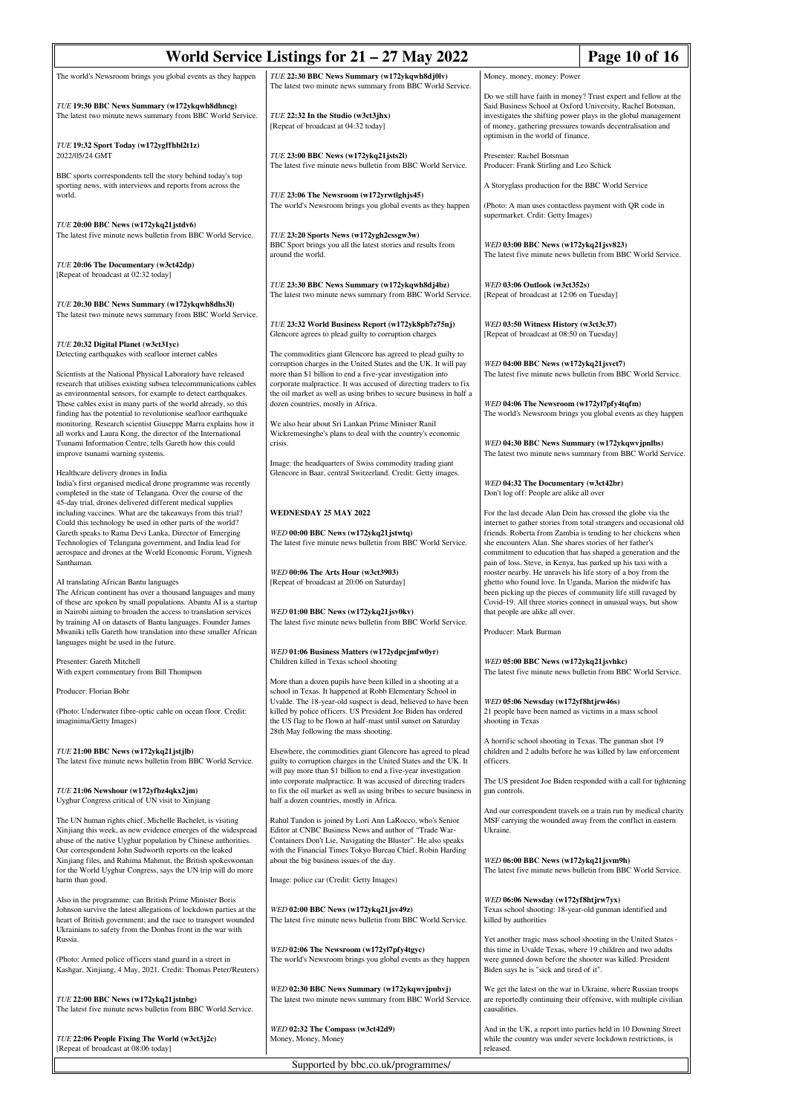| World Service Listings for $21 - 27$ May 2022<br>Page 10 of 16                                                                                                                                                                                                          |                                                                                                                                                                                                                                           |                                                                                                                                                                                                                                                                                                                            |  |  |
|-------------------------------------------------------------------------------------------------------------------------------------------------------------------------------------------------------------------------------------------------------------------------|-------------------------------------------------------------------------------------------------------------------------------------------------------------------------------------------------------------------------------------------|----------------------------------------------------------------------------------------------------------------------------------------------------------------------------------------------------------------------------------------------------------------------------------------------------------------------------|--|--|
| The world's Newsroom brings you global events as they happen                                                                                                                                                                                                            | TUE 22:30 BBC News Summary (w172ykqwh8dj0lv)<br>The latest two minute news summary from BBC World Service.                                                                                                                                | Money, money, money: Power                                                                                                                                                                                                                                                                                                 |  |  |
| TUE 19:30 BBC News Summary (w172ykqwh8dhncg)<br>The latest two minute news summary from BBC World Service.                                                                                                                                                              | TUE 22:32 In the Studio (w3ct3jhx)<br>[Repeat of broadcast at 04:32 today]                                                                                                                                                                | Do we still have faith in money? Trust expert and fellow at the<br>Said Business School at Oxford University, Rachel Botsman,<br>investigates the shifting power plays in the global management<br>of money, gathering pressures towards decentralisation and<br>optimism in the world of finance.                         |  |  |
| TUE 19:32 Sport Today (w172ygffhbl2t1z)<br>2022/05/24 GMT                                                                                                                                                                                                               | TUE 23:00 BBC News (w172ykq21jsts2l)<br>The latest five minute news bulletin from BBC World Service.                                                                                                                                      | Presenter: Rachel Botsman<br>Producer: Frank Stirling and Leo Schick                                                                                                                                                                                                                                                       |  |  |
| BBC sports correspondents tell the story behind today's top<br>sporting news, with interviews and reports from across the                                                                                                                                               |                                                                                                                                                                                                                                           | A Storyglass production for the BBC World Service                                                                                                                                                                                                                                                                          |  |  |
| world.                                                                                                                                                                                                                                                                  | TUE 23:06 The Newsroom (w172yrwtlghjs45)<br>The world's Newsroom brings you global events as they happen                                                                                                                                  | (Photo: A man uses contactless payment with QR code in<br>supermarket. Crdit: Getty Images)                                                                                                                                                                                                                                |  |  |
| TUE 20:00 BBC News (w172ykq21jstdv6)<br>The latest five minute news bulletin from BBC World Service.                                                                                                                                                                    | TUE 23:20 Sports News (w172ygh2cssgw3w)<br>BBC Sport brings you all the latest stories and results from<br>around the world.                                                                                                              | WED 03:00 BBC News (w172ykq21jsv823)<br>The latest five minute news bulletin from BBC World Service.                                                                                                                                                                                                                       |  |  |
| TUE 20:06 The Documentary (w3ct42dp)<br>[Repeat of broadcast at 02:32 today]                                                                                                                                                                                            |                                                                                                                                                                                                                                           |                                                                                                                                                                                                                                                                                                                            |  |  |
| TUE 20:30 BBC News Summary (w172ykqwh8dhs3l)<br>The latest two minute news summary from BBC World Service.                                                                                                                                                              | TUE 23:30 BBC News Summary (w172ykqwh8dj4bz)<br>The latest two minute news summary from BBC World Service.                                                                                                                                | WED 03:06 Outlook (w3ct352s)<br>[Repeat of broadcast at 12:06 on Tuesday]                                                                                                                                                                                                                                                  |  |  |
| TUE 20:32 Digital Planet (w3ct31yc)                                                                                                                                                                                                                                     | TUE 23:32 World Business Report (w172yk8pb7z75nj)<br>Glencore agrees to plead guilty to corruption charges                                                                                                                                | WED 03:50 Witness History (w3ct3c37)<br>[Repeat of broadcast at 08:50 on Tuesday]                                                                                                                                                                                                                                          |  |  |
| Detecting earthquakes with seafloor internet cables<br>Scientists at the National Physical Laboratory have released                                                                                                                                                     | The commodities giant Glencore has agreed to plead guilty to<br>corruption charges in the United States and the UK. It will pay<br>more than \$1 billion to end a five-year investigation into                                            | WED 04:00 BBC News (w172ykq21jsvct7)<br>The latest five minute news bulletin from BBC World Service.                                                                                                                                                                                                                       |  |  |
| research that utilises existing subsea telecommunications cables<br>as environmental sensors, for example to detect earthquakes.<br>These cables exist in many parts of the world already, so this<br>finding has the potential to revolutionise seafloor earthquake    | corporate malpractice. It was accused of directing traders to fix<br>the oil market as well as using bribes to secure business in half a<br>dozen countries, mostly in Africa.                                                            | WED 04:06 The Newsroom (w172yl7pfy4tqfm)<br>The world's Newsroom brings you global events as they happen                                                                                                                                                                                                                   |  |  |
| monitoring. Research scientist Giuseppe Marra explains how it<br>all works and Laura Kong, the director of the International<br>Tsunami Information Centre, tells Gareth how this could<br>improve tsunami warning systems.                                             | We also hear about Sri Lankan Prime Minister Ranil<br>Wickremesinghe's plans to deal with the country's economic<br>crisis.                                                                                                               | WED 04:30 BBC News Summary (w172ykqwvjpnlbs)<br>The latest two minute news summary from BBC World Service.                                                                                                                                                                                                                 |  |  |
| Healthcare delivery drones in India                                                                                                                                                                                                                                     | Image: the headquarters of Swiss commodity trading giant<br>Glencore in Baar, central Switzerland. Credit: Getty images.                                                                                                                  |                                                                                                                                                                                                                                                                                                                            |  |  |
| India's first organised medical drone programme was recently<br>completed in the state of Telangana. Over the course of the<br>45-day trial, drones delivered different medical supplies                                                                                |                                                                                                                                                                                                                                           | WED 04:32 The Documentary (w3ct42br)<br>Don't log off: People are alike all over                                                                                                                                                                                                                                           |  |  |
| including vaccines. What are the takeaways from this trial?<br>Could this technology be used in other parts of the world?                                                                                                                                               | <b>WEDNESDAY 25 MAY 2022</b>                                                                                                                                                                                                              | For the last decade Alan Dein has crossed the globe via the<br>internet to gather stories from total strangers and occasional old                                                                                                                                                                                          |  |  |
| Gareth speaks to Rama Devi Lanka, Director of Emerging<br>Technologies of Telangana government, and India lead for<br>aerospace and drones at the World Economic Forum, Vignesh                                                                                         | WED 00:00 BBC News (w172ykq21jstwtq)<br>The latest five minute news bulletin from BBC World Service.                                                                                                                                      | friends. Roberta from Zambia is tending to her chickens when<br>she encounters Alan. She shares stories of her father's<br>commitment to education that has shaped a generation and the                                                                                                                                    |  |  |
| Santhaman.<br>AI translating African Bantu languages<br>The African continent has over a thousand languages and many<br>of these are spoken by small populations. Abantu AI is a startup                                                                                | WED 00:06 The Arts Hour (w3ct3903)<br>[Repeat of broadcast at 20:06 on Saturday]                                                                                                                                                          | pain of loss. Steve, in Kenya, has parked up his taxi with a<br>rooster nearby. He unravels his life story of a boy from the<br>ghetto who found love. In Uganda, Marion the midwife has<br>been picking up the pieces of community life still ravaged by<br>Covid-19. All three stories connect in unusual ways, but show |  |  |
| in Nairobi aiming to broaden the access to translation services<br>by training AI on datasets of Bantu languages. Founder James<br>Mwaniki tells Gareth how translation into these smaller African<br>languages might be used in the future.                            | WED 01:00 BBC News (w172ykq21jsv0kv)<br>The latest five minute news bulletin from BBC World Service.                                                                                                                                      | that people are alike all over.<br>Producer: Mark Burman                                                                                                                                                                                                                                                                   |  |  |
| Presenter: Gareth Mitchell<br>With expert commentary from Bill Thompson                                                                                                                                                                                                 | WED 01:06 Business Matters (w172ydpcjmfw0yr)<br>Children killed in Texas school shooting                                                                                                                                                  | WED 05:00 BBC News (w172ykq21 jsvhkc)<br>The latest five minute news bulletin from BBC World Service.                                                                                                                                                                                                                      |  |  |
| Producer: Florian Bohr                                                                                                                                                                                                                                                  | More than a dozen pupils have been killed in a shooting at a<br>school in Texas. It happened at Robb Elementary School in                                                                                                                 |                                                                                                                                                                                                                                                                                                                            |  |  |
| (Photo: Underwater fibre-optic cable on ocean floor. Credit:<br>imaginima/Getty Images)                                                                                                                                                                                 | Uvalde. The 18-year-old suspect is dead, believed to have been<br>killed by police officers. US President Joe Biden has ordered<br>the US flag to be flown at half-mast until sunset on Saturday<br>28th May following the mass shooting. | WED 05:06 Newsday (w172yf8htjrw46s)<br>21 people have been named as victims in a mass school<br>shooting in Texas                                                                                                                                                                                                          |  |  |
| TUE 21:00 BBC News (w172ykq21jstjlb)<br>The latest five minute news bulletin from BBC World Service.                                                                                                                                                                    | Elsewhere, the commodities giant Glencore has agreed to plead<br>guilty to corruption charges in the United States and the UK. It<br>will pay more than \$1 billion to end a five-year investigation                                      | A horrific school shooting in Texas. The gunman shot 19<br>children and 2 adults before he was killed by law enforcement<br>officers.                                                                                                                                                                                      |  |  |
| TUE 21:06 Newshour (w172yfbz4qkx2jm)<br>Uyghur Congress critical of UN visit to Xinjiang                                                                                                                                                                                | into corporate malpractice. It was accused of directing traders<br>to fix the oil market as well as using bribes to secure business in<br>half a dozen countries, mostly in Africa.                                                       | The US president Joe Biden responded with a call for tightening<br>gun controls.<br>And our correspondent travels on a train run by medical charity                                                                                                                                                                        |  |  |
| The UN human rights chief, Michelle Bachelet, is visiting<br>Xinjiang this week, as new evidence emerges of the widespread<br>abuse of the native Uyghur population by Chinese authorities.                                                                             | Rahul Tandon is joined by Lori Ann LaRocco, who's Senior<br>Editor at CNBC Business News and author of "Trade War-<br>Containers Don't Lie, Navigating the Bluster". He also speaks                                                       | MSF carrying the wounded away from the conflict in eastern<br>Ukraine.                                                                                                                                                                                                                                                     |  |  |
| Our correspondent John Sudworth reports on the leaked<br>Xinjiang files, and Rahima Mahmut, the British spokeswoman<br>for the World Uyghur Congress, says the UN trip will do more<br>harm than good.                                                                  | with the Financial Times Tokyo Bureau Chief, Robin Harding<br>about the big business issues of the day.<br>Image: police car (Credit: Getty Images)                                                                                       | WED 06:00 BBC News (w172ykq21jsvm9h)<br>The latest five minute news bulletin from BBC World Service.                                                                                                                                                                                                                       |  |  |
| Also in the programme: can British Prime Minister Boris<br>Johnson survive the latest allegations of lockdown parties at the<br>heart of British government; and the race to transport wounded<br>Ukrainians to safety from the Donbas front in the war with<br>Russia. | WED 02:00 BBC News (w172ykq21jsv49z)<br>The latest five minute news bulletin from BBC World Service.                                                                                                                                      | WED 06:06 Newsday (w172yf8htjrw7yx)<br>Texas school shooting: 18-year-old gunman identified and<br>killed by authorities<br>Yet another tragic mass school shooting in the United States -                                                                                                                                 |  |  |
| (Photo: Armed police officers stand guard in a street in<br>Kashgar, Xinjiang, 4 May, 2021. Credit: Thomas Peter/Reuters)                                                                                                                                               | WED 02:06 The Newsroom (w172yl7pfy4tgyc)<br>The world's Newsroom brings you global events as they happen                                                                                                                                  | this time in Uvalde Texas, where 19 children and two adults<br>were gunned down before the shooter was killed. President<br>Biden says he is "sick and tired of it".                                                                                                                                                       |  |  |
| TUE 22:00 BBC News (w172ykq21jstnbg)<br>The latest five minute news bulletin from BBC World Service.                                                                                                                                                                    | WED 02:30 BBC News Summary (w172ykqwvjpnbvj)<br>The latest two minute news summary from BBC World Service.                                                                                                                                | We get the latest on the war in Ukraine, where Russian troops<br>are reportedly continuing their offensive, with multiple civilian<br>causalities.                                                                                                                                                                         |  |  |
| TUE 22:06 People Fixing The World (w3ct3j2c)<br>[Repeat of broadcast at 08:06 today]                                                                                                                                                                                    | WED 02:32 The Compass (w3ct42d9)<br>Money, Money, Money                                                                                                                                                                                   | And in the UK, a report into parties held in 10 Downing Street<br>while the country was under severe lockdown restrictions, is<br>released.                                                                                                                                                                                |  |  |
| Supported by bbc.co.uk/programmes/                                                                                                                                                                                                                                      |                                                                                                                                                                                                                                           |                                                                                                                                                                                                                                                                                                                            |  |  |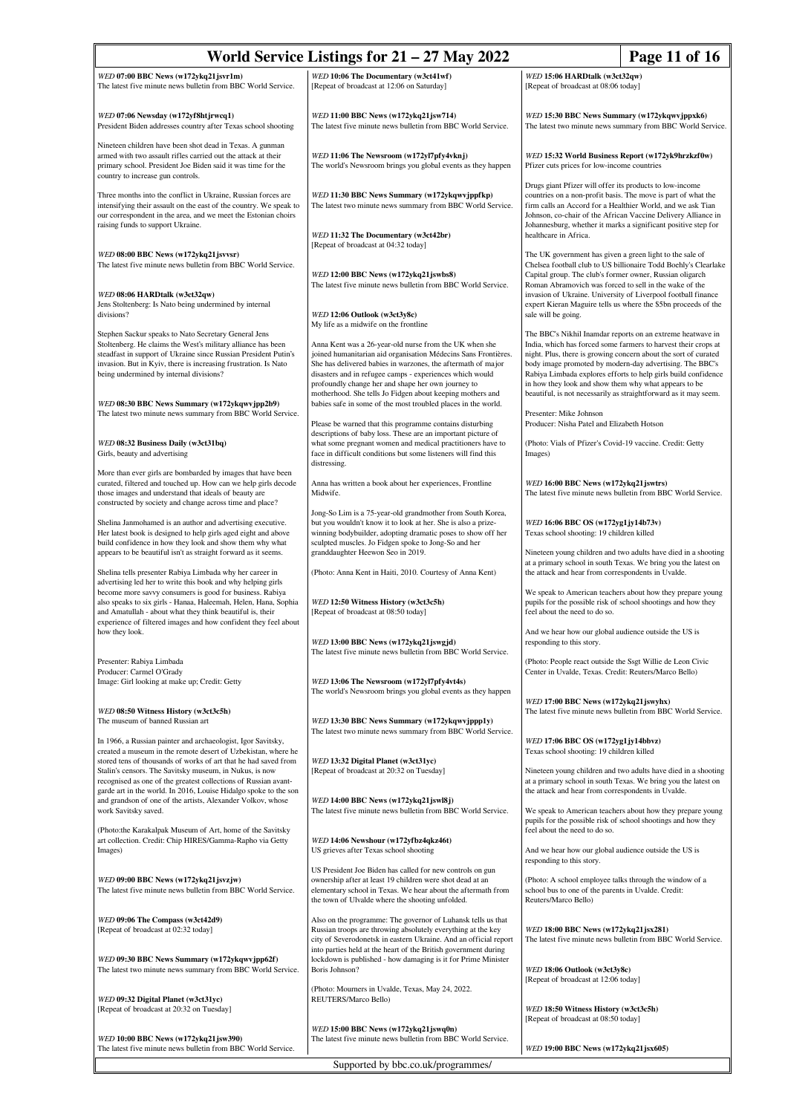| World Service Listings for $21 - 27$ May 2022<br>Page 11 of 16                                                                       |                                                                                                                                     |                                                                                                                                   |  |  |
|--------------------------------------------------------------------------------------------------------------------------------------|-------------------------------------------------------------------------------------------------------------------------------------|-----------------------------------------------------------------------------------------------------------------------------------|--|--|
| WED 07:00 BBC News (w172ykq21jsvr1m)                                                                                                 | WED 10:06 The Documentary (w3ct41wf)                                                                                                | WED 15:06 HARDtalk (w3ct32qw)                                                                                                     |  |  |
| The latest five minute news bulletin from BBC World Service.                                                                         | [Repeat of broadcast at 12:06 on Saturday]                                                                                          | [Repeat of broadcast at 08:06 today]                                                                                              |  |  |
|                                                                                                                                      |                                                                                                                                     |                                                                                                                                   |  |  |
| WED 07:06 Newsday (w172yf8htjrwcq1)<br>President Biden addresses country after Texas school shooting                                 | WED 11:00 BBC News (w172ykq21jsw714)<br>The latest five minute news bulletin from BBC World Service.                                | WED 15:30 BBC News Summary (w172ykqwvjppxk6)<br>The latest two minute news summary from BBC World Service.                        |  |  |
| Nineteen children have been shot dead in Texas. A gunman                                                                             |                                                                                                                                     |                                                                                                                                   |  |  |
| armed with two assault rifles carried out the attack at their<br>primary school. President Joe Biden said it was time for the        | WED 11:06 The Newsroom (w172yl7pfy4vknj)<br>The world's Newsroom brings you global events as they happen                            | WED 15:32 World Business Report (w172yk9hrzkzf0w)<br>Pfizer cuts prices for low-income countries                                  |  |  |
| country to increase gun controls.                                                                                                    |                                                                                                                                     | Drugs giant Pfizer will offer its products to low-income                                                                          |  |  |
| Three months into the conflict in Ukraine, Russian forces are                                                                        | WED 11:30 BBC News Summary (w172ykqwvjppfkp)                                                                                        | countries on a non-profit basis. The move is part of what the                                                                     |  |  |
| intensifying their assault on the east of the country. We speak to<br>our correspondent in the area, and we meet the Estonian choirs | The latest two minute news summary from BBC World Service.                                                                          | firm calls an Accord for a Healthier World, and we ask Tian<br>Johnson, co-chair of the African Vaccine Delivery Alliance in      |  |  |
| raising funds to support Ukraine.                                                                                                    | WED 11:32 The Documentary (w3ct42br)                                                                                                | Johannesburg, whether it marks a significant positive step for<br>healthcare in Africa.                                           |  |  |
|                                                                                                                                      | [Repeat of broadcast at 04:32 today]                                                                                                |                                                                                                                                   |  |  |
| WED 08:00 BBC News (w172ykq21jsvvsr)<br>The latest five minute news bulletin from BBC World Service.                                 |                                                                                                                                     | The UK government has given a green light to the sale of<br>Chelsea football club to US billionaire Todd Boehly's Clearlake       |  |  |
|                                                                                                                                      | WED 12:00 BBC News (w172ykq21jswbs8)<br>The latest five minute news bulletin from BBC World Service.                                | Capital group. The club's former owner, Russian oligarch<br>Roman Abramovich was forced to sell in the wake of the                |  |  |
| WED 08:06 HARDtalk (w3ct32qw)<br>Jens Stoltenberg: Is Nato being undermined by internal                                              |                                                                                                                                     | invasion of Ukraine. University of Liverpool football finance<br>expert Kieran Maguire tells us where the \$5bn proceeds of the   |  |  |
| divisions?                                                                                                                           | WED 12:06 Outlook (w3ct3y8c)                                                                                                        | sale will be going.                                                                                                               |  |  |
| Stephen Sackur speaks to Nato Secretary General Jens                                                                                 | My life as a midwife on the frontline                                                                                               | The BBC's Nikhil Inamdar reports on an extreme heatwave in                                                                        |  |  |
| Stoltenberg. He claims the West's military alliance has been<br>steadfast in support of Ukraine since Russian President Putin's      | Anna Kent was a 26-year-old nurse from the UK when she<br>joined humanitarian aid organisation Médecins Sans Frontières.            | India, which has forced some farmers to harvest their crops at<br>night. Plus, there is growing concern about the sort of curated |  |  |
| invasion. But in Kyiv, there is increasing frustration. Is Nato                                                                      | She has delivered babies in warzones, the aftermath of major                                                                        | body image promoted by modern-day advertising. The BBC's                                                                          |  |  |
| being undermined by internal divisions?                                                                                              | disasters and in refugee camps - experiences which would<br>profoundly change her and shape her own journey to                      | Rabiya Limbada explores efforts to help girls build confidence<br>in how they look and show them why what appears to be           |  |  |
| WED 08:30 BBC News Summary (w172ykqwvjpp2b9)                                                                                         | motherhood. She tells Jo Fidgen about keeping mothers and<br>babies safe in some of the most troubled places in the world.          | beautiful, is not necessarily as straightforward as it may seem.                                                                  |  |  |
| The latest two minute news summary from BBC World Service.                                                                           |                                                                                                                                     | Presenter: Mike Johnson                                                                                                           |  |  |
|                                                                                                                                      | Please be warned that this programme contains disturbing<br>descriptions of baby loss. These are an important picture of            | Producer: Nisha Patel and Elizabeth Hotson                                                                                        |  |  |
| WED 08:32 Business Daily (w3ct31bq)<br>Girls, beauty and advertising                                                                 | what some pregnant women and medical practitioners have to<br>face in difficult conditions but some listeners will find this        | (Photo: Vials of Pfizer's Covid-19 vaccine. Credit: Getty<br>Images)                                                              |  |  |
| More than ever girls are bombarded by images that have been                                                                          | distressing.                                                                                                                        |                                                                                                                                   |  |  |
| curated, filtered and touched up. How can we help girls decode                                                                       | Anna has written a book about her experiences, Frontline                                                                            | WED 16:00 BBC News (w172ykq21jswtrs)                                                                                              |  |  |
| those images and understand that ideals of beauty are<br>constructed by society and change across time and place?                    | Midwife.                                                                                                                            | The latest five minute news bulletin from BBC World Service.                                                                      |  |  |
| Shelina Janmohamed is an author and advertising executive.                                                                           | Jong-So Lim is a 75-year-old grandmother from South Korea,<br>but you wouldn't know it to look at her. She is also a prize-         | WED 16:06 BBC OS (w172yg1jy14b73v)                                                                                                |  |  |
| Her latest book is designed to help girls aged eight and above                                                                       | winning bodybuilder, adopting dramatic poses to show off her                                                                        | Texas school shooting: 19 children killed                                                                                         |  |  |
| build confidence in how they look and show them why what<br>appears to be beautiful isn't as straight forward as it seems.           | sculpted muscles. Jo Fidgen spoke to Jong-So and her<br>granddaughter Heewon Seo in 2019.                                           | Nineteen young children and two adults have died in a shooting                                                                    |  |  |
| Shelina tells presenter Rabiya Limbada why her career in                                                                             | (Photo: Anna Kent in Haiti, 2010. Courtesy of Anna Kent)                                                                            | at a primary school in south Texas. We bring you the latest on<br>the attack and hear from correspondents in Uvalde.              |  |  |
| advertising led her to write this book and why helping girls<br>become more savvy consumers is good for business. Rabiya             |                                                                                                                                     | We speak to American teachers about how they prepare young                                                                        |  |  |
| also speaks to six girls - Hanaa, Haleemah, Helen, Hana, Sophia                                                                      | WED 12:50 Witness History (w3ct3c5h)                                                                                                | pupils for the possible risk of school shootings and how they                                                                     |  |  |
| and Amatullah - about what they think beautiful is, their<br>experience of filtered images and how confident they feel about         | [Repeat of broadcast at 08:50 today]                                                                                                | feel about the need to do so.                                                                                                     |  |  |
| how they look.                                                                                                                       | WED 13:00 BBC News (w172ykq21jswgjd)                                                                                                | And we hear how our global audience outside the US is<br>responding to this story.                                                |  |  |
| Presenter: Rabiya Limbada                                                                                                            | The latest five minute news bulletin from BBC World Service.                                                                        | (Photo: People react outside the Ssgt Willie de Leon Civic                                                                        |  |  |
| Producer: Carmel O'Grady                                                                                                             |                                                                                                                                     | Center in Uvalde, Texas. Credit: Reuters/Marco Bello)                                                                             |  |  |
| Image: Girl looking at make up; Credit: Getty                                                                                        | WED 13:06 The Newsroom (w172yl7pfy4vt4s)<br>The world's Newsroom brings you global events as they happen                            |                                                                                                                                   |  |  |
| WED 08:50 Witness History (w3ct3c5h)                                                                                                 |                                                                                                                                     | WED 17:00 BBC News (w172ykq21jswyhx)<br>The latest five minute news bulletin from BBC World Service.                              |  |  |
| The museum of banned Russian art                                                                                                     | WED 13:30 BBC News Summary (w172ykqwvjppp1y)<br>The latest two minute news summary from BBC World Service.                          |                                                                                                                                   |  |  |
| In 1966, a Russian painter and archaeologist, Igor Savitsky,                                                                         |                                                                                                                                     | WED 17:06 BBC OS (w172yg1jy14bbvz)                                                                                                |  |  |
| created a museum in the remote desert of Uzbekistan, where he<br>stored tens of thousands of works of art that he had saved from     | WED 13:32 Digital Planet (w3ct31vc)                                                                                                 | Texas school shooting: 19 children killed                                                                                         |  |  |
| Stalin's censors. The Savitsky museum, in Nukus, is now<br>recognised as one of the greatest collections of Russian avant-           | [Repeat of broadcast at 20:32 on Tuesday]                                                                                           | Nineteen young children and two adults have died in a shooting<br>at a primary school in south Texas. We bring you the latest on  |  |  |
| garde art in the world. In 2016, Louise Hidalgo spoke to the son                                                                     |                                                                                                                                     | the attack and hear from correspondents in Uvalde.                                                                                |  |  |
| and grandson of one of the artists, Alexander Volkov, whose<br>work Savitsky saved.                                                  | WED 14:00 BBC News (w172ykq21jswl8j)<br>The latest five minute news bulletin from BBC World Service.                                | We speak to American teachers about how they prepare young                                                                        |  |  |
| (Photo:the Karakalpak Museum of Art, home of the Savitsky                                                                            |                                                                                                                                     | pupils for the possible risk of school shootings and how they<br>feel about the need to do so.                                    |  |  |
| art collection. Credit: Chip HIRES/Gamma-Rapho via Getty<br>Images)                                                                  | WED 14:06 Newshour (w172yfbz4qkz46t)<br>US grieves after Texas school shooting                                                      | And we hear how our global audience outside the US is                                                                             |  |  |
|                                                                                                                                      |                                                                                                                                     | responding to this story.                                                                                                         |  |  |
| WED 09:00 BBC News (w172ykq21jsvzjw)                                                                                                 | US President Joe Biden has called for new controls on gun<br>ownership after at least 19 children were shot dead at an              | (Photo: A school employee talks through the window of a                                                                           |  |  |
| The latest five minute news bulletin from BBC World Service.                                                                         | elementary school in Texas. We hear about the aftermath from<br>the town of Ulvalde where the shooting unfolded.                    | school bus to one of the parents in Uvalde. Credit:<br>Reuters/Marco Bello)                                                       |  |  |
| WED 09:06 The Compass (w3ct42d9)                                                                                                     | Also on the programme: The governor of Luhansk tells us that                                                                        |                                                                                                                                   |  |  |
| [Repeat of broadcast at 02:32 today]                                                                                                 | Russian troops are throwing absolutely everything at the key                                                                        | WED 18:00 BBC News (w172ykq21jsx281)                                                                                              |  |  |
|                                                                                                                                      | city of Severodonetsk in eastern Ukraine. And an official report<br>into parties held at the heart of the British government during | The latest five minute news bulletin from BBC World Service.                                                                      |  |  |
| WED 09:30 BBC News Summary (w172ykqwvjpp62f)<br>The latest two minute news summary from BBC World Service.                           | lockdown is published - how damaging is it for Prime Minister<br>Boris Johnson?                                                     | WED 18:06 Outlook (w3ct3y8c)                                                                                                      |  |  |
|                                                                                                                                      |                                                                                                                                     | [Repeat of broadcast at 12:06 today]                                                                                              |  |  |
| WED 09:32 Digital Planet (w3ct31yc)                                                                                                  | (Photo: Mourners in Uvalde, Texas, May 24, 2022.<br>REUTERS/Marco Bello)                                                            |                                                                                                                                   |  |  |
| [Repeat of broadcast at 20:32 on Tuesday]                                                                                            |                                                                                                                                     | WED 18:50 Witness History (w3ct3c5h)<br>[Repeat of broadcast at 08:50 today]                                                      |  |  |
| WED 10:00 BBC News (w172ykq21jsw390)                                                                                                 | WED 15:00 BBC News (w172ykq21jswq0n)<br>The latest five minute news bulletin from BBC World Service.                                |                                                                                                                                   |  |  |
| The latest five minute news bulletin from BBC World Service.                                                                         |                                                                                                                                     | WED 19:00 BBC News (w172ykq21jsx605)                                                                                              |  |  |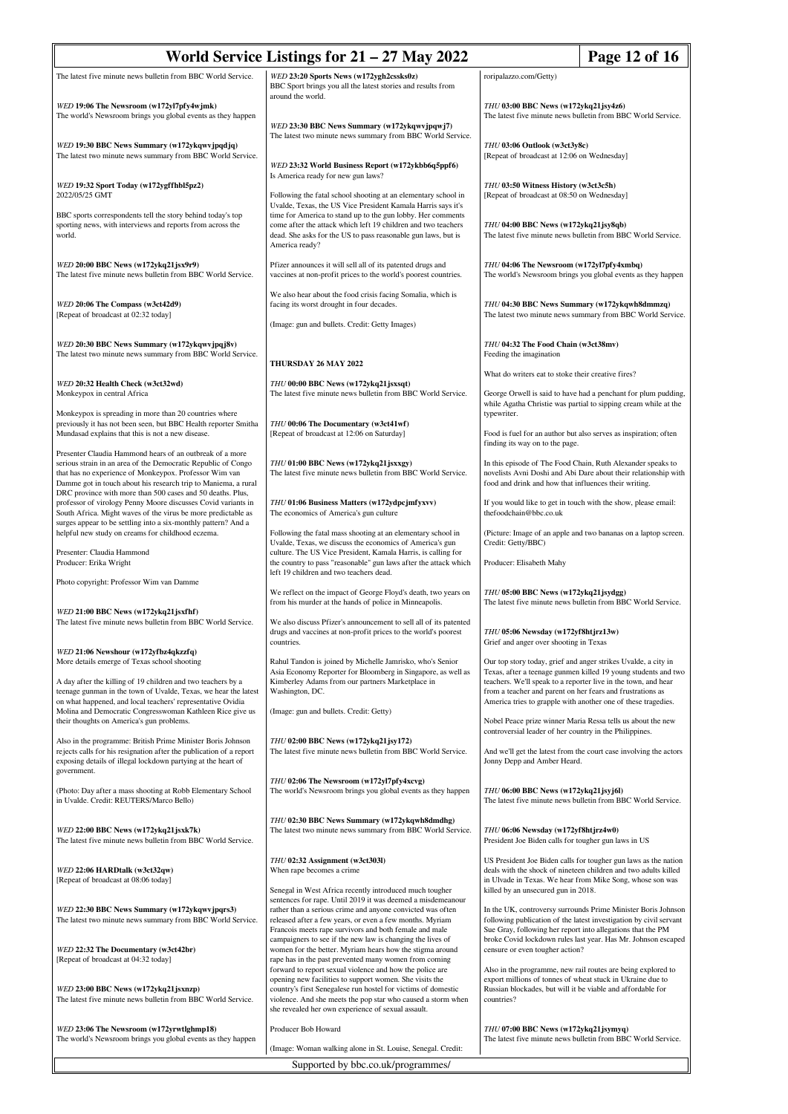| World Service Listings for $21 - 27$ May 2022<br>Page 12 of 16                                                                                                                                                                                                 |                                                                                                                                                                                                                                                                                                               |                                                                                                                                                                                               |                                                                                                                                                                                                      |
|----------------------------------------------------------------------------------------------------------------------------------------------------------------------------------------------------------------------------------------------------------------|---------------------------------------------------------------------------------------------------------------------------------------------------------------------------------------------------------------------------------------------------------------------------------------------------------------|-----------------------------------------------------------------------------------------------------------------------------------------------------------------------------------------------|------------------------------------------------------------------------------------------------------------------------------------------------------------------------------------------------------|
| The latest five minute news bulletin from BBC World Service.                                                                                                                                                                                                   | WED 23:20 Sports News (w172ygh2cssks0z)<br>BBC Sport brings you all the latest stories and results from<br>around the world.                                                                                                                                                                                  | roripalazzo.com/Getty)                                                                                                                                                                        |                                                                                                                                                                                                      |
| WED 19:06 The Newsroom (w172yl7pfy4wjmk)<br>The world's Newsroom brings you global events as they happen                                                                                                                                                       | WED 23:30 BBC News Summary (w172ykqwvjpqwj7)                                                                                                                                                                                                                                                                  | THU 03:00 BBC News (w172ykq21jsy4z6)<br>The latest five minute news bulletin from BBC World Service.                                                                                          |                                                                                                                                                                                                      |
| WED 19:30 BBC News Summary (w172ykqwvjpqdjq)<br>The latest two minute news summary from BBC World Service.                                                                                                                                                     | The latest two minute news summary from BBC World Service.<br>WED 23:32 World Business Report (w172ykbb6q5ppf6)                                                                                                                                                                                               | THU 03:06 Outlook (w3ct3y8c)<br>[Repeat of broadcast at 12:06 on Wednesday]                                                                                                                   |                                                                                                                                                                                                      |
| WED 19:32 Sport Today (w172ygffhbl5pz2)<br>2022/05/25 GMT                                                                                                                                                                                                      | Is America ready for new gun laws?<br>Following the fatal school shooting at an elementary school in<br>Uvalde, Texas, the US Vice President Kamala Harris says it's                                                                                                                                          | THU 03:50 Witness History (w3ct3c5h)<br>[Repeat of broadcast at 08:50 on Wednesday]                                                                                                           |                                                                                                                                                                                                      |
| BBC sports correspondents tell the story behind today's top<br>sporting news, with interviews and reports from across the<br>world.                                                                                                                            | time for America to stand up to the gun lobby. Her comments<br>come after the attack which left 19 children and two teachers<br>dead. She asks for the US to pass reasonable gun laws, but is<br>America ready?                                                                                               | THU 04:00 BBC News (w172ykq21jsy8qb)                                                                                                                                                          | The latest five minute news bulletin from BBC World Service.                                                                                                                                         |
| WED 20:00 BBC News (w172ykq21jsx9r9)<br>The latest five minute news bulletin from BBC World Service.                                                                                                                                                           | Pfizer announces it will sell all of its patented drugs and<br>vaccines at non-profit prices to the world's poorest countries.                                                                                                                                                                                | THU 04:06 The Newsroom (w172yl7pfy4xmbq)                                                                                                                                                      | The world's Newsroom brings you global events as they happen                                                                                                                                         |
| WED 20:06 The Compass (w3ct42d9)<br>[Repeat of broadcast at 02:32 today]                                                                                                                                                                                       | We also hear about the food crisis facing Somalia, which is<br>facing its worst drought in four decades.<br>(Image: gun and bullets. Credit: Getty Images)                                                                                                                                                    | THU 04:30 BBC News Summary (w172ykqwh8dmmzq)                                                                                                                                                  | The latest two minute news summary from BBC World Service.                                                                                                                                           |
| WED 20:30 BBC News Summary (w172ykqwvjpqj8v)<br>The latest two minute news summary from BBC World Service.                                                                                                                                                     | <b>THURSDAY 26 MAY 2022</b>                                                                                                                                                                                                                                                                                   | THU 04:32 The Food Chain (w3ct38mv)<br>Feeding the imagination                                                                                                                                |                                                                                                                                                                                                      |
| WED 20:32 Health Check (w3ct32wd)                                                                                                                                                                                                                              | THU 00:00 BBC News (w172ykq21 jsxsqt)                                                                                                                                                                                                                                                                         | What do writers eat to stoke their creative fires?                                                                                                                                            |                                                                                                                                                                                                      |
| Monkeypox in central Africa<br>Monkeypox is spreading in more than 20 countries where                                                                                                                                                                          | The latest five minute news bulletin from BBC World Service.                                                                                                                                                                                                                                                  | typewriter.                                                                                                                                                                                   | George Orwell is said to have had a penchant for plum pudding,<br>while Agatha Christie was partial to sipping cream while at the                                                                    |
| previously it has not been seen, but BBC Health reporter Smitha<br>Mundasad explains that this is not a new disease.<br>Presenter Claudia Hammond hears of an outbreak of a more                                                                               | THU 00:06 The Documentary (w3ct41wf)<br>[Repeat of broadcast at 12:06 on Saturday]                                                                                                                                                                                                                            | finding its way on to the page.                                                                                                                                                               | Food is fuel for an author but also serves as inspiration; often                                                                                                                                     |
| serious strain in an area of the Democratic Republic of Congo<br>that has no experience of Monkeypox. Professor Wim van<br>Damme got in touch about his research trip to Maniema, a rural                                                                      | THU 01:00 BBC News (w172ykq21jsxxgy)<br>The latest five minute news bulletin from BBC World Service.                                                                                                                                                                                                          | food and drink and how that influences their writing.                                                                                                                                         | In this episode of The Food Chain, Ruth Alexander speaks to<br>novelists Avni Doshi and Abi Dare about their relationship with                                                                       |
| DRC province with more than 500 cases and 50 deaths. Plus,<br>professor of virology Penny Moore discusses Covid variants in<br>South Africa. Might waves of the virus be more predictable as<br>surges appear to be settling into a six-monthly pattern? And a | THU 01:06 Business Matters (w172ydpcjmfyxvv)<br>The economics of America's gun culture                                                                                                                                                                                                                        | thefoodchain@bbc.co.uk                                                                                                                                                                        | If you would like to get in touch with the show, please email:                                                                                                                                       |
| helpful new study on creams for childhood eczema.                                                                                                                                                                                                              | Following the fatal mass shooting at an elementary school in<br>Uvalde, Texas, we discuss the economics of America's gun                                                                                                                                                                                      | Credit: Getty/BBC)                                                                                                                                                                            | (Picture: Image of an apple and two bananas on a laptop screen.                                                                                                                                      |
| Presenter: Claudia Hammond<br>Producer: Erika Wright                                                                                                                                                                                                           | culture. The US Vice President, Kamala Harris, is calling for<br>the country to pass "reasonable" gun laws after the attack which<br>left 19 children and two teachers dead.                                                                                                                                  | Producer: Elisabeth Mahy                                                                                                                                                                      |                                                                                                                                                                                                      |
| Photo copyright: Professor Wim van Damme                                                                                                                                                                                                                       | We reflect on the impact of George Floyd's death, two years on<br>from his murder at the hands of police in Minneapolis.                                                                                                                                                                                      | THU 05:00 BBC News (w172ykq21jsydgg)                                                                                                                                                          | The latest five minute news bulletin from BBC World Service.                                                                                                                                         |
| WED 21:00 BBC News (w172ykq21jsxfhf)<br>The latest five minute news bulletin from BBC World Service.                                                                                                                                                           | We also discuss Pfizer's announcement to sell all of its patented<br>drugs and vaccines at non-profit prices to the world's poorest<br>countries.                                                                                                                                                             | THU 05:06 Newsday (w172yf8htjrz13w)                                                                                                                                                           |                                                                                                                                                                                                      |
| WED 21:06 Newshour (w172yfbz4qkzzfq)<br>More details emerge of Texas school shooting                                                                                                                                                                           | Rahul Tandon is joined by Michelle Jamrisko, who's Senior<br>Asia Economy Reporter for Bloomberg in Singapore, as well as                                                                                                                                                                                     | Grief and anger over shooting in Texas<br>Our top story today, grief and anger strikes Uvalde, a city in                                                                                      | Texas, after a teenage gunmen killed 19 young students and two                                                                                                                                       |
| A day after the killing of 19 children and two teachers by a<br>teenage gunman in the town of Uvalde, Texas, we hear the latest<br>on what happened, and local teachers' representative Ovidia                                                                 | Kimberley Adams from our partners Marketplace in<br>Washington, DC.                                                                                                                                                                                                                                           | teachers. We'll speak to a reporter live in the town, and hear<br>from a teacher and parent on her fears and frustrations as<br>America tries to grapple with another one of these tragedies. |                                                                                                                                                                                                      |
| Molina and Democratic Congresswoman Kathleen Rice give us<br>their thoughts on America's gun problems.                                                                                                                                                         | (Image: gun and bullets. Credit: Getty)                                                                                                                                                                                                                                                                       | controversial leader of her country in the Philippines.                                                                                                                                       | Nobel Peace prize winner Maria Ressa tells us about the new                                                                                                                                          |
| Also in the programme: British Prime Minister Boris Johnson<br>rejects calls for his resignation after the publication of a report<br>exposing details of illegal lockdown partying at the heart of                                                            | THU 02:00 BBC News (w172ykq21jsy172)<br>The latest five minute news bulletin from BBC World Service.                                                                                                                                                                                                          | Jonny Depp and Amber Heard.                                                                                                                                                                   | And we'll get the latest from the court case involving the actors                                                                                                                                    |
| government.<br>(Photo: Day after a mass shooting at Robb Elementary School<br>in Uvalde. Credit: REUTERS/Marco Bello)                                                                                                                                          | THU 02:06 The Newsroom (w172yl7pfy4xcvg)<br>The world's Newsroom brings you global events as they happen                                                                                                                                                                                                      | THU 06:00 BBC News (w172ykq21jsyj6l)                                                                                                                                                          | The latest five minute news bulletin from BBC World Service.                                                                                                                                         |
| WED 22:00 BBC News (w172ykq21jsxk7k)<br>The latest five minute news bulletin from BBC World Service.                                                                                                                                                           | THU 02:30 BBC News Summary (w172ykqwh8dmdhg)<br>The latest two minute news summary from BBC World Service.                                                                                                                                                                                                    | THU 06:06 Newsday (w172yf8htjrz4w0)<br>President Joe Biden calls for tougher gun laws in US                                                                                                   |                                                                                                                                                                                                      |
| WED 22:06 HARDtalk (w3ct32qw)<br>[Repeat of broadcast at 08:06 today]                                                                                                                                                                                          | THU 02:32 Assignment (w3ct303l)<br>When rape becomes a crime<br>Senegal in West Africa recently introduced much tougher                                                                                                                                                                                       | killed by an unsecured gun in 2018.                                                                                                                                                           | US President Joe Biden calls for tougher gun laws as the nation<br>deals with the shock of nineteen children and two adults killed<br>in Ulvade in Texas. We hear from Mike Song, whose son was      |
| WED 22:30 BBC News Summary (w172ykqwvjpqrs3)<br>The latest two minute news summary from BBC World Service.                                                                                                                                                     | sentences for rape. Until 2019 it was deemed a misdemeanour<br>rather than a serious crime and anyone convicted was often<br>released after a few years, or even a few months. Myriam<br>Francois meets rape survivors and both female and male<br>campaigners to see if the new law is changing the lives of | Sue Gray, following her report into allegations that the PM                                                                                                                                   | In the UK, controversy surrounds Prime Minister Boris Johnson<br>following publication of the latest investigation by civil servant<br>broke Covid lockdown rules last year. Has Mr. Johnson escaped |
| WED 22:32 The Documentary (w3ct42br)<br>[Repeat of broadcast at 04:32 today]                                                                                                                                                                                   | women for the better. Myriam hears how the stigma around<br>rape has in the past prevented many women from coming<br>forward to report sexual violence and how the police are                                                                                                                                 | censure or even tougher action?                                                                                                                                                               | Also in the programme, new rail routes are being explored to                                                                                                                                         |
| WED 23:00 BBC News (w172ykq21 jsxnzp)<br>The latest five minute news bulletin from BBC World Service.                                                                                                                                                          | opening new facilities to support women. She visits the<br>country's first Senegalese run hostel for victims of domestic<br>violence. And she meets the pop star who caused a storm when<br>she revealed her own experience of sexual assault.                                                                | export millions of tonnes of wheat stuck in Ukraine due to<br>Russian blockades, but will it be viable and affordable for<br>countries?                                                       |                                                                                                                                                                                                      |
| WED 23:06 The Newsroom (w172yrwtlghmp18)<br>The world's Newsroom brings you global events as they happen                                                                                                                                                       | Producer Bob Howard<br>(Image: Woman walking alone in St. Louise, Senegal. Credit:                                                                                                                                                                                                                            | THU 07:00 BBC News (w172ykq21 jsymyq)                                                                                                                                                         | The latest five minute news bulletin from BBC World Service.                                                                                                                                         |
|                                                                                                                                                                                                                                                                | Supported by bbc.co.uk/programmes/                                                                                                                                                                                                                                                                            |                                                                                                                                                                                               |                                                                                                                                                                                                      |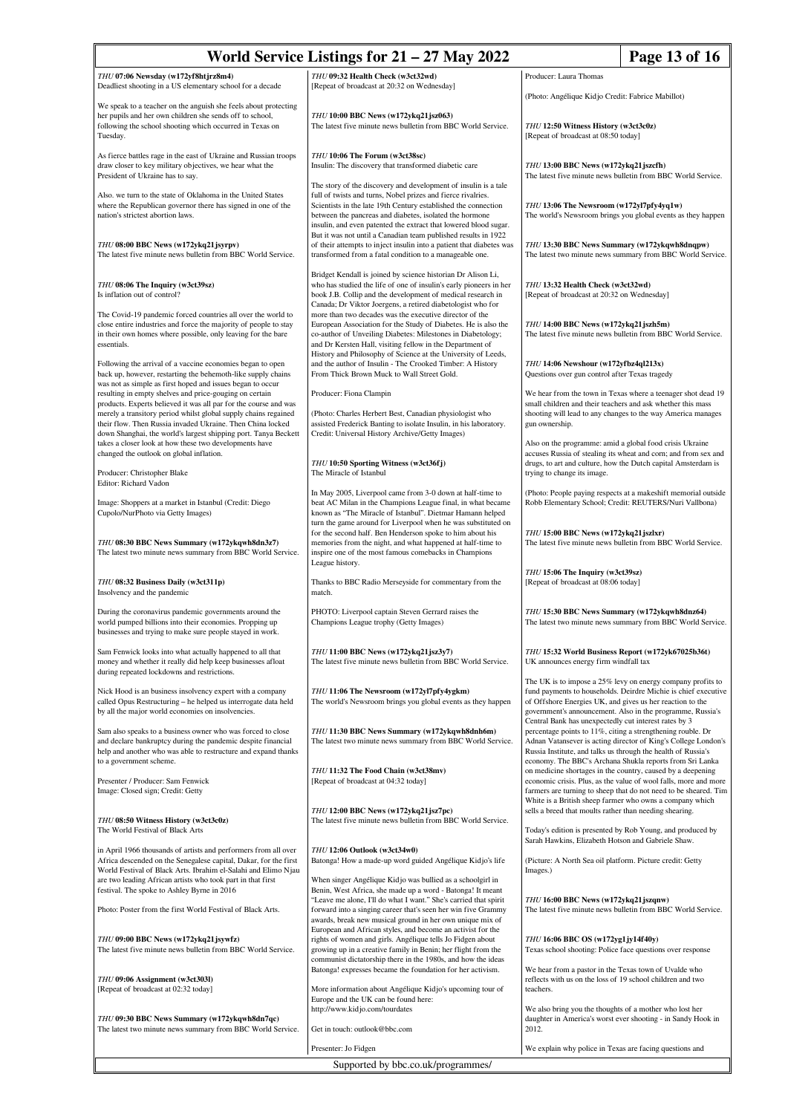| Page 13 of 16<br>World Service Listings for $21 - 27$ May 2022                                                                                                                                                                                                                                                                  |                                                                                                                                                                                                                                                                                                                                                                                                    |                                                                                                                                                                                       |                                                                                                                                                                                             |  |
|---------------------------------------------------------------------------------------------------------------------------------------------------------------------------------------------------------------------------------------------------------------------------------------------------------------------------------|----------------------------------------------------------------------------------------------------------------------------------------------------------------------------------------------------------------------------------------------------------------------------------------------------------------------------------------------------------------------------------------------------|---------------------------------------------------------------------------------------------------------------------------------------------------------------------------------------|---------------------------------------------------------------------------------------------------------------------------------------------------------------------------------------------|--|
| THU 07:06 Newsday (w172yf8htjrz8m4)<br>Deadliest shooting in a US elementary school for a decade                                                                                                                                                                                                                                | THU 09:32 Health Check (w3ct32wd)<br>[Repeat of broadcast at 20:32 on Wednesday]                                                                                                                                                                                                                                                                                                                   | Producer: Laura Thomas                                                                                                                                                                |                                                                                                                                                                                             |  |
| We speak to a teacher on the anguish she feels about protecting                                                                                                                                                                                                                                                                 |                                                                                                                                                                                                                                                                                                                                                                                                    | (Photo: Angélique Kidjo Credit: Fabrice Mabillot)                                                                                                                                     |                                                                                                                                                                                             |  |
| her pupils and her own children she sends off to school,<br>following the school shooting which occurred in Texas on<br>Tuesday.                                                                                                                                                                                                | THU 10:00 BBC News (w172ykq21jsz063)<br>The latest five minute news bulletin from BBC World Service.                                                                                                                                                                                                                                                                                               | THU 12:50 Witness History (w3ct3c0z)<br>[Repeat of broadcast at 08:50 today]                                                                                                          |                                                                                                                                                                                             |  |
| As fierce battles rage in the east of Ukraine and Russian troops<br>draw closer to key military objectives, we hear what the<br>President of Ukraine has to say.                                                                                                                                                                | THU 10:06 The Forum (w3ct38sc)<br>Insulin: The discovery that transformed diabetic care                                                                                                                                                                                                                                                                                                            | THU 13:00 BBC News (w172ykq21jszcfh)<br>The latest five minute news bulletin from BBC World Service.                                                                                  |                                                                                                                                                                                             |  |
| Also. we turn to the state of Oklahoma in the United States<br>where the Republican governor there has signed in one of the<br>nation's strictest abortion laws.                                                                                                                                                                | The story of the discovery and development of insulin is a tale<br>full of twists and turns, Nobel prizes and fierce rivalries.<br>Scientists in the late 19th Century established the connection<br>between the pancreas and diabetes, isolated the hormone<br>insulin, and even patented the extract that lowered blood sugar.<br>But it was not until a Canadian team published results in 1922 | THU 13:06 The Newsroom (w172yl7pfy4yq1w)<br>The world's Newsroom brings you global events as they happen                                                                              |                                                                                                                                                                                             |  |
| THU 08:00 BBC News (w172ykq21jsyrpv)<br>The latest five minute news bulletin from BBC World Service.                                                                                                                                                                                                                            | of their attempts to inject insulin into a patient that diabetes was<br>transformed from a fatal condition to a manageable one.                                                                                                                                                                                                                                                                    | THU 13:30 BBC News Summary (w172ykqwh8dnqpw)                                                                                                                                          | The latest two minute news summary from BBC World Service.                                                                                                                                  |  |
| THU 08:06 The Inquiry (w3ct39sz)<br>Is inflation out of control?                                                                                                                                                                                                                                                                | Bridget Kendall is joined by science historian Dr Alison Li,<br>who has studied the life of one of insulin's early pioneers in her<br>book J.B. Collip and the development of medical research in<br>Canada; Dr Viktor Joergens, a retired diabetologist who for                                                                                                                                   | THU 13:32 Health Check (w3ct32wd)<br>[Repeat of broadcast at 20:32 on Wednesday]                                                                                                      |                                                                                                                                                                                             |  |
| The Covid-19 pandemic forced countries all over the world to<br>close entire industries and force the majority of people to stay<br>in their own homes where possible, only leaving for the bare<br>essentials.                                                                                                                 | more than two decades was the executive director of the<br>European Association for the Study of Diabetes. He is also the<br>co-author of Unveiling Diabetes: Milestones in Diabetology;<br>and Dr Kersten Hall, visiting fellow in the Department of<br>History and Philosophy of Science at the University of Leeds,                                                                             | THU 14:00 BBC News (w172ykq21jszh5m)<br>The latest five minute news bulletin from BBC World Service.                                                                                  |                                                                                                                                                                                             |  |
| Following the arrival of a vaccine economies began to open<br>back up, however, restarting the behemoth-like supply chains<br>was not as simple as first hoped and issues began to occur                                                                                                                                        | and the author of Insulin - The Crooked Timber: A History<br>From Thick Brown Muck to Wall Street Gold.                                                                                                                                                                                                                                                                                            | THU 14:06 Newshour (w172yfbz4ql213x)<br>Questions over gun control after Texas tragedy                                                                                                |                                                                                                                                                                                             |  |
| resulting in empty shelves and price-gouging on certain<br>products. Experts believed it was all par for the course and was<br>merely a transitory period whilst global supply chains regained<br>their flow. Then Russia invaded Ukraine. Then China locked<br>down Shanghai, the world's largest shipping port. Tanya Beckett | Producer: Fiona Clampin<br>(Photo: Charles Herbert Best, Canadian physiologist who<br>assisted Frederick Banting to isolate Insulin, in his laboratory.<br>Credit: Universal History Archive/Getty Images)                                                                                                                                                                                         | small children and their teachers and ask whether this mass<br>gun ownership.                                                                                                         | We hear from the town in Texas where a teenager shot dead 19<br>shooting will lead to any changes to the way America manages                                                                |  |
| takes a closer look at how these two developments have<br>changed the outlook on global inflation.<br>Producer: Christopher Blake                                                                                                                                                                                               | THU 10:50 Sporting Witness (w3ct36fj)<br>The Miracle of Istanbul                                                                                                                                                                                                                                                                                                                                   | Also on the programme: amid a global food crisis Ukraine<br>trying to change its image.                                                                                               | accuses Russia of stealing its wheat and corn; and from sex and<br>drugs, to art and culture, how the Dutch capital Amsterdam is                                                            |  |
| Editor: Richard Vadon<br>Image: Shoppers at a market in Istanbul (Credit: Diego<br>Cupolo/NurPhoto via Getty Images)                                                                                                                                                                                                            | In May 2005, Liverpool came from 3-0 down at half-time to<br>beat AC Milan in the Champions League final, in what became<br>known as "The Miracle of Istanbul". Dietmar Hamann helped                                                                                                                                                                                                              |                                                                                                                                                                                       | (Photo: People paying respects at a makeshift memorial outside<br>Robb Elementary School; Credit: REUTERS/Nuri Vallbona)                                                                    |  |
| THU 08:30 BBC News Summary (w172ykqwh8dn3z7)<br>The latest two minute news summary from BBC World Service.                                                                                                                                                                                                                      | turn the game around for Liverpool when he was substituted on<br>for the second half. Ben Henderson spoke to him about his<br>memories from the night, and what happened at half-time to<br>inspire one of the most famous comebacks in Champions                                                                                                                                                  | THU 15:00 BBC News (w172ykq21jszlxr)                                                                                                                                                  | The latest five minute news bulletin from BBC World Service.                                                                                                                                |  |
| THU 08:32 Business Daily (w3ct311p)<br>Insolvency and the pandemic                                                                                                                                                                                                                                                              | League history.<br>Thanks to BBC Radio Merseyside for commentary from the<br>match.                                                                                                                                                                                                                                                                                                                | THU 15:06 The Inquiry (w3ct39sz)<br>[Repeat of broadcast at 08:06 today]                                                                                                              |                                                                                                                                                                                             |  |
| During the coronavirus pandemic governments around the<br>world pumped billions into their economies. Propping up<br>businesses and trying to make sure people stayed in work.                                                                                                                                                  | PHOTO: Liverpool captain Steven Gerrard raises the<br>Champions League trophy (Getty Images)                                                                                                                                                                                                                                                                                                       | THU 15:30 BBC News Summary (w172ykqwh8dnz64)                                                                                                                                          | The latest two minute news summary from BBC World Service.                                                                                                                                  |  |
| Sam Fenwick looks into what actually happened to all that<br>money and whether it really did help keep businesses afloat<br>during repeated lockdowns and restrictions.                                                                                                                                                         | THU 11:00 BBC News (w172ykq21jsz3y7)<br>The latest five minute news bulletin from BBC World Service.                                                                                                                                                                                                                                                                                               | THU 15:32 World Business Report (w172yk67025b36t)<br>UK announces energy firm windfall tax                                                                                            |                                                                                                                                                                                             |  |
| Nick Hood is an business insolvency expert with a company<br>called Opus Restructuring - he helped us interrogate data held<br>by all the major world economies on insolvencies.                                                                                                                                                | THU 11:06 The Newsroom (w172yl7pfy4ygkm)<br>The world's Newsroom brings you global events as they happen                                                                                                                                                                                                                                                                                           | of Offshore Energies UK, and gives us her reaction to the                                                                                                                             | The UK is to impose a 25% levy on energy company profits to<br>fund payments to households. Deirdre Michie is chief executive<br>government's announcement. Also in the programme, Russia's |  |
| Sam also speaks to a business owner who was forced to close<br>and declare bankruptcy during the pandemic despite financial<br>help and another who was able to restructure and expand thanks<br>to a government scheme.                                                                                                        | THU 11:30 BBC News Summary (w172ykqwh8dnh6m)<br>The latest two minute news summary from BBC World Service.                                                                                                                                                                                                                                                                                         | Central Bank has unexpectedly cut interest rates by 3<br>percentage points to 11%, citing a strengthening rouble. Dr<br>Russia Institute, and talks us through the health of Russia's | Adnan Vatansever is acting director of King's College London's<br>economy. The BBC's Archana Shukla reports from Sri Lanka                                                                  |  |
| Presenter / Producer: Sam Fenwick<br>Image: Closed sign; Credit: Getty                                                                                                                                                                                                                                                          | THU 11:32 The Food Chain (w3ct38mv)<br>[Repeat of broadcast at 04:32 today]                                                                                                                                                                                                                                                                                                                        | on medicine shortages in the country, caused by a deepening<br>White is a British sheep farmer who owns a company which                                                               | economic crisis. Plus, as the value of wool falls, more and more<br>farmers are turning to sheep that do not need to be sheared. Tim                                                        |  |
| THU 08:50 Witness History (w3ct3c0z)<br>The World Festival of Black Arts                                                                                                                                                                                                                                                        | THU 12:00 BBC News (w172ykq21jsz7pc)<br>The latest five minute news bulletin from BBC World Service.                                                                                                                                                                                                                                                                                               | sells a breed that moults rather than needing shearing.                                                                                                                               | Today's edition is presented by Rob Young, and produced by                                                                                                                                  |  |
| in April 1966 thousands of artists and performers from all over<br>Africa descended on the Senegalese capital, Dakar, for the first<br>World Festival of Black Arts. Ibrahim el-Salahi and Elimo Njau                                                                                                                           | THU 12:06 Outlook (w3ct34w0)<br>Batonga! How a made-up word guided Angélique Kidjo's life                                                                                                                                                                                                                                                                                                          | Sarah Hawkins, Elizabeth Hotson and Gabriele Shaw.<br>(Picture: A North Sea oil platform. Picture credit: Getty<br>Images.)                                                           |                                                                                                                                                                                             |  |
| are two leading African artists who took part in that first<br>festival. The spoke to Ashley Byrne in 2016                                                                                                                                                                                                                      | When singer Angélique Kidjo was bullied as a schoolgirl in<br>Benin, West Africa, she made up a word - Batonga! It meant<br>"Leave me alone, I'll do what I want." She's carried that spirit                                                                                                                                                                                                       | THU 16:00 BBC News (w172ykq21jszqnw)                                                                                                                                                  |                                                                                                                                                                                             |  |
| Photo: Poster from the first World Festival of Black Arts.<br>THU 09:00 BBC News (w172ykq21jsywfz)                                                                                                                                                                                                                              | forward into a singing career that's seen her win five Grammy<br>awards, break new musical ground in her own unique mix of<br>European and African styles, and become an activist for the                                                                                                                                                                                                          |                                                                                                                                                                                       | The latest five minute news bulletin from BBC World Service.                                                                                                                                |  |
| The latest five minute news bulletin from BBC World Service.                                                                                                                                                                                                                                                                    | rights of women and girls. Angélique tells Jo Fidgen about<br>growing up in a creative family in Benin; her flight from the<br>communist dictatorship there in the 1980s, and how the ideas<br>Batonga! expresses became the foundation for her activism.                                                                                                                                          | THU 16:06 BBC OS (w172yg1jy14f40y)<br>Texas school shooting: Police face questions over response<br>We hear from a pastor in the Texas town of Uvalde who                             |                                                                                                                                                                                             |  |
| THU 09:06 Assignment (w3ct303l)<br>[Repeat of broadcast at 02:32 today]                                                                                                                                                                                                                                                         | More information about Angélique Kidjo's upcoming tour of<br>Europe and the UK can be found here:<br>http://www.kidjo.com/tourdates                                                                                                                                                                                                                                                                | reflects with us on the loss of 19 school children and two<br>teachers.<br>We also bring you the thoughts of a mother who lost her                                                    |                                                                                                                                                                                             |  |
| THU 09:30 BBC News Summary (w172ykqwh8dn7qc)<br>The latest two minute news summary from BBC World Service.                                                                                                                                                                                                                      | Get in touch: outlook@bbc.com                                                                                                                                                                                                                                                                                                                                                                      | daughter in America's worst ever shooting - in Sandy Hook in<br>2012.                                                                                                                 |                                                                                                                                                                                             |  |
|                                                                                                                                                                                                                                                                                                                                 | Presenter: Jo Fidgen                                                                                                                                                                                                                                                                                                                                                                               | We explain why police in Texas are facing questions and                                                                                                                               |                                                                                                                                                                                             |  |
| Supported by bbc.co.uk/programmes/                                                                                                                                                                                                                                                                                              |                                                                                                                                                                                                                                                                                                                                                                                                    |                                                                                                                                                                                       |                                                                                                                                                                                             |  |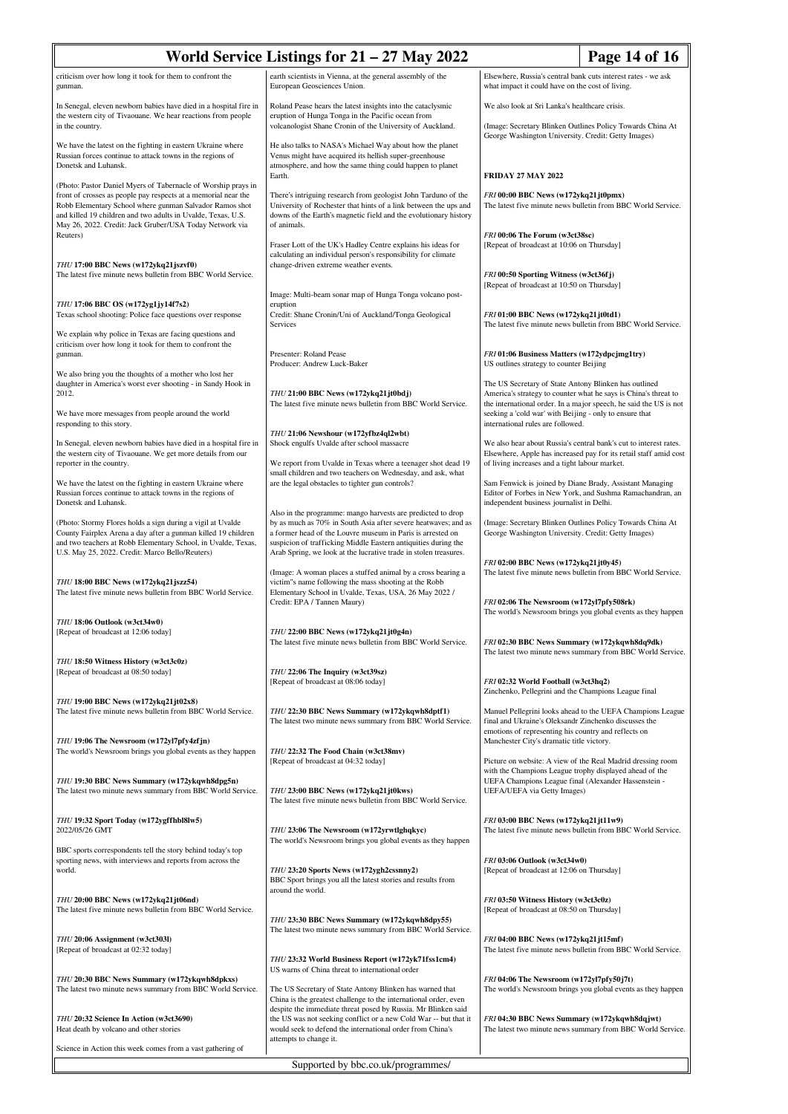| World Service Listings for $21 - 27$ May 2022<br>Page 14 of 16                                                                                                                                                                                                                                                        |                                                                                                                                                                                                                                                               |                                                                                                                                                                                          |  |
|-----------------------------------------------------------------------------------------------------------------------------------------------------------------------------------------------------------------------------------------------------------------------------------------------------------------------|---------------------------------------------------------------------------------------------------------------------------------------------------------------------------------------------------------------------------------------------------------------|------------------------------------------------------------------------------------------------------------------------------------------------------------------------------------------|--|
| criticism over how long it took for them to confront the<br>gunman.                                                                                                                                                                                                                                                   | earth scientists in Vienna, at the general assembly of the<br>European Geosciences Union.                                                                                                                                                                     | Elsewhere, Russia's central bank cuts interest rates - we ask<br>what impact it could have on the cost of living.                                                                        |  |
| In Senegal, eleven newborn babies have died in a hospital fire in<br>the western city of Tivaouane. We hear reactions from people<br>in the country.                                                                                                                                                                  | Roland Pease hears the latest insights into the cataclysmic<br>eruption of Hunga Tonga in the Pacific ocean from<br>volcanologist Shane Cronin of the University of Auckland.                                                                                 | We also look at Sri Lanka's healthcare crisis.<br>(Image: Secretary Blinken Outlines Policy Towards China At<br>George Washington University. Credit: Getty Images)                      |  |
| We have the latest on the fighting in eastern Ukraine where<br>Russian forces continue to attack towns in the regions of<br>Donetsk and Luhansk.                                                                                                                                                                      | He also talks to NASA's Michael Way about how the planet<br>Venus might have acquired its hellish super-greenhouse<br>atmosphere, and how the same thing could happen to planet<br>Earth.                                                                     | <b>FRIDAY 27 MAY 2022</b>                                                                                                                                                                |  |
| (Photo: Pastor Daniel Myers of Tabernacle of Worship prays in<br>front of crosses as people pay respects at a memorial near the<br>Robb Elementary School where gunman Salvador Ramos shot<br>and killed 19 children and two adults in Uvalde, Texas, U.S.<br>May 26, 2022. Credit: Jack Gruber/USA Today Network via | There's intriguing research from geologist John Tarduno of the<br>University of Rochester that hints of a link between the ups and<br>downs of the Earth's magnetic field and the evolutionary history<br>of animals.                                         | FRI 00:00 BBC News (w172ykq21jt0pmx)<br>The latest five minute news bulletin from BBC World Service.                                                                                     |  |
| Reuters)                                                                                                                                                                                                                                                                                                              | Fraser Lott of the UK's Hadley Centre explains his ideas for<br>calculating an individual person's responsibility for climate                                                                                                                                 | FRI 00:06 The Forum (w3ct38sc)<br>[Repeat of broadcast at 10:06 on Thursday]                                                                                                             |  |
| THU 17:00 BBC News (w172ykq21jszvf0)<br>The latest five minute news bulletin from BBC World Service.                                                                                                                                                                                                                  | change-driven extreme weather events.<br>Image: Multi-beam sonar map of Hunga Tonga volcano post-                                                                                                                                                             | FRI 00:50 Sporting Witness (w3ct36fj)<br>[Repeat of broadcast at 10:50 on Thursday]                                                                                                      |  |
| THU 17:06 BBC OS (w172yg1jy14f7s2)<br>Texas school shooting: Police face questions over response                                                                                                                                                                                                                      | eruption<br>Credit: Shane Cronin/Uni of Auckland/Tonga Geological<br>Services                                                                                                                                                                                 | FRI 01:00 BBC News (w172ykq21jt0td1)<br>The latest five minute news bulletin from BBC World Service.                                                                                     |  |
| We explain why police in Texas are facing questions and<br>criticism over how long it took for them to confront the<br>gunman.                                                                                                                                                                                        | Presenter: Roland Pease                                                                                                                                                                                                                                       | FRI 01:06 Business Matters (w172ydpcjmg1try)                                                                                                                                             |  |
| We also bring you the thoughts of a mother who lost her<br>daughter in America's worst ever shooting - in Sandy Hook in<br>2012.                                                                                                                                                                                      | Producer: Andrew Luck-Baker<br>THU 21:00 BBC News (w172ykq21jt0bdj)                                                                                                                                                                                           | US outlines strategy to counter Beijing<br>The US Secretary of State Antony Blinken has outlined<br>America's strategy to counter what he says is China's threat to                      |  |
| We have more messages from people around the world<br>responding to this story.                                                                                                                                                                                                                                       | The latest five minute news bulletin from BBC World Service.                                                                                                                                                                                                  | the international order. In a major speech, he said the US is not<br>seeking a 'cold war' with Beijing - only to ensure that<br>international rules are followed.                        |  |
| In Senegal, eleven newborn babies have died in a hospital fire in<br>the western city of Tivaouane. We get more details from our<br>reporter in the country.                                                                                                                                                          | THU 21:06 Newshour (w172yfbz4ql2wbt)<br>Shock engulfs Uvalde after school massacre<br>We report from Uvalde in Texas where a teenager shot dead 19                                                                                                            | We also hear about Russia's central bank's cut to interest rates.<br>Elsewhere, Apple has increased pay for its retail staff amid cost<br>of living increases and a tight labour market. |  |
| We have the latest on the fighting in eastern Ukraine where<br>Russian forces continue to attack towns in the regions of<br>Donetsk and Luhansk.                                                                                                                                                                      | small children and two teachers on Wednesday, and ask, what<br>are the legal obstacles to tighter gun controls?                                                                                                                                               | Sam Fenwick is joined by Diane Brady, Assistant Managing<br>Editor of Forbes in New York, and Sushma Ramachandran, an<br>independent business journalist in Delhi.                       |  |
| (Photo: Stormy Flores holds a sign during a vigil at Uvalde<br>County Fairplex Arena a day after a gunman killed 19 children<br>and two teachers at Robb Elementary School, in Uvalde, Texas,                                                                                                                         | Also in the programme: mango harvests are predicted to drop<br>by as much as 70% in South Asia after severe heatwaves; and as<br>a former head of the Louvre museum in Paris is arrested on<br>suspicion of trafficking Middle Eastern antiquities during the | (Image: Secretary Blinken Outlines Policy Towards China At<br>George Washington University. Credit: Getty Images)                                                                        |  |
| U.S. May 25, 2022. Credit: Marco Bello/Reuters)<br>THU 18:00 BBC News (w172ykq21jszz54)<br>The latest five minute news bulletin from BBC World Service.                                                                                                                                                               | Arab Spring, we look at the lucrative trade in stolen treasures.<br>(Image: A woman places a stuffed animal by a cross bearing a<br>victim"s name following the mass shooting at the Robb<br>Elementary School in Uvalde, Texas, USA, 26 May 2022 /           | FRI 02:00 BBC News (w172ykq21jt0y45)<br>The latest five minute news bulletin from BBC World Service.                                                                                     |  |
| THU 18:06 Outlook (w3ct34w0)                                                                                                                                                                                                                                                                                          | Credit: EPA / Tannen Maury)                                                                                                                                                                                                                                   | FRI 02:06 The Newsroom (w172yl7pfy508rk)<br>The world's Newsroom brings you global events as they happen                                                                                 |  |
| [Repeat of broadcast at 12:06 today]                                                                                                                                                                                                                                                                                  | THU 22:00 BBC News (w172ykq21jt0g4n)<br>The latest five minute news bulletin from BBC World Service.                                                                                                                                                          | FRI 02:30 BBC News Summary (w172ykqwh8dq9dk)<br>The latest two minute news summary from BBC World Service.                                                                               |  |
| THU 18:50 Witness History (w3ct3c0z)<br>[Repeat of broadcast at 08:50 today]                                                                                                                                                                                                                                          | THU 22:06 The Inquiry (w3ct39sz)<br>[Repeat of broadcast at 08:06 today]                                                                                                                                                                                      | FRI 02:32 World Football (w3ct3hq2)<br>Zinchenko, Pellegrini and the Champions League final                                                                                              |  |
| THU 19:00 BBC News (w172ykq21jt02x8)<br>The latest five minute news bulletin from BBC World Service.                                                                                                                                                                                                                  | THU 22:30 BBC News Summary (w172ykqwh8dptf1)<br>The latest two minute news summary from BBC World Service.                                                                                                                                                    | Manuel Pellegrini looks ahead to the UEFA Champions League<br>final and Ukraine's Oleksandr Zinchenko discusses the<br>emotions of representing his country and reflects on              |  |
| THU 19:06 The Newsroom (w172yl7pfy4zfjn)<br>The world's Newsroom brings you global events as they happen                                                                                                                                                                                                              | THU 22:32 The Food Chain (w3ct38mv)<br>[Repeat of broadcast at 04:32 today]                                                                                                                                                                                   | Manchester City's dramatic title victory.<br>Picture on website: A view of the Real Madrid dressing room                                                                                 |  |
| THU 19:30 BBC News Summary (w172ykqwh8dpg5n)<br>The latest two minute news summary from BBC World Service.                                                                                                                                                                                                            | THU 23:00 BBC News (w172ykq21jt0kws)<br>The latest five minute news bulletin from BBC World Service.                                                                                                                                                          | with the Champions League trophy displayed ahead of the<br>UEFA Champions League final (Alexander Hassenstein -<br>UEFA/UEFA via Getty Images)                                           |  |
| THU 19:32 Sport Today (w172ygffhbl8lw5)<br>2022/05/26 GMT                                                                                                                                                                                                                                                             | THU 23:06 The Newsroom (w172yrwtlghqkyc)<br>The world's Newsroom brings you global events as they happen                                                                                                                                                      | FRI 03:00 BBC News (w172ykq21jt11w9)<br>The latest five minute news bulletin from BBC World Service.                                                                                     |  |
| BBC sports correspondents tell the story behind today's top<br>sporting news, with interviews and reports from across the<br>world.                                                                                                                                                                                   | THU 23:20 Sports News (w172ygh2cssnny2)<br>BBC Sport brings you all the latest stories and results from<br>around the world.                                                                                                                                  | FRI 03:06 Outlook (w3ct34w0)<br>[Repeat of broadcast at 12:06 on Thursday]                                                                                                               |  |
| THU 20:00 BBC News (w172ykq21jt06nd)<br>The latest five minute news bulletin from BBC World Service.                                                                                                                                                                                                                  | THU 23:30 BBC News Summary (w172ykqwh8dpy55)                                                                                                                                                                                                                  | FRI 03:50 Witness History (w3ct3c0z)<br>[Repeat of broadcast at 08:50 on Thursday]                                                                                                       |  |
| THU 20:06 Assignment (w3ct303l)<br>[Repeat of broadcast at 02:32 today]                                                                                                                                                                                                                                               | The latest two minute news summary from BBC World Service.                                                                                                                                                                                                    | FRI 04:00 BBC News (w172ykq21jt15mf)<br>The latest five minute news bulletin from BBC World Service.                                                                                     |  |
| THU 20:30 BBC News Summary (w172ykqwh8dpkxs)<br>The latest two minute news summary from BBC World Service.                                                                                                                                                                                                            | THU 23:32 World Business Report (w172yk71fss1cm4)<br>US warns of China threat to international order<br>The US Secretary of State Antony Blinken has warned that<br>China is the greatest challenge to the international order, even                          | FRI 04:06 The Newsroom (w172yl7pfy50j7t)<br>The world's Newsroom brings you global events as they happen                                                                                 |  |
| THU 20:32 Science In Action (w3ct3690)<br>Heat death by volcano and other stories                                                                                                                                                                                                                                     | despite the immediate threat posed by Russia. Mr Blinken said<br>the US was not seeking conflict or a new Cold War -- but that it<br>would seek to defend the international order from China's<br>attempts to change it.                                      | FRI 04:30 BBC News Summary (w172ykqwh8dqjwt)<br>The latest two minute news summary from BBC World Service.                                                                               |  |
| Science in Action this week comes from a vast gathering of                                                                                                                                                                                                                                                            | Supported by bbc.co.uk/programmes/                                                                                                                                                                                                                            |                                                                                                                                                                                          |  |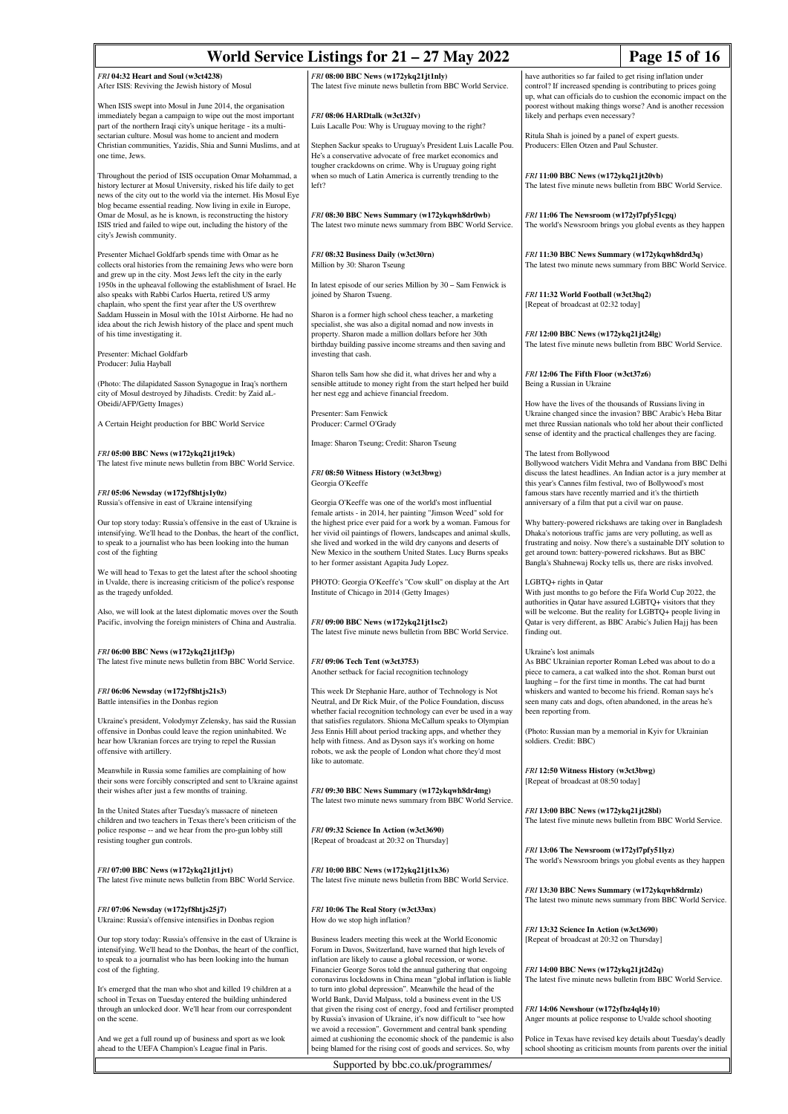|                                                                                                                                                                                                                                                                                       | World Service Listings for $21 - 27$ May 2022                                                                                                                                                                                                                                                                                                                                                 | Page 15 of 16                                                                                                                                                                                                                                                                                                      |
|---------------------------------------------------------------------------------------------------------------------------------------------------------------------------------------------------------------------------------------------------------------------------------------|-----------------------------------------------------------------------------------------------------------------------------------------------------------------------------------------------------------------------------------------------------------------------------------------------------------------------------------------------------------------------------------------------|--------------------------------------------------------------------------------------------------------------------------------------------------------------------------------------------------------------------------------------------------------------------------------------------------------------------|
| FRI 04:32 Heart and Soul (w3ct4238)<br>After ISIS: Reviving the Jewish history of Mosul                                                                                                                                                                                               | FRI 08:00 BBC News (w172ykq21jt1nly)<br>The latest five minute news bulletin from BBC World Service.                                                                                                                                                                                                                                                                                          | have authorities so far failed to get rising inflation under<br>control? If increased spending is contributing to prices going<br>up, what can officials do to cushion the economic impact on the                                                                                                                  |
| When ISIS swept into Mosul in June 2014, the organisation<br>immediately began a campaign to wipe out the most important<br>part of the northern Iraqi city's unique heritage - its a multi-                                                                                          | FRI 08:06 HARDtalk (w3ct32fv)<br>Luis Lacalle Pou: Why is Uruguay moving to the right?                                                                                                                                                                                                                                                                                                        | poorest without making things worse? And is another recession<br>likely and perhaps even necessary?                                                                                                                                                                                                                |
| sectarian culture. Mosul was home to ancient and modern<br>Christian communities, Yazidis, Shia and Sunni Muslims, and at<br>one time, Jews.                                                                                                                                          | Stephen Sackur speaks to Uruguay's President Luis Lacalle Pou.<br>He's a conservative advocate of free market economics and                                                                                                                                                                                                                                                                   | Ritula Shah is joined by a panel of expert guests.<br>Producers: Ellen Otzen and Paul Schuster.                                                                                                                                                                                                                    |
| Throughout the period of ISIS occupation Omar Mohammad, a<br>history lecturer at Mosul University, risked his life daily to get<br>news of the city out to the world via the internet. His Mosul Eye                                                                                  | tougher crackdowns on crime. Why is Uruguay going right<br>when so much of Latin America is currently trending to the<br>left?                                                                                                                                                                                                                                                                | FRI 11:00 BBC News (w172ykq21jt20vb)<br>The latest five minute news bulletin from BBC World Service.                                                                                                                                                                                                               |
| blog became essential reading. Now living in exile in Europe,<br>Omar de Mosul, as he is known, is reconstructing the history<br>ISIS tried and failed to wipe out, including the history of the<br>city's Jewish community.                                                          | FRI 08:30 BBC News Summary (w172ykqwh8dr0wb)<br>The latest two minute news summary from BBC World Service.                                                                                                                                                                                                                                                                                    | FRI 11:06 The Newsroom (w172yl7pfy51cgq)<br>The world's Newsroom brings you global events as they happen                                                                                                                                                                                                           |
| Presenter Michael Goldfarb spends time with Omar as he<br>collects oral histories from the remaining Jews who were born                                                                                                                                                               | FRI 08:32 Business Daily (w3ct30rn)<br>Million by 30: Sharon Tseung                                                                                                                                                                                                                                                                                                                           | FRI 11:30 BBC News Summary (w172ykqwh8drd3q)<br>The latest two minute news summary from BBC World Service.                                                                                                                                                                                                         |
| and grew up in the city. Most Jews left the city in the early<br>1950s in the upheaval following the establishment of Israel. He<br>also speaks with Rabbi Carlos Huerta, retired US army<br>chaplain, who spent the first year after the US overthrew                                | In latest episode of our series Million by 30 - Sam Fenwick is<br>joined by Sharon Tsueng.                                                                                                                                                                                                                                                                                                    | FRI 11:32 World Football (w3ct3hq2)<br>[Repeat of broadcast at 02:32 today]                                                                                                                                                                                                                                        |
| Saddam Hussein in Mosul with the 101st Airborne. He had no<br>idea about the rich Jewish history of the place and spent much<br>of his time investigating it.                                                                                                                         | Sharon is a former high school chess teacher, a marketing<br>specialist, she was also a digital nomad and now invests in<br>property. Sharon made a million dollars before her 30th                                                                                                                                                                                                           | FRI 12:00 BBC News (w172ykq21jt24lg)                                                                                                                                                                                                                                                                               |
| Presenter: Michael Goldfarb<br>Producer: Julia Hayball                                                                                                                                                                                                                                | birthday building passive income streams and then saving and<br>investing that cash.                                                                                                                                                                                                                                                                                                          | The latest five minute news bulletin from BBC World Service.                                                                                                                                                                                                                                                       |
| (Photo: The dilapidated Sasson Synagogue in Iraq's northern<br>city of Mosul destroyed by Jihadists. Credit: by Zaid aL-                                                                                                                                                              | Sharon tells Sam how she did it, what drives her and why a<br>sensible attitude to money right from the start helped her build<br>her nest egg and achieve financial freedom.                                                                                                                                                                                                                 | FRI 12:06 The Fifth Floor (w3ct37z6)<br>Being a Russian in Ukraine                                                                                                                                                                                                                                                 |
| Obeidi/AFP/Getty Images)<br>A Certain Height production for BBC World Service                                                                                                                                                                                                         | Presenter: Sam Fenwick<br>Producer: Carmel O'Grady                                                                                                                                                                                                                                                                                                                                            | How have the lives of the thousands of Russians living in<br>Ukraine changed since the invasion? BBC Arabic's Heba Bitar<br>met three Russian nationals who told her about their conflicted<br>sense of identity and the practical challenges they are facing.                                                     |
| FRI 05:00 BBC News (w172ykq21jt19ck)<br>The latest five minute news bulletin from BBC World Service.                                                                                                                                                                                  | Image: Sharon Tseung; Credit: Sharon Tseung                                                                                                                                                                                                                                                                                                                                                   | The latest from Bollywood<br>Bollywood watchers Vidit Mehra and Vandana from BBC Delhi                                                                                                                                                                                                                             |
| FRI 05:06 Newsday (w172yf8htjs1y0z)                                                                                                                                                                                                                                                   | FRI 08:50 Witness History (w3ct3bwg)<br>Georgia O'Keeffe                                                                                                                                                                                                                                                                                                                                      | discuss the latest headlines. An Indian actor is a jury member at<br>this year's Cannes film festival, two of Bollywood's most<br>famous stars have recently married and it's the thirtieth                                                                                                                        |
| Russia's offensive in east of Ukraine intensifying<br>Our top story today: Russia's offensive in the east of Ukraine is<br>intensifying. We'll head to the Donbas, the heart of the conflict,<br>to speak to a journalist who has been looking into the human<br>cost of the fighting | Georgia O'Keeffe was one of the world's most influential<br>female artists - in 2014, her painting "Jimson Weed" sold for<br>the highest price ever paid for a work by a woman. Famous for<br>her vivid oil paintings of flowers, landscapes and animal skulls,<br>she lived and worked in the wild dry canyons and deserts of<br>New Mexico in the southern United States. Lucy Burns speaks | anniversary of a film that put a civil war on pause.<br>Why battery-powered rickshaws are taking over in Bangladesh<br>Dhaka's notorious traffic jams are very polluting, as well as<br>frustrating and noisy. Now there's a sustainable DIY solution to<br>get around town: battery-powered rickshaws. But as BBC |
| We will head to Texas to get the latest after the school shooting<br>in Uvalde, there is increasing criticism of the police's response<br>as the tragedy unfolded.                                                                                                                    | to her former assistant Agapita Judy Lopez.<br>PHOTO: Georgia O'Keeffe's "Cow skull" on display at the Art<br>Institute of Chicago in 2014 (Getty Images)                                                                                                                                                                                                                                     | Bangla's Shahnewaj Rocky tells us, there are risks involved.<br>LGBTQ+ rights in Qatar<br>With just months to go before the Fifa World Cup 2022, the                                                                                                                                                               |
| Also, we will look at the latest diplomatic moves over the South<br>Pacific, involving the foreign ministers of China and Australia.                                                                                                                                                  | FRI 09:00 BBC News (w172ykq21jt1sc2)<br>The latest five minute news bulletin from BBC World Service.                                                                                                                                                                                                                                                                                          | authorities in Qatar have assured LGBTQ+ visitors that they<br>will be welcome. But the reality for LGBTQ+ people living in<br>Qatar is very different, as BBC Arabic's Julien Hajj has been<br>finding out.                                                                                                       |
| FRI 06:00 BBC News (w172ykq21jt1f3p)<br>The latest five minute news bulletin from BBC World Service.                                                                                                                                                                                  | FRI 09:06 Tech Tent (w3ct3753)<br>Another setback for facial recognition technology                                                                                                                                                                                                                                                                                                           | Ukraine's lost animals<br>As BBC Ukrainian reporter Roman Lebed was about to do a<br>piece to camera, a cat walked into the shot. Roman burst out<br>laughing - for the first time in months. The cat had burnt                                                                                                    |
| FRI 06:06 Newsday (w172yf8htjs21s3)<br>Battle intensifies in the Donbas region                                                                                                                                                                                                        | This week Dr Stephanie Hare, author of Technology is Not<br>Neutral, and Dr Rick Muir, of the Police Foundation, discuss<br>whether facial recognition technology can ever be used in a way                                                                                                                                                                                                   | whiskers and wanted to become his friend. Roman says he's<br>seen many cats and dogs, often abandoned, in the areas he's<br>been reporting from.                                                                                                                                                                   |
| Ukraine's president, Volodymyr Zelensky, has said the Russian<br>offensive in Donbas could leave the region uninhabited. We<br>hear how Ukranian forces are trying to repel the Russian<br>offensive with artillery.                                                                  | that satisfies regulators. Shiona McCallum speaks to Olympian<br>Jess Ennis Hill about period tracking apps, and whether they<br>help with fitness. And as Dyson says it's working on home<br>robots, we ask the people of London what chore they'd most<br>like to automate.                                                                                                                 | (Photo: Russian man by a memorial in Kyiv for Ukrainian<br>soldiers. Credit: BBC)                                                                                                                                                                                                                                  |
| Meanwhile in Russia some families are complaining of how<br>their sons were forcibly conscripted and sent to Ukraine against<br>their wishes after just a few months of training.                                                                                                     | FRI 09:30 BBC News Summary (w172ykqwh8dr4mg)<br>The latest two minute news summary from BBC World Service.                                                                                                                                                                                                                                                                                    | FRI 12:50 Witness History (w3ct3bwg)<br>[Repeat of broadcast at 08:50 today]                                                                                                                                                                                                                                       |
| In the United States after Tuesday's massacre of nineteen<br>children and two teachers in Texas there's been criticism of the<br>police response -- and we hear from the pro-gun lobby still                                                                                          | FRI 09:32 Science In Action (w3ct3690)                                                                                                                                                                                                                                                                                                                                                        | FRI 13:00 BBC News (w172ykq21jt28bl)<br>The latest five minute news bulletin from BBC World Service.                                                                                                                                                                                                               |
| resisting tougher gun controls.<br>FRI 07:00 BBC News (w172ykq21jt1jvt)                                                                                                                                                                                                               | [Repeat of broadcast at 20:32 on Thursday]<br>FRI 10:00 BBC News (w172ykq21jt1x36)                                                                                                                                                                                                                                                                                                            | FRI 13:06 The Newsroom (w172yl7pfy51lyz)<br>The world's Newsroom brings you global events as they happen                                                                                                                                                                                                           |
| The latest five minute news bulletin from BBC World Service.                                                                                                                                                                                                                          | The latest five minute news bulletin from BBC World Service.                                                                                                                                                                                                                                                                                                                                  | FRI 13:30 BBC News Summary (w172ykqwh8drmlz)<br>The latest two minute news summary from BBC World Service.                                                                                                                                                                                                         |
| FRI 07:06 Newsday (w172yf8htjs25j7)<br>Ukraine: Russia's offensive intensifies in Donbas region                                                                                                                                                                                       | FRI 10:06 The Real Story (w3ct33nx)<br>How do we stop high inflation?                                                                                                                                                                                                                                                                                                                         | FRI 13:32 Science In Action (w3ct3690)                                                                                                                                                                                                                                                                             |
| Our top story today: Russia's offensive in the east of Ukraine is<br>intensifying. We'll head to the Donbas, the heart of the conflict,<br>to speak to a journalist who has been looking into the human<br>cost of the fighting.                                                      | Business leaders meeting this week at the World Economic<br>Forum in Davos, Switzerland, have warned that high levels of<br>inflation are likely to cause a global recession, or worse.<br>Financier George Soros told the annual gathering that ongoing                                                                                                                                      | [Repeat of broadcast at 20:32 on Thursday]<br>FRI 14:00 BBC News (w172ykq21jt2d2q)                                                                                                                                                                                                                                 |
| It's emerged that the man who shot and killed 19 children at a<br>school in Texas on Tuesday entered the building unhindered<br>through an unlocked door. We'll hear from our correspondent                                                                                           | coronavirus lockdowns in China mean "global inflation is liable<br>to turn into global depression". Meanwhile the head of the<br>World Bank, David Malpass, told a business event in the US<br>that given the rising cost of energy, food and fertiliser prompted                                                                                                                             | The latest five minute news bulletin from BBC World Service.<br>FRI 14:06 Newshour (w172yfbz4ql4y10)                                                                                                                                                                                                               |
| on the scene.<br>And we get a full round up of business and sport as we look                                                                                                                                                                                                          | by Russia's invasion of Ukraine, it's now difficult to "see how<br>we avoid a recession". Government and central bank spending<br>aimed at cushioning the economic shock of the pandemic is also                                                                                                                                                                                              | Anger mounts at police response to Uvalde school shooting<br>Police in Texas have revised key details about Tuesday's deadly                                                                                                                                                                                       |
| ahead to the UEFA Champion's League final in Paris.                                                                                                                                                                                                                                   | being blamed for the rising cost of goods and services. So, why<br>Supported by bbc.co.uk/programmes/                                                                                                                                                                                                                                                                                         | school shooting as criticism mounts from parents over the initial                                                                                                                                                                                                                                                  |